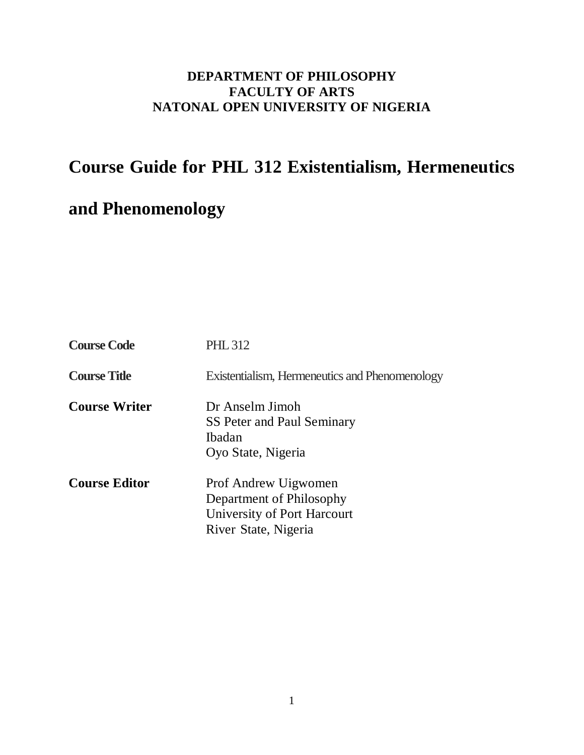# **DEPARTMENT OF PHILOSOPHY FACULTY OF ARTS NATONAL OPEN UNIVERSITY OF NIGERIA**

# **Course Guide for PHL 312 Existentialism, Hermeneutics**

# **and Phenomenology**

| <b>Course Code</b>   | <b>PHL 312</b>                                                                                          |
|----------------------|---------------------------------------------------------------------------------------------------------|
| <b>Course Title</b>  | Existentialism, Hermeneutics and Phenomenology                                                          |
| <b>Course Writer</b> | Dr Anselm Jimoh<br>SS Peter and Paul Seminary<br><b>Ibadan</b><br>Oyo State, Nigeria                    |
| <b>Course Editor</b> | Prof Andrew Uigwomen<br>Department of Philosophy<br>University of Port Harcourt<br>River State, Nigeria |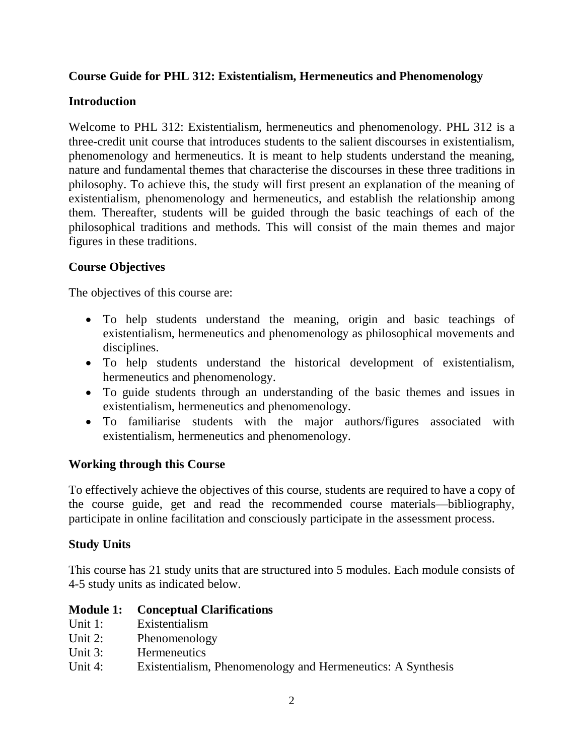## **Course Guide for PHL 312: Existentialism, Hermeneutics and Phenomenology**

## **Introduction**

Welcome to PHL 312: Existentialism, hermeneutics and phenomenology. PHL 312 is a three-credit unit course that introduces students to the salient discourses in existentialism, phenomenology and hermeneutics. It is meant to help students understand the meaning, nature and fundamental themes that characterise the discourses in these three traditions in philosophy. To achieve this, the study will first present an explanation of the meaning of existentialism, phenomenology and hermeneutics, and establish the relationship among them. Thereafter, students will be guided through the basic teachings of each of the philosophical traditions and methods. This will consist of the main themes and major figures in these traditions.

## **Course Objectives**

The objectives of this course are:

- To help students understand the meaning, origin and basic teachings of existentialism, hermeneutics and phenomenology as philosophical movements and disciplines.
- To help students understand the historical development of existentialism, hermeneutics and phenomenology.
- To guide students through an understanding of the basic themes and issues in existentialism, hermeneutics and phenomenology.
- To familiarise students with the major authors/figures associated with existentialism, hermeneutics and phenomenology.

#### **Working through this Course**

To effectively achieve the objectives of this course, students are required to have a copy of the course guide, get and read the recommended course materials—bibliography, participate in online facilitation and consciously participate in the assessment process.

#### **Study Units**

This course has 21 study units that are structured into 5 modules. Each module consists of 4-5 study units as indicated below.

#### **Module 1: Conceptual Clarifications**

- Unit 1: Existentialism
- Unit 2: Phenomenology
- Unit 3: Hermeneutics
- Unit 4: Existentialism, Phenomenology and Hermeneutics: A Synthesis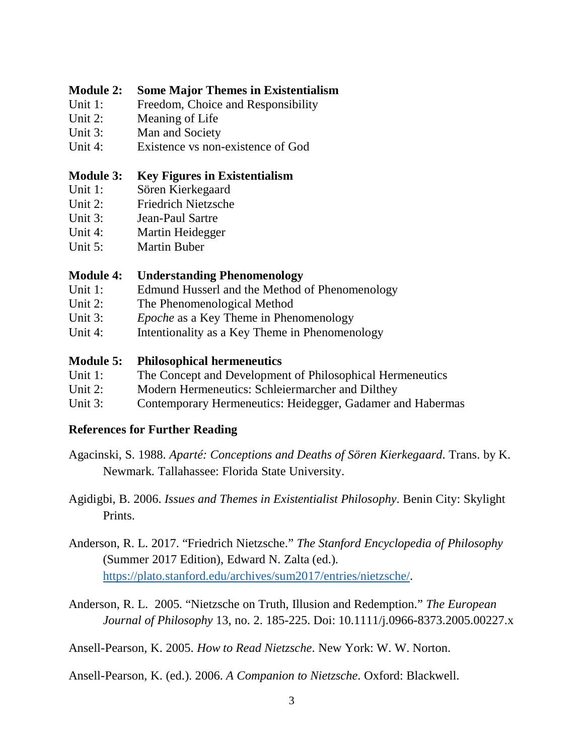#### **Module 2: Some Major Themes in Existentialism**

- Unit 1: Freedom, Choice and Responsibility
- Unit 2: Meaning of Life
- Unit 3: Man and Society
- Unit 4: Existence vs non-existence of God

#### **Module 3: Key Figures in Existentialism**

- Unit 1: Sören Kierkegaard
- Unit 2: Friedrich Nietzsche
- Unit 3: Jean-Paul Sartre
- Unit 4: Martin Heidegger
- Unit 5: Martin Buber

#### **Module 4: Understanding Phenomenology**

- Unit 1: Edmund Husserl and the Method of Phenomenology
- Unit 2: The Phenomenological Method
- Unit 3: *Epoche* as a Key Theme in Phenomenology
- Unit 4: Intentionality as a Key Theme in Phenomenology

#### **Module 5: Philosophical hermeneutics**

- Unit 1: The Concept and Development of Philosophical Hermeneutics
- Unit 2: Modern Hermeneutics: Schleiermarcher and Dilthey
- Unit 3: Contemporary Hermeneutics: Heidegger, Gadamer and Habermas

#### **References for Further Reading**

- Agacinski, S. 1988. *Aparté: Conceptions and Deaths of Sören Kierkegaard*. Trans. by K. Newmark. Tallahassee: Florida State University.
- Agidigbi, B. 2006. *Issues and Themes in Existentialist Philosophy*. Benin City: Skylight Prints.
- Anderson, R. L. 2017. "Friedrich Nietzsche." *The Stanford Encyclopedia of Philosophy* (Summer 2017 Edition), Edward N. Zalta (ed.). https://plato.stanford.edu/archives/sum2017/entries/nietzsche/.
- Anderson, R. L. 2005. "Nietzsche on Truth, Illusion and Redemption." *The European Journal of Philosophy* 13, no. 2. 185-225. Doi: 10.1111/j.0966-8373.2005.00227.x

Ansell-Pearson, K. 2005. *How to Read Nietzsche*. New York: W. W. Norton.

Ansell-Pearson, K. (ed.). 2006. *A Companion to Nietzsche*. Oxford: Blackwell.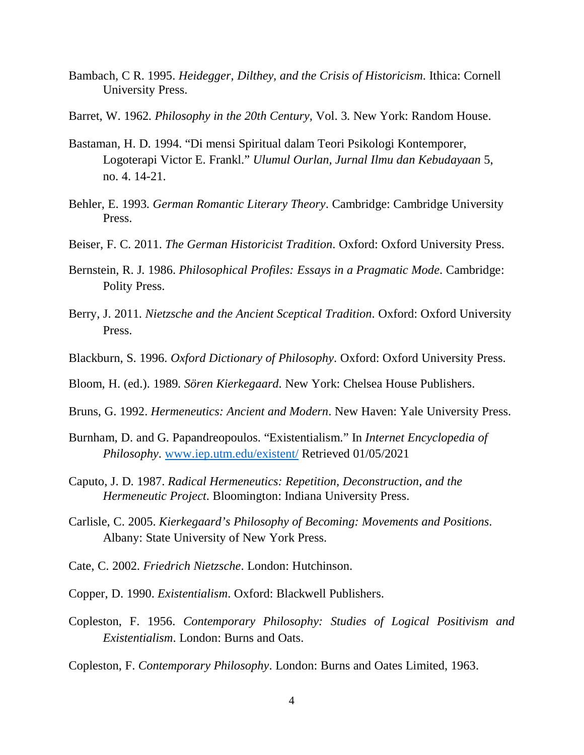- Bambach, C R. 1995. *Heidegger, Dilthey, and the Crisis of Historicism*. Ithica: Cornell University Press.
- Barret, W. 1962. *Philosophy in the 20th Century,* Vol. 3. New York: Random House.
- Bastaman, H. D. 1994. "Di mensi Spiritual dalam Teori Psikologi Kontemporer, Logoterapi Victor E. Frankl." *Ulumul Ourlan, Jurnal Ilmu dan Kebudayaan* 5, no. 4. 14-21.
- Behler, E. 1993. *German Romantic Literary Theory*. Cambridge: Cambridge University Press.
- Beiser, F. C. 2011. *The German Historicist Tradition*. Oxford: Oxford University Press.
- Bernstein, R. J. 1986. *Philosophical Profiles: Essays in a Pragmatic Mode*. Cambridge: Polity Press.
- Berry, J. 2011. *Nietzsche and the Ancient Sceptical Tradition*. Oxford: Oxford University Press.
- Blackburn, S. 1996. *Oxford Dictionary of Philosophy*. Oxford: Oxford University Press.
- Bloom, H. (ed.). 1989. *Sören Kierkegaard*. New York: Chelsea House Publishers.
- Bruns, G. 1992. *Hermeneutics: Ancient and Modern*. New Haven: Yale University Press.
- Burnham, D. and G. Papandreopoulos. "Existentialism." In *Internet Encyclopedia of Philosophy*. www.iep.utm.edu/existent/ Retrieved 01/05/2021
- Caputo, J. D. 1987. *Radical Hermeneutics: Repetition, Deconstruction, and the Hermeneutic Project*. Bloomington: Indiana University Press.
- Carlisle, C. 2005. *Kierkegaard's Philosophy of Becoming: Movements and Positions*. Albany: State University of New York Press.
- Cate, C. 2002. *Friedrich Nietzsche*. London: Hutchinson.
- Copper, D. 1990. *Existentialism*. Oxford: Blackwell Publishers.
- Copleston, F. 1956. *Contemporary Philosophy: Studies of Logical Positivism and Existentialism*. London: Burns and Oats.

Copleston, F. *Contemporary Philosophy*. London: Burns and Oates Limited, 1963.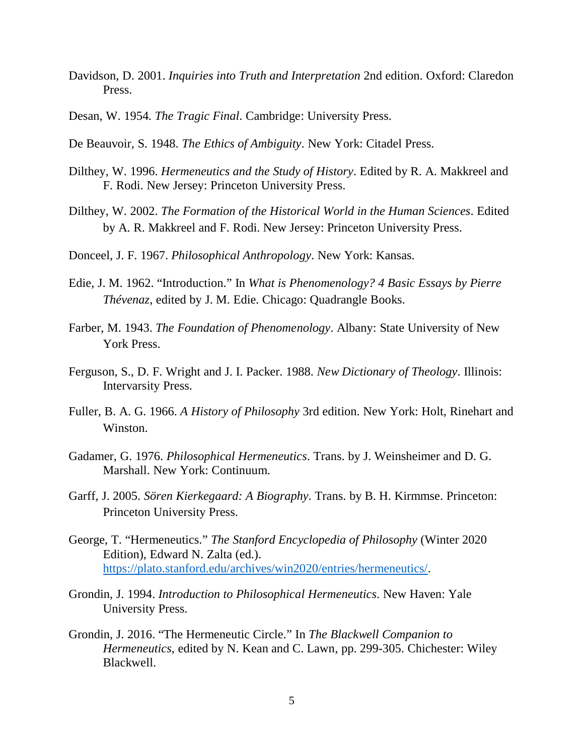- Davidson, D. 2001. *Inquiries into Truth and Interpretation* 2nd edition. Oxford: Claredon Press.
- Desan, W. 1954. *The Tragic Final*. Cambridge: University Press.
- De Beauvoir, S. 1948. *The Ethics of Ambiguity*. New York: Citadel Press.
- Dilthey, W. 1996. *Hermeneutics and the Study of History*. Edited by R. A. Makkreel and F. Rodi. New Jersey: Princeton University Press.
- Dilthey, W. 2002. *The Formation of the Historical World in the Human Sciences*. Edited by A. R. Makkreel and F. Rodi. New Jersey: Princeton University Press.
- Donceel, J. F. 1967. *Philosophical Anthropology*. New York: Kansas.
- Edie, J. M. 1962. "Introduction." In *What is Phenomenology? 4 Basic Essays by Pierre Thévenaz*, edited by J. M. Edie. Chicago: Quadrangle Books.
- Farber, M. 1943. *The Foundation of Phenomenology*. Albany: State University of New York Press.
- Ferguson, S., D. F. Wright and J. I. Packer. 1988. *New Dictionary of Theology*. Illinois: Intervarsity Press.
- Fuller, B. A. G. 1966. *A History of Philosophy* 3rd edition. New York: Holt, Rinehart and Winston.
- Gadamer, G. 1976. *Philosophical Hermeneutics*. Trans. by J. Weinsheimer and D. G. Marshall. New York: Continuum.
- Garff, J. 2005. *Sören Kierkegaard: A Biography*. Trans. by B. H. Kirmmse. Princeton: Princeton University Press.
- George, T. "Hermeneutics." *The Stanford Encyclopedia of Philosophy* (Winter 2020 Edition), Edward N. Zalta (ed.). https://plato.stanford.edu/archives/win2020/entries/hermeneutics/.
- Grondin, J. 1994. *Introduction to Philosophical Hermeneutics*. New Haven: Yale University Press.
- Grondin, J. 2016. "The Hermeneutic Circle." In *The Blackwell Companion to Hermeneutics*, edited by N. Kean and C. Lawn, pp. 299-305. Chichester: Wiley Blackwell.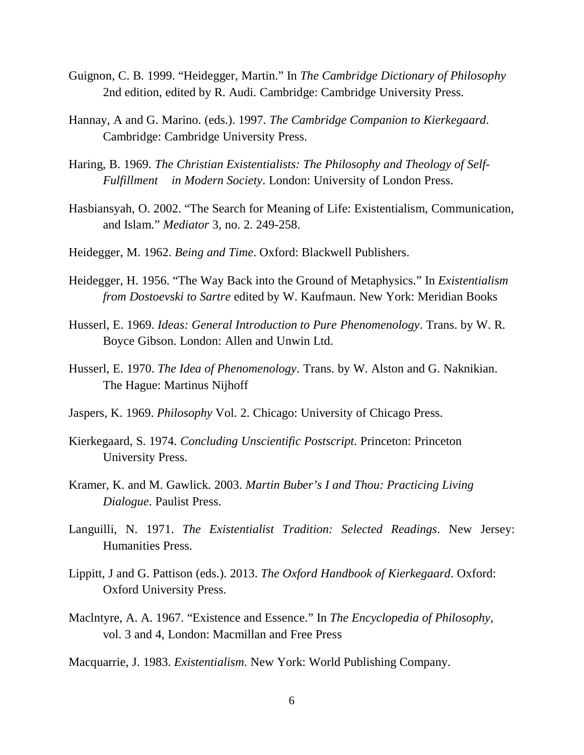- Guignon, C. B. 1999. "Heidegger, Martin." In *The Cambridge Dictionary of Philosophy* 2nd edition, edited by R. Audi. Cambridge: Cambridge University Press.
- Hannay, A and G. Marino. (eds.). 1997. *The Cambridge Companion to Kierkegaard*. Cambridge: Cambridge University Press.
- Haring, B. 1969. *The Christian Existentialists: The Philosophy and Theology of Self- Fulfillment in Modern Society*. London: University of London Press.
- Hasbiansyah, O. 2002. "The Search for Meaning of Life: Existentialism, Communication, and Islam." *Mediator* 3, no. 2. 249-258.
- Heidegger, M. 1962. *Being and Time*. Oxford: Blackwell Publishers.
- Heidegger, H. 1956. "The Way Back into the Ground of Metaphysics." In *Existentialism from Dostoevski to Sartre* edited by W. Kaufmaun. New York: Meridian Books
- Husserl, E. 1969. *Ideas: General Introduction to Pure Phenomenology*. Trans. by W. R. Boyce Gibson. London: Allen and Unwin Ltd.
- Husserl, E. 1970. *The Idea of Phenomenology*. Trans. by W. Alston and G. Naknikian. The Hague: Martinus Nijhoff
- Jaspers, K. 1969. *Philosophy* Vol. 2. Chicago: University of Chicago Press.
- Kierkegaard, S. 1974. *Concluding Unscientific Postscript*. Princeton: Princeton University Press.
- Kramer, K. and M. Gawlick. 2003. *Martin Buber's I and Thou: Practicing Living Dialogue*. Paulist Press.
- Languilli, N. 1971. *The Existentialist Tradition: Selected Readings*. New Jersey: Humanities Press.
- Lippitt, J and G. Pattison (eds.). 2013. *The Oxford Handbook of Kierkegaard*. Oxford: Oxford University Press.
- Maclntyre, A. A. 1967. "Existence and Essence." In *The Encyclopedia of Philosophy*, vol. 3 and 4, London: Macmillan and Free Press
- Macquarrie, J. 1983. *Existentialism*. New York: World Publishing Company.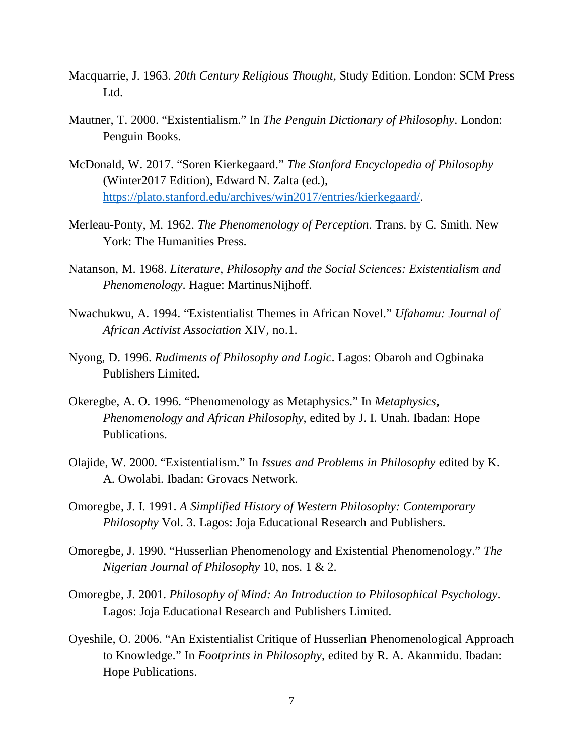- Macquarrie, J. 1963. *20th Century Religious Thought,* Study Edition. London: SCM Press Ltd.
- Mautner, T. 2000. "Existentialism." In *The Penguin Dictionary of Philosophy*. London: Penguin Books.
- McDonald, W. 2017. "Soren Kierkegaard." *The Stanford Encyclopedia of Philosophy* (Winter2017 Edition), Edward N. Zalta (ed.), https://plato.stanford.edu/archives/win2017/entries/kierkegaard/.
- Merleau-Ponty, M. 1962. *The Phenomenology of Perception*. Trans. by C. Smith. New York: The Humanities Press.
- Natanson, M. 1968. *Literature, Philosophy and the Social Sciences: Existentialism and Phenomenology*. Hague: MartinusNijhoff.
- Nwachukwu, A. 1994. "Existentialist Themes in African Novel." *Ufahamu: Journal of African Activist Association* XIV, no.1.
- Nyong, D. 1996. *Rudiments of Philosophy and Logic*. Lagos: Obaroh and Ogbinaka Publishers Limited.
- Okeregbe, A. O. 1996. "Phenomenology as Metaphysics." In *Metaphysics, Phenomenology and African Philosophy*, edited by J. I. Unah. Ibadan: Hope Publications.
- Olajide, W. 2000. "Existentialism." In *Issues and Problems in Philosophy* edited by K. A. Owolabi. Ibadan: Grovacs Network.
- Omoregbe, J. I. 1991. *A Simplified History of Western Philosophy: Contemporary Philosophy* Vol. 3. Lagos: Joja Educational Research and Publishers.
- Omoregbe, J. 1990. "Husserlian Phenomenology and Existential Phenomenology." *The Nigerian Journal of Philosophy* 10, nos. 1 & 2.
- Omoregbe, J. 2001. *Philosophy of Mind: An Introduction to Philosophical Psychology*. Lagos: Joja Educational Research and Publishers Limited.
- Oyeshile, O. 2006. "An Existentialist Critique of Husserlian Phenomenological Approach to Knowledge." In *Footprints in Philosophy*, edited by R. A. Akanmidu. Ibadan: Hope Publications.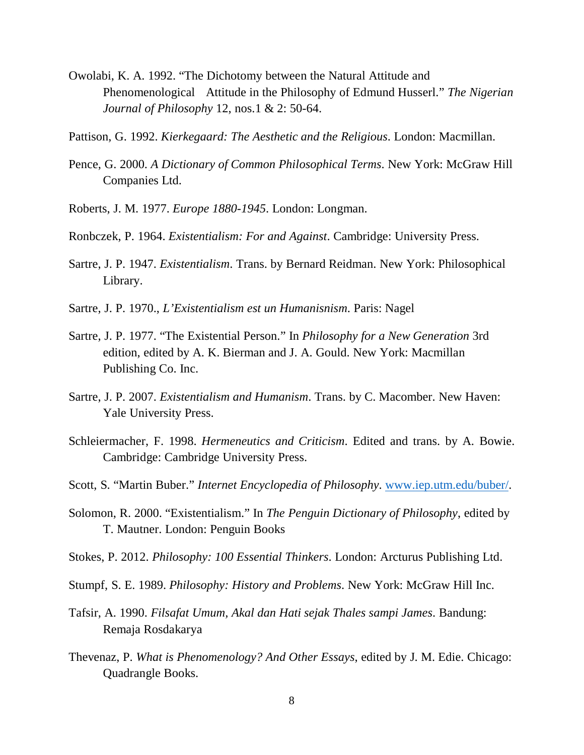- Owolabi, K. A. 1992. "The Dichotomy between the Natural Attitude and Phenomenological Attitude in the Philosophy of Edmund Husserl." *The Nigerian Journal of Philosophy* 12, nos.1 & 2: 50-64.
- Pattison, G. 1992. *Kierkegaard: The Aesthetic and the Religious*. London: Macmillan.
- Pence, G. 2000. *A Dictionary of Common Philosophical Terms*. New York: McGraw Hill Companies Ltd.
- Roberts, J. M. 1977. *Europe 1880-1945*. London: Longman.
- Ronbczek, P. 1964. *Existentialism: For and Against*. Cambridge: University Press.
- Sartre, J. P. 1947. *Existentialism*. Trans. by Bernard Reidman. New York: Philosophical Library.
- Sartre, J. P. 1970., *L'Existentialism est un Humanisnism*. Paris: Nagel
- Sartre, J. P. 1977. "The Existential Person." In *Philosophy for a New Generation* 3rd edition, edited by A. K. Bierman and J. A. Gould. New York: Macmillan Publishing Co. Inc.
- Sartre, J. P. 2007. *Existentialism and Humanism*. Trans. by C. Macomber. New Haven: Yale University Press.
- Schleiermacher, F. 1998. *Hermeneutics and Criticism*. Edited and trans. by A. Bowie. Cambridge: Cambridge University Press.
- Scott, S. "Martin Buber." *Internet Encyclopedia of Philosophy*. www.iep.utm.edu/buber/.
- Solomon, R. 2000. "Existentialism." In *The Penguin Dictionary of Philosophy*, edited by T. Mautner. London: Penguin Books
- Stokes, P. 2012. *Philosophy: 100 Essential Thinkers*. London: Arcturus Publishing Ltd.
- Stumpf, S. E. 1989. *Philosophy: History and Problems*. New York: McGraw Hill Inc.
- Tafsir, A. 1990. *Filsafat Umum, Akal dan Hati sejak Thales sampi James*. Bandung: Remaja Rosdakarya
- Thevenaz, P. *What is Phenomenology? And Other Essays*, edited by J. M. Edie. Chicago: Quadrangle Books.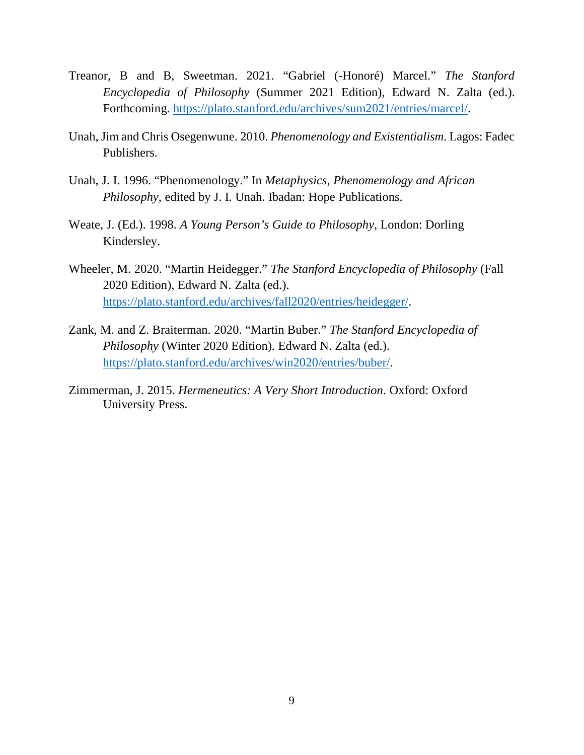- Treanor, B and B, Sweetman. 2021. "Gabriel (-Honoré) Marcel." *The Stanford Encyclopedia of Philosophy* (Summer 2021 Edition), Edward N. Zalta (ed.). Forthcoming. https://plato.stanford.edu/archives/sum2021/entries/marcel/.
- Unah, Jim and Chris Osegenwune. 2010. *Phenomenology and Existentialism*. Lagos: Fadec Publishers.
- Unah, J. I. 1996. "Phenomenology." In *Metaphysics, Phenomenology and African Philosophy*, edited by J. I. Unah. Ibadan: Hope Publications.
- Weate, J. (Ed.). 1998. *A Young Person's Guide to Philosophy*, London: Dorling Kindersley.
- Wheeler, M. 2020. "Martin Heidegger." *The Stanford Encyclopedia of Philosophy* (Fall 2020 Edition), Edward N. Zalta (ed.). https://plato.stanford.edu/archives/fall2020/entries/heidegger/.
- Zank, M. and Z. Braiterman. 2020. "Martin Buber." *The Stanford Encyclopedia of Philosophy* (Winter 2020 Edition). Edward N. Zalta (ed.). https://plato.stanford.edu/archives/win2020/entries/buber/.
- Zimmerman, J. 2015. *Hermeneutics: A Very Short Introduction*. Oxford: Oxford University Press.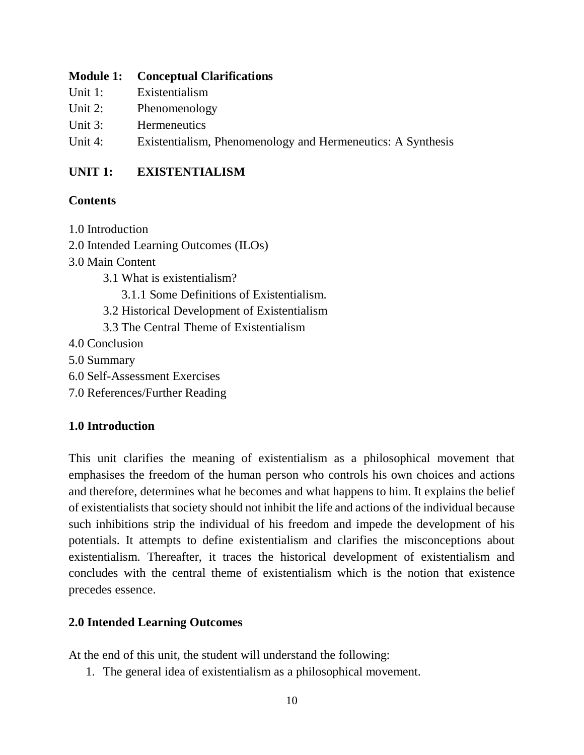#### **Module 1: Conceptual Clarifications**

- Unit 1: Existentialism
- Unit 2: Phenomenology
- Unit 3: Hermeneutics
- Unit 4: Existentialism, Phenomenology and Hermeneutics: A Synthesis

# **UNIT 1: EXISTENTIALISM**

## **Contents**

- 1.0 Introduction
- 2.0 Intended Learning Outcomes (ILOs)
- 3.0 Main Content
	- 3.1 What is existentialism?
		- 3.1.1 Some Definitions of Existentialism.
	- 3.2 Historical Development of Existentialism
	- 3.3 The Central Theme of Existentialism
- 4.0 Conclusion
- 5.0 Summary
- 6.0 Self-Assessment Exercises
- 7.0 References/Further Reading

# **1.0 Introduction**

This unit clarifies the meaning of existentialism as a philosophical movement that emphasises the freedom of the human person who controls his own choices and actions and therefore, determines what he becomes and what happens to him. It explains the belief of existentialists that society should not inhibit the life and actions of the individual because such inhibitions strip the individual of his freedom and impede the development of his potentials. It attempts to define existentialism and clarifies the misconceptions about existentialism. Thereafter, it traces the historical development of existentialism and concludes with the central theme of existentialism which is the notion that existence precedes essence.

## **2.0 Intended Learning Outcomes**

At the end of this unit, the student will understand the following:

1. The general idea of existentialism as a philosophical movement.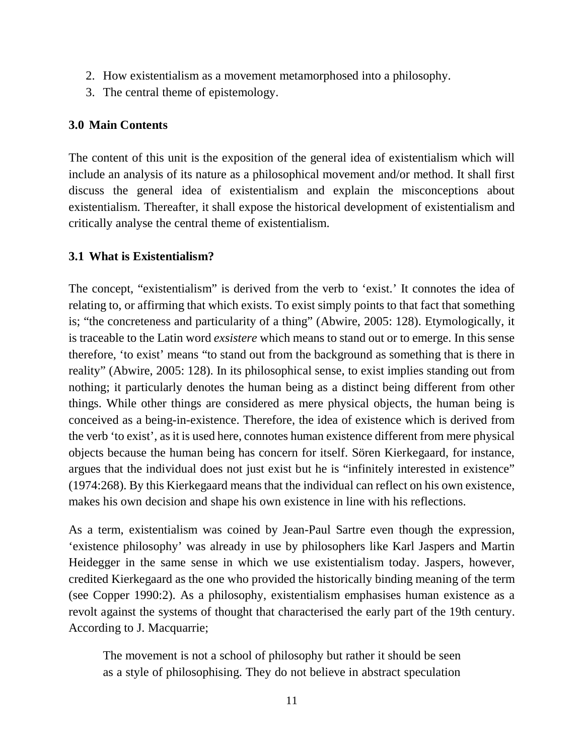- 2. How existentialism as a movement metamorphosed into a philosophy.
- 3. The central theme of epistemology.

#### **3.0 Main Contents**

The content of this unit is the exposition of the general idea of existentialism which will include an analysis of its nature as a philosophical movement and/or method. It shall first discuss the general idea of existentialism and explain the misconceptions about existentialism. Thereafter, it shall expose the historical development of existentialism and critically analyse the central theme of existentialism.

## **3.1 What is Existentialism?**

The concept, "existentialism" is derived from the verb to 'exist.' It connotes the idea of relating to, or affirming that which exists. To exist simply points to that fact that something is; "the concreteness and particularity of a thing" (Abwire, 2005: 128). Etymologically, it is traceable to the Latin word *exsistere* which means to stand out or to emerge. In this sense therefore, 'to exist' means "to stand out from the background as something that is there in reality" (Abwire, 2005: 128). In its philosophical sense, to exist implies standing out from nothing; it particularly denotes the human being as a distinct being different from other things. While other things are considered as mere physical objects, the human being is conceived as a being-in-existence. Therefore, the idea of existence which is derived from the verb 'to exist', as it is used here, connotes human existence different from mere physical objects because the human being has concern for itself. Sören Kierkegaard, for instance, argues that the individual does not just exist but he is "infinitely interested in existence" (1974:268). By this Kierkegaard means that the individual can reflect on his own existence, makes his own decision and shape his own existence in line with his reflections.

As a term, existentialism was coined by Jean-Paul Sartre even though the expression, 'existence philosophy' was already in use by philosophers like Karl Jaspers and Martin Heidegger in the same sense in which we use existentialism today. Jaspers, however, credited Kierkegaard as the one who provided the historically binding meaning of the term (see Copper 1990:2). As a philosophy, existentialism emphasises human existence as a revolt against the systems of thought that characterised the early part of the 19th century. According to J. Macquarrie;

The movement is not a school of philosophy but rather it should be seen as a style of philosophising. They do not believe in abstract speculation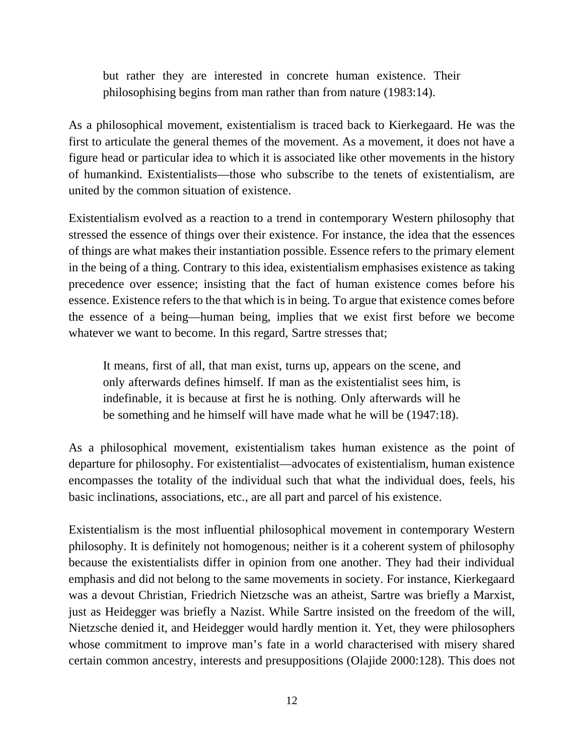but rather they are interested in concrete human existence. Their philosophising begins from man rather than from nature (1983:14).

As a philosophical movement, existentialism is traced back to Kierkegaard. He was the first to articulate the general themes of the movement. As a movement, it does not have a figure head or particular idea to which it is associated like other movements in the history of humankind. Existentialists—those who subscribe to the tenets of existentialism, are united by the common situation of existence.

Existentialism evolved as a reaction to a trend in contemporary Western philosophy that stressed the essence of things over their existence. For instance, the idea that the essences of things are what makes their instantiation possible. Essence refers to the primary element in the being of a thing. Contrary to this idea, existentialism emphasises existence as taking precedence over essence; insisting that the fact of human existence comes before his essence. Existence refers to the that which is in being. To argue that existence comes before the essence of a being—human being, implies that we exist first before we become whatever we want to become. In this regard, Sartre stresses that;

It means, first of all, that man exist, turns up, appears on the scene, and only afterwards defines himself. If man as the existentialist sees him, is indefinable, it is because at first he is nothing. Only afterwards will he be something and he himself will have made what he will be (1947:18).

As a philosophical movement, existentialism takes human existence as the point of departure for philosophy. For existentialist—advocates of existentialism, human existence encompasses the totality of the individual such that what the individual does, feels, his basic inclinations, associations, etc., are all part and parcel of his existence.

Existentialism is the most influential philosophical movement in contemporary Western philosophy. It is definitely not homogenous; neither is it a coherent system of philosophy because the existentialists differ in opinion from one another. They had their individual emphasis and did not belong to the same movements in society. For instance, Kierkegaard was a devout Christian, Friedrich Nietzsche was an atheist, Sartre was briefly a Marxist, just as Heidegger was briefly a Nazist. While Sartre insisted on the freedom of the will, Nietzsche denied it, and Heidegger would hardly mention it. Yet, they were philosophers whose commitment to improve man's fate in a world characterised with misery shared certain common ancestry, interests and presuppositions (Olajide 2000:128). This does not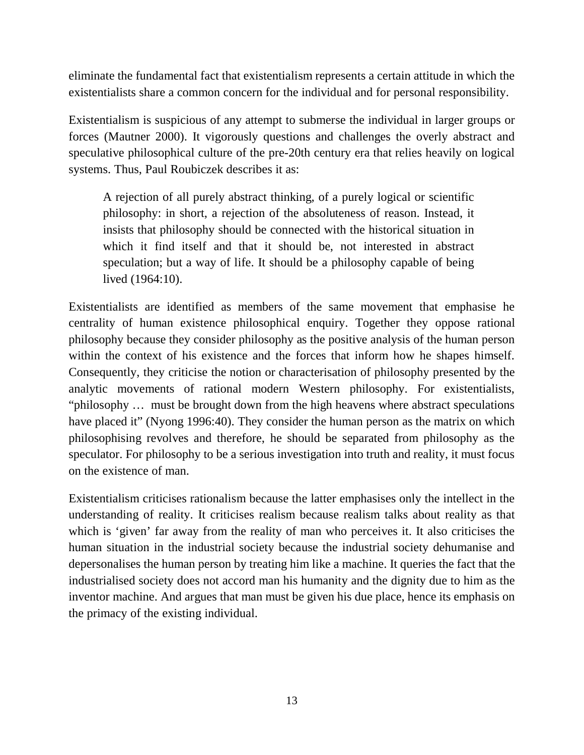eliminate the fundamental fact that existentialism represents a certain attitude in which the existentialists share a common concern for the individual and for personal responsibility.

Existentialism is suspicious of any attempt to submerse the individual in larger groups or forces (Mautner 2000). It vigorously questions and challenges the overly abstract and speculative philosophical culture of the pre-20th century era that relies heavily on logical systems. Thus, Paul Roubiczek describes it as:

A rejection of all purely abstract thinking, of a purely logical or scientific philosophy: in short, a rejection of the absoluteness of reason. Instead, it insists that philosophy should be connected with the historical situation in which it find itself and that it should be, not interested in abstract speculation; but a way of life. It should be a philosophy capable of being lived (1964:10).

Existentialists are identified as members of the same movement that emphasise he centrality of human existence philosophical enquiry. Together they oppose rational philosophy because they consider philosophy as the positive analysis of the human person within the context of his existence and the forces that inform how he shapes himself. Consequently, they criticise the notion or characterisation of philosophy presented by the analytic movements of rational modern Western philosophy. For existentialists, "philosophy … must be brought down from the high heavens where abstract speculations have placed it" (Nyong 1996:40). They consider the human person as the matrix on which philosophising revolves and therefore, he should be separated from philosophy as the speculator. For philosophy to be a serious investigation into truth and reality, it must focus on the existence of man.

Existentialism criticises rationalism because the latter emphasises only the intellect in the understanding of reality. It criticises realism because realism talks about reality as that which is 'given' far away from the reality of man who perceives it. It also criticises the human situation in the industrial society because the industrial society dehumanise and depersonalises the human person by treating him like a machine. It queries the fact that the industrialised society does not accord man his humanity and the dignity due to him as the inventor machine. And argues that man must be given his due place, hence its emphasis on the primacy of the existing individual.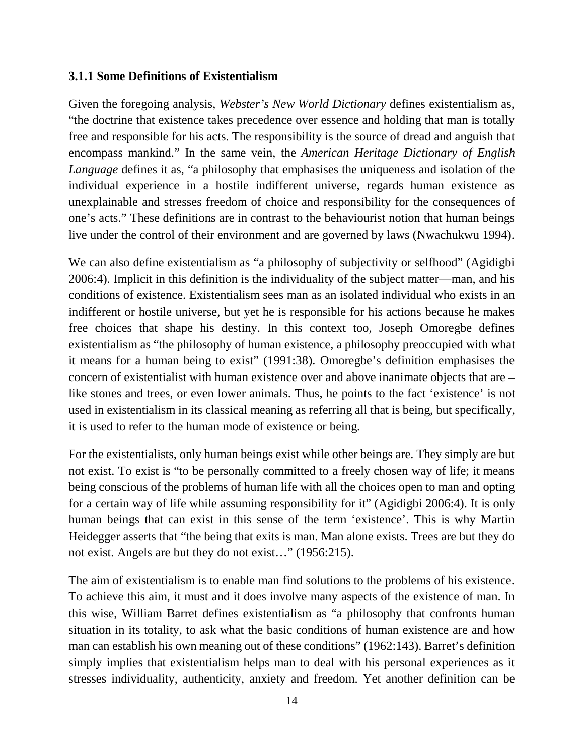#### **3.1.1 Some Definitions of Existentialism**

Given the foregoing analysis, *Webster's New World Dictionary* defines existentialism as, "the doctrine that existence takes precedence over essence and holding that man is totally free and responsible for his acts. The responsibility is the source of dread and anguish that encompass mankind." In the same vein, the *American Heritage Dictionary of English Language* defines it as, "a philosophy that emphasises the uniqueness and isolation of the individual experience in a hostile indifferent universe, regards human existence as unexplainable and stresses freedom of choice and responsibility for the consequences of one's acts." These definitions are in contrast to the behaviourist notion that human beings live under the control of their environment and are governed by laws (Nwachukwu 1994).

We can also define existentialism as "a philosophy of subjectivity or selfhood" (Agidigbi 2006:4). Implicit in this definition is the individuality of the subject matter—man, and his conditions of existence. Existentialism sees man as an isolated individual who exists in an indifferent or hostile universe, but yet he is responsible for his actions because he makes free choices that shape his destiny. In this context too, Joseph Omoregbe defines existentialism as "the philosophy of human existence, a philosophy preoccupied with what it means for a human being to exist" (1991:38). Omoregbe's definition emphasises the concern of existentialist with human existence over and above inanimate objects that are – like stones and trees, or even lower animals. Thus, he points to the fact 'existence' is not used in existentialism in its classical meaning as referring all that is being, but specifically, it is used to refer to the human mode of existence or being.

For the existentialists, only human beings exist while other beings are. They simply are but not exist. To exist is "to be personally committed to a freely chosen way of life; it means being conscious of the problems of human life with all the choices open to man and opting for a certain way of life while assuming responsibility for it" (Agidigbi 2006:4). It is only human beings that can exist in this sense of the term 'existence'. This is why Martin Heidegger asserts that "the being that exits is man. Man alone exists. Trees are but they do not exist. Angels are but they do not exist…" (1956:215).

The aim of existentialism is to enable man find solutions to the problems of his existence. To achieve this aim, it must and it does involve many aspects of the existence of man. In this wise, William Barret defines existentialism as "a philosophy that confronts human situation in its totality, to ask what the basic conditions of human existence are and how man can establish his own meaning out of these conditions" (1962:143). Barret's definition simply implies that existentialism helps man to deal with his personal experiences as it stresses individuality, authenticity, anxiety and freedom. Yet another definition can be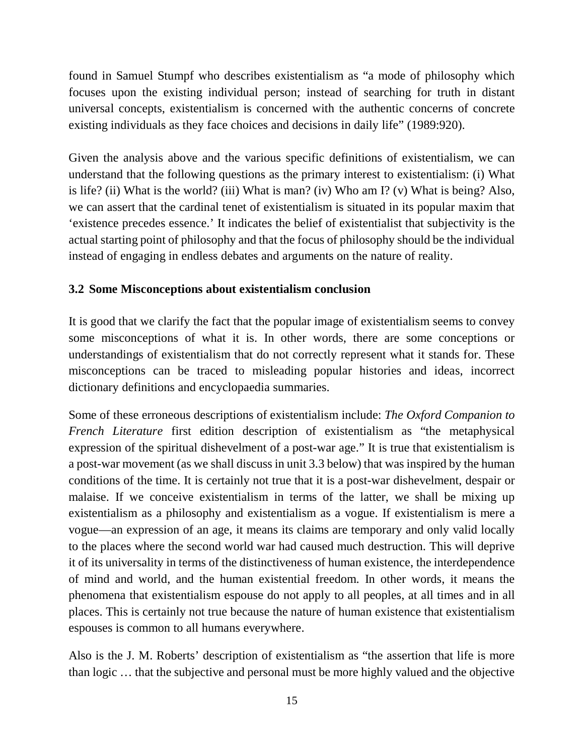found in Samuel Stumpf who describes existentialism as "a mode of philosophy which focuses upon the existing individual person; instead of searching for truth in distant universal concepts, existentialism is concerned with the authentic concerns of concrete existing individuals as they face choices and decisions in daily life" (1989:920).

Given the analysis above and the various specific definitions of existentialism, we can understand that the following questions as the primary interest to existentialism: (i) What is life? (ii) What is the world? (iii) What is man? (iv) Who am I? (v) What is being? Also, we can assert that the cardinal tenet of existentialism is situated in its popular maxim that 'existence precedes essence.' It indicates the belief of existentialist that subjectivity is the actual starting point of philosophy and that the focus of philosophy should be the individual instead of engaging in endless debates and arguments on the nature of reality.

## **3.2 Some Misconceptions about existentialism conclusion**

It is good that we clarify the fact that the popular image of existentialism seems to convey some misconceptions of what it is. In other words, there are some conceptions or understandings of existentialism that do not correctly represent what it stands for. These misconceptions can be traced to misleading popular histories and ideas, incorrect dictionary definitions and encyclopaedia summaries.

Some of these erroneous descriptions of existentialism include: *The Oxford Companion to French Literature* first edition description of existentialism as "the metaphysical expression of the spiritual dishevelment of a post-war age." It is true that existentialism is a post-war movement (as we shall discuss in unit 3.3 below) that was inspired by the human conditions of the time. It is certainly not true that it is a post-war dishevelment, despair or malaise. If we conceive existentialism in terms of the latter, we shall be mixing up existentialism as a philosophy and existentialism as a vogue. If existentialism is mere a vogue—an expression of an age, it means its claims are temporary and only valid locally to the places where the second world war had caused much destruction. This will deprive it of its universality in terms of the distinctiveness of human existence, the interdependence of mind and world, and the human existential freedom. In other words, it means the phenomena that existentialism espouse do not apply to all peoples, at all times and in all places. This is certainly not true because the nature of human existence that existentialism espouses is common to all humans everywhere.

Also is the J. M. Roberts' description of existentialism as "the assertion that life is more than logic … that the subjective and personal must be more highly valued and the objective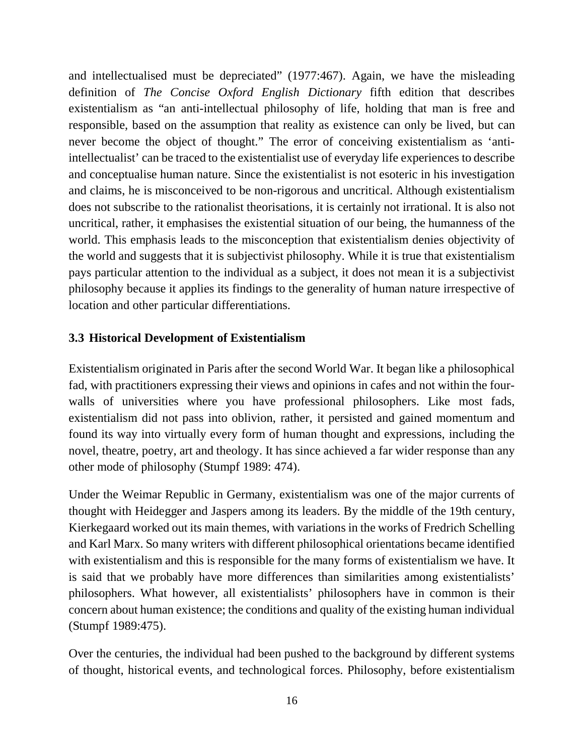and intellectualised must be depreciated" (1977:467). Again, we have the misleading definition of *The Concise Oxford English Dictionary* fifth edition that describes existentialism as "an anti-intellectual philosophy of life, holding that man is free and responsible, based on the assumption that reality as existence can only be lived, but can never become the object of thought." The error of conceiving existentialism as 'antiintellectualist' can be traced to the existentialist use of everyday life experiences to describe and conceptualise human nature. Since the existentialist is not esoteric in his investigation and claims, he is misconceived to be non-rigorous and uncritical. Although existentialism does not subscribe to the rationalist theorisations, it is certainly not irrational. It is also not uncritical, rather, it emphasises the existential situation of our being, the humanness of the world. This emphasis leads to the misconception that existentialism denies objectivity of the world and suggests that it is subjectivist philosophy. While it is true that existentialism pays particular attention to the individual as a subject, it does not mean it is a subjectivist philosophy because it applies its findings to the generality of human nature irrespective of location and other particular differentiations.

## **3.3 Historical Development of Existentialism**

Existentialism originated in Paris after the second World War. It began like a philosophical fad, with practitioners expressing their views and opinions in cafes and not within the fourwalls of universities where you have professional philosophers. Like most fads, existentialism did not pass into oblivion, rather, it persisted and gained momentum and found its way into virtually every form of human thought and expressions, including the novel, theatre, poetry, art and theology. It has since achieved a far wider response than any other mode of philosophy (Stumpf 1989: 474).

Under the Weimar Republic in Germany, existentialism was one of the major currents of thought with Heidegger and Jaspers among its leaders. By the middle of the 19th century, Kierkegaard worked out its main themes, with variations in the works of Fredrich Schelling and Karl Marx. So many writers with different philosophical orientations became identified with existentialism and this is responsible for the many forms of existentialism we have. It is said that we probably have more differences than similarities among existentialists' philosophers. What however, all existentialists' philosophers have in common is their concern about human existence; the conditions and quality of the existing human individual (Stumpf 1989:475).

Over the centuries, the individual had been pushed to the background by different systems of thought, historical events, and technological forces. Philosophy, before existentialism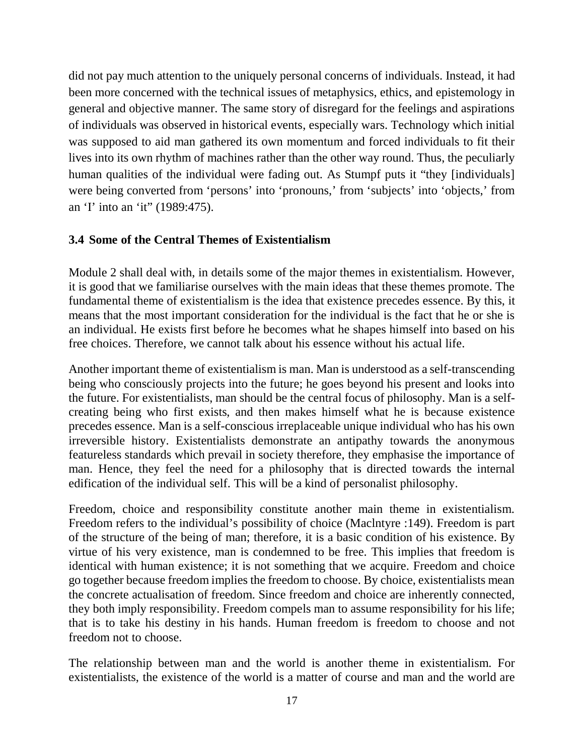did not pay much attention to the uniquely personal concerns of individuals. Instead, it had been more concerned with the technical issues of metaphysics, ethics, and epistemology in general and objective manner. The same story of disregard for the feelings and aspirations of individuals was observed in historical events, especially wars. Technology which initial was supposed to aid man gathered its own momentum and forced individuals to fit their lives into its own rhythm of machines rather than the other way round. Thus, the peculiarly human qualities of the individual were fading out. As Stumpf puts it "they [individuals] were being converted from 'persons' into 'pronouns,' from 'subjects' into 'objects,' from an 'I' into an 'it" (1989:475).

#### **3.4 Some of the Central Themes of Existentialism**

Module 2 shall deal with, in details some of the major themes in existentialism. However, it is good that we familiarise ourselves with the main ideas that these themes promote. The fundamental theme of existentialism is the idea that existence precedes essence. By this, it means that the most important consideration for the individual is the fact that he or she is an individual. He exists first before he becomes what he shapes himself into based on his free choices. Therefore, we cannot talk about his essence without his actual life.

Another important theme of existentialism is man. Man is understood as a self-transcending being who consciously projects into the future; he goes beyond his present and looks into the future. For existentialists, man should be the central focus of philosophy. Man is a selfcreating being who first exists, and then makes himself what he is because existence precedes essence. Man is a self-conscious irreplaceable unique individual who has his own irreversible history. Existentialists demonstrate an antipathy towards the anonymous featureless standards which prevail in society therefore, they emphasise the importance of man. Hence, they feel the need for a philosophy that is directed towards the internal edification of the individual self. This will be a kind of personalist philosophy.

Freedom, choice and responsibility constitute another main theme in existentialism. Freedom refers to the individual's possibility of choice (Maclntyre :149). Freedom is part of the structure of the being of man; therefore, it is a basic condition of his existence. By virtue of his very existence, man is condemned to be free. This implies that freedom is identical with human existence; it is not something that we acquire. Freedom and choice go together because freedom implies the freedom to choose. By choice, existentialists mean the concrete actualisation of freedom. Since freedom and choice are inherently connected, they both imply responsibility. Freedom compels man to assume responsibility for his life; that is to take his destiny in his hands. Human freedom is freedom to choose and not freedom not to choose.

The relationship between man and the world is another theme in existentialism. For existentialists, the existence of the world is a matter of course and man and the world are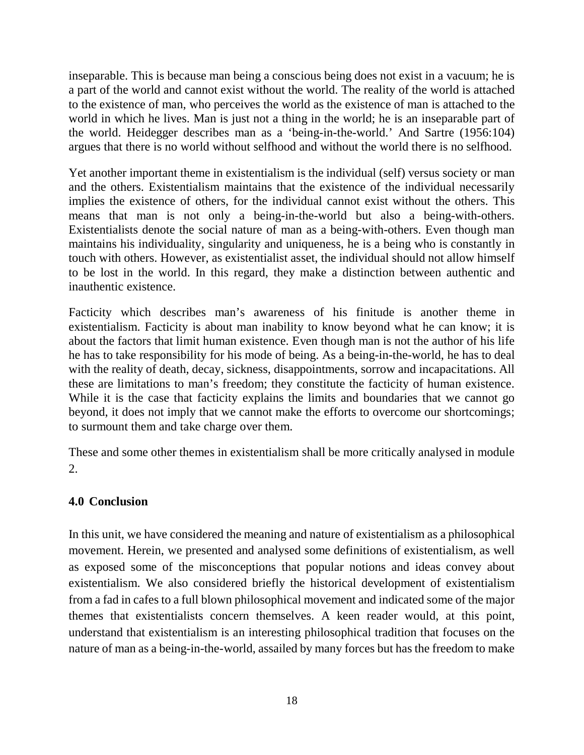inseparable. This is because man being a conscious being does not exist in a vacuum; he is a part of the world and cannot exist without the world. The reality of the world is attached to the existence of man, who perceives the world as the existence of man is attached to the world in which he lives. Man is just not a thing in the world; he is an inseparable part of the world. Heidegger describes man as a 'being-in-the-world.' And Sartre (1956:104) argues that there is no world without selfhood and without the world there is no selfhood.

Yet another important theme in existentialism is the individual (self) versus society or man and the others. Existentialism maintains that the existence of the individual necessarily implies the existence of others, for the individual cannot exist without the others. This means that man is not only a being-in-the-world but also a being-with-others. Existentialists denote the social nature of man as a being-with-others. Even though man maintains his individuality, singularity and uniqueness, he is a being who is constantly in touch with others. However, as existentialist asset, the individual should not allow himself to be lost in the world. In this regard, they make a distinction between authentic and inauthentic existence.

Facticity which describes man's awareness of his finitude is another theme in existentialism. Facticity is about man inability to know beyond what he can know; it is about the factors that limit human existence. Even though man is not the author of his life he has to take responsibility for his mode of being. As a being-in-the-world, he has to deal with the reality of death, decay, sickness, disappointments, sorrow and incapacitations. All these are limitations to man's freedom; they constitute the facticity of human existence. While it is the case that facticity explains the limits and boundaries that we cannot go beyond, it does not imply that we cannot make the efforts to overcome our shortcomings; to surmount them and take charge over them.

These and some other themes in existentialism shall be more critically analysed in module 2.

#### **4.0 Conclusion**

In this unit, we have considered the meaning and nature of existentialism as a philosophical movement. Herein, we presented and analysed some definitions of existentialism, as well as exposed some of the misconceptions that popular notions and ideas convey about existentialism. We also considered briefly the historical development of existentialism from a fad in cafes to a full blown philosophical movement and indicated some of the major themes that existentialists concern themselves. A keen reader would, at this point, understand that existentialism is an interesting philosophical tradition that focuses on the nature of man as a being-in-the-world, assailed by many forces but has the freedom to make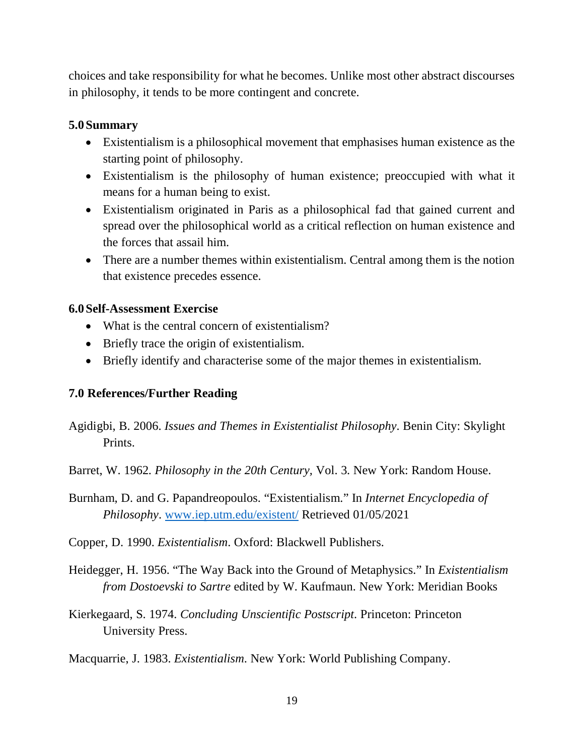choices and take responsibility for what he becomes. Unlike most other abstract discourses in philosophy, it tends to be more contingent and concrete.

#### **5.0Summary**

- Existentialism is a philosophical movement that emphasises human existence as the starting point of philosophy.
- Existentialism is the philosophy of human existence; preoccupied with what it means for a human being to exist.
- Existentialism originated in Paris as a philosophical fad that gained current and spread over the philosophical world as a critical reflection on human existence and the forces that assail him.
- There are a number themes within existentialism. Central among them is the notion that existence precedes essence.

#### **6.0Self-Assessment Exercise**

- What is the central concern of existentialism?
- Briefly trace the origin of existentialism.
- Briefly identify and characterise some of the major themes in existentialism.

#### **7.0 References/Further Reading**

- Agidigbi, B. 2006. *Issues and Themes in Existentialist Philosophy*. Benin City: Skylight Prints.
- Barret, W. 1962. *Philosophy in the 20th Century,* Vol. 3. New York: Random House.
- Burnham, D. and G. Papandreopoulos. "Existentialism." In *Internet Encyclopedia of Philosophy*. www.iep.utm.edu/existent/ Retrieved 01/05/2021
- Copper, D. 1990. *Existentialism*. Oxford: Blackwell Publishers.
- Heidegger, H. 1956. "The Way Back into the Ground of Metaphysics." In *Existentialism from Dostoevski to Sartre* edited by W. Kaufmaun. New York: Meridian Books
- Kierkegaard, S. 1974. *Concluding Unscientific Postscript*. Princeton: Princeton University Press.

Macquarrie, J. 1983. *Existentialism*. New York: World Publishing Company.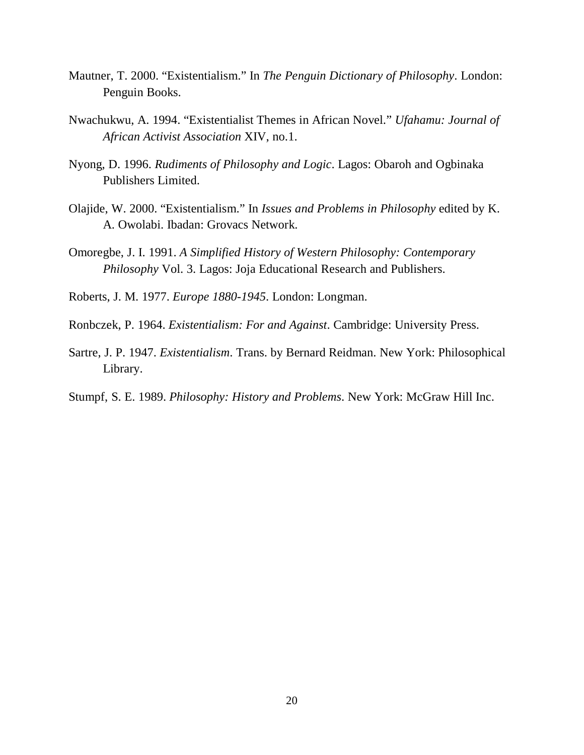- Mautner, T. 2000. "Existentialism." In *The Penguin Dictionary of Philosophy*. London: Penguin Books.
- Nwachukwu, A. 1994. "Existentialist Themes in African Novel." *Ufahamu: Journal of African Activist Association* XIV, no.1.
- Nyong, D. 1996. *Rudiments of Philosophy and Logic*. Lagos: Obaroh and Ogbinaka Publishers Limited.
- Olajide, W. 2000. "Existentialism." In *Issues and Problems in Philosophy* edited by K. A. Owolabi. Ibadan: Grovacs Network.
- Omoregbe, J. I. 1991. *A Simplified History of Western Philosophy: Contemporary Philosophy* Vol. 3. Lagos: Joja Educational Research and Publishers.
- Roberts, J. M. 1977. *Europe 1880-1945*. London: Longman.
- Ronbczek, P. 1964. *Existentialism: For and Against*. Cambridge: University Press.
- Sartre, J. P. 1947. *Existentialism*. Trans. by Bernard Reidman. New York: Philosophical Library.
- Stumpf, S. E. 1989. *Philosophy: History and Problems*. New York: McGraw Hill Inc.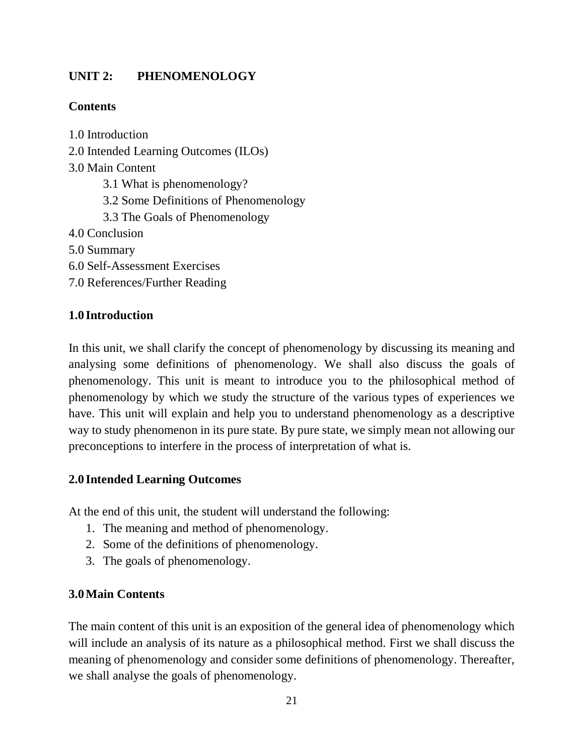## **UNIT 2: PHENOMENOLOGY**

## **Contents**

1.0 Introduction 2.0 Intended Learning Outcomes (ILOs) 3.0 Main Content 3.1 What is phenomenology? 3.2 Some Definitions of Phenomenology 3.3 The Goals of Phenomenology 4.0 Conclusion 5.0 Summary 6.0 Self-Assessment Exercises 7.0 References/Further Reading

## **1.0 Introduction**

In this unit, we shall clarify the concept of phenomenology by discussing its meaning and analysing some definitions of phenomenology. We shall also discuss the goals of phenomenology. This unit is meant to introduce you to the philosophical method of phenomenology by which we study the structure of the various types of experiences we have. This unit will explain and help you to understand phenomenology as a descriptive way to study phenomenon in its pure state. By pure state, we simply mean not allowing our preconceptions to interfere in the process of interpretation of what is.

#### **2.0 Intended Learning Outcomes**

At the end of this unit, the student will understand the following:

- 1. The meaning and method of phenomenology.
- 2. Some of the definitions of phenomenology.
- 3. The goals of phenomenology.

## **3.0Main Contents**

The main content of this unit is an exposition of the general idea of phenomenology which will include an analysis of its nature as a philosophical method. First we shall discuss the meaning of phenomenology and consider some definitions of phenomenology. Thereafter, we shall analyse the goals of phenomenology.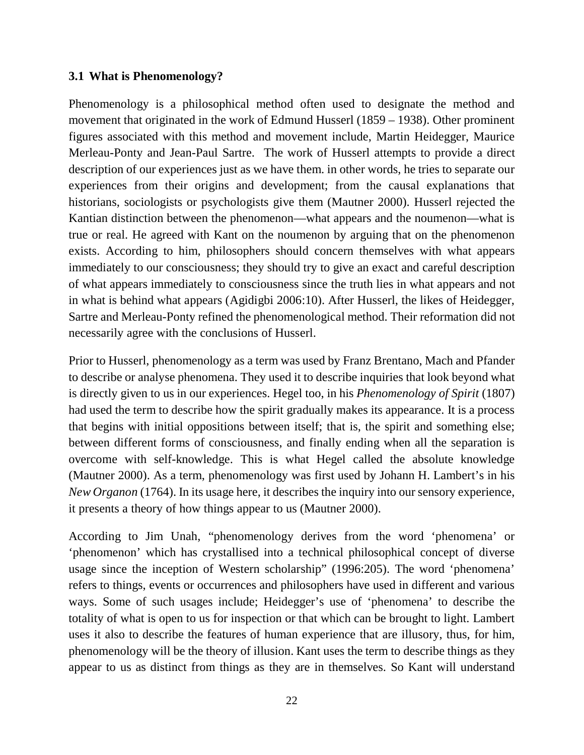#### **3.1 What is Phenomenology?**

Phenomenology is a philosophical method often used to designate the method and movement that originated in the work of Edmund Husserl (1859 – 1938). Other prominent figures associated with this method and movement include, Martin Heidegger, Maurice Merleau-Ponty and Jean-Paul Sartre. The work of Husserl attempts to provide a direct description of our experiences just as we have them. in other words, he tries to separate our experiences from their origins and development; from the causal explanations that historians, sociologists or psychologists give them (Mautner 2000). Husserl rejected the Kantian distinction between the phenomenon—what appears and the noumenon—what is true or real. He agreed with Kant on the noumenon by arguing that on the phenomenon exists. According to him, philosophers should concern themselves with what appears immediately to our consciousness; they should try to give an exact and careful description of what appears immediately to consciousness since the truth lies in what appears and not in what is behind what appears (Agidigbi 2006:10). After Husserl, the likes of Heidegger, Sartre and Merleau-Ponty refined the phenomenological method. Their reformation did not necessarily agree with the conclusions of Husserl.

Prior to Husserl, phenomenology as a term was used by Franz Brentano, Mach and Pfander to describe or analyse phenomena. They used it to describe inquiries that look beyond what is directly given to us in our experiences. Hegel too, in his *Phenomenology of Spirit* (1807) had used the term to describe how the spirit gradually makes its appearance. It is a process that begins with initial oppositions between itself; that is, the spirit and something else; between different forms of consciousness, and finally ending when all the separation is overcome with self-knowledge. This is what Hegel called the absolute knowledge (Mautner 2000). As a term, phenomenology was first used by Johann H. Lambert's in his *New Organon* (1764). In its usage here, it describes the inquiry into our sensory experience, it presents a theory of how things appear to us (Mautner 2000).

According to Jim Unah, "phenomenology derives from the word 'phenomena' or 'phenomenon' which has crystallised into a technical philosophical concept of diverse usage since the inception of Western scholarship" (1996:205). The word 'phenomena' refers to things, events or occurrences and philosophers have used in different and various ways. Some of such usages include; Heidegger's use of 'phenomena' to describe the totality of what is open to us for inspection or that which can be brought to light. Lambert uses it also to describe the features of human experience that are illusory, thus, for him, phenomenology will be the theory of illusion. Kant uses the term to describe things as they appear to us as distinct from things as they are in themselves. So Kant will understand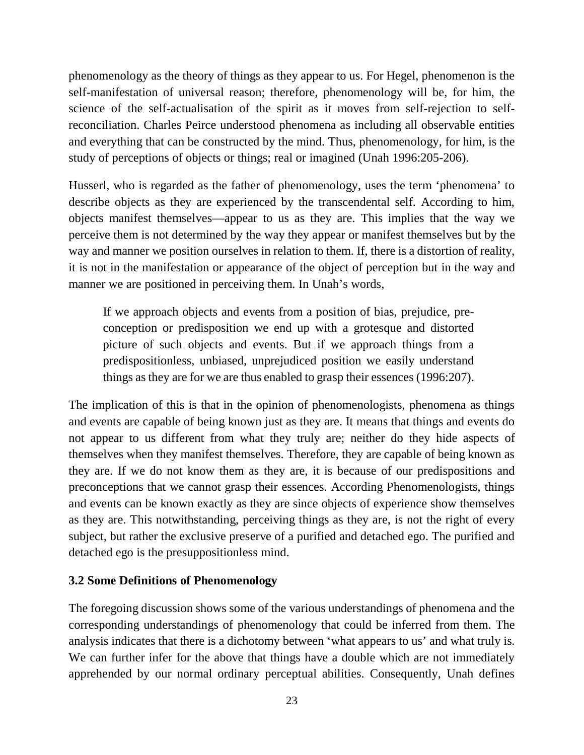phenomenology as the theory of things as they appear to us. For Hegel, phenomenon is the self-manifestation of universal reason; therefore, phenomenology will be, for him, the science of the self-actualisation of the spirit as it moves from self-rejection to selfreconciliation. Charles Peirce understood phenomena as including all observable entities and everything that can be constructed by the mind. Thus, phenomenology, for him, is the study of perceptions of objects or things; real or imagined (Unah 1996:205-206).

Husserl, who is regarded as the father of phenomenology, uses the term 'phenomena' to describe objects as they are experienced by the transcendental self. According to him, objects manifest themselves—appear to us as they are. This implies that the way we perceive them is not determined by the way they appear or manifest themselves but by the way and manner we position ourselves in relation to them. If, there is a distortion of reality, it is not in the manifestation or appearance of the object of perception but in the way and manner we are positioned in perceiving them. In Unah's words,

If we approach objects and events from a position of bias, prejudice, preconception or predisposition we end up with a grotesque and distorted picture of such objects and events. But if we approach things from a predispositionless, unbiased, unprejudiced position we easily understand things as they are for we are thus enabled to grasp their essences (1996:207).

The implication of this is that in the opinion of phenomenologists, phenomena as things and events are capable of being known just as they are. It means that things and events do not appear to us different from what they truly are; neither do they hide aspects of themselves when they manifest themselves. Therefore, they are capable of being known as they are. If we do not know them as they are, it is because of our predispositions and preconceptions that we cannot grasp their essences. According Phenomenologists, things and events can be known exactly as they are since objects of experience show themselves as they are. This notwithstanding, perceiving things as they are, is not the right of every subject, but rather the exclusive preserve of a purified and detached ego. The purified and detached ego is the presuppositionless mind.

#### **3.2 Some Definitions of Phenomenology**

The foregoing discussion shows some of the various understandings of phenomena and the corresponding understandings of phenomenology that could be inferred from them. The analysis indicates that there is a dichotomy between 'what appears to us' and what truly is. We can further infer for the above that things have a double which are not immediately apprehended by our normal ordinary perceptual abilities. Consequently, Unah defines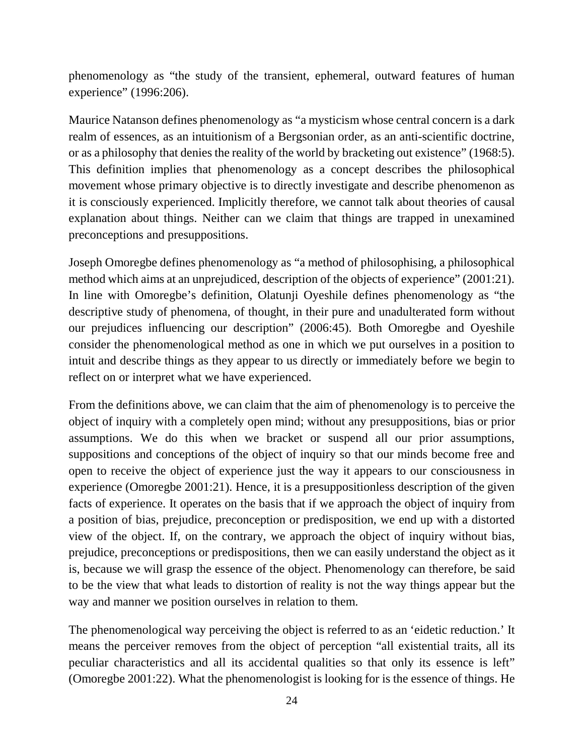phenomenology as "the study of the transient, ephemeral, outward features of human experience" (1996:206).

Maurice Natanson defines phenomenology as "a mysticism whose central concern is a dark realm of essences, as an intuitionism of a Bergsonian order, as an anti-scientific doctrine, or as a philosophy that denies the reality of the world by bracketing out existence" (1968:5). This definition implies that phenomenology as a concept describes the philosophical movement whose primary objective is to directly investigate and describe phenomenon as it is consciously experienced. Implicitly therefore, we cannot talk about theories of causal explanation about things. Neither can we claim that things are trapped in unexamined preconceptions and presuppositions.

Joseph Omoregbe defines phenomenology as "a method of philosophising, a philosophical method which aims at an unprejudiced, description of the objects of experience" (2001:21). In line with Omoregbe's definition, Olatunji Oyeshile defines phenomenology as "the descriptive study of phenomena, of thought, in their pure and unadulterated form without our prejudices influencing our description" (2006:45). Both Omoregbe and Oyeshile consider the phenomenological method as one in which we put ourselves in a position to intuit and describe things as they appear to us directly or immediately before we begin to reflect on or interpret what we have experienced.

From the definitions above, we can claim that the aim of phenomenology is to perceive the object of inquiry with a completely open mind; without any presuppositions, bias or prior assumptions. We do this when we bracket or suspend all our prior assumptions, suppositions and conceptions of the object of inquiry so that our minds become free and open to receive the object of experience just the way it appears to our consciousness in experience (Omoregbe 2001:21). Hence, it is a presuppositionless description of the given facts of experience. It operates on the basis that if we approach the object of inquiry from a position of bias, prejudice, preconception or predisposition, we end up with a distorted view of the object. If, on the contrary, we approach the object of inquiry without bias, prejudice, preconceptions or predispositions, then we can easily understand the object as it is, because we will grasp the essence of the object. Phenomenology can therefore, be said to be the view that what leads to distortion of reality is not the way things appear but the way and manner we position ourselves in relation to them.

The phenomenological way perceiving the object is referred to as an 'eidetic reduction.' It means the perceiver removes from the object of perception "all existential traits, all its peculiar characteristics and all its accidental qualities so that only its essence is left" (Omoregbe 2001:22). What the phenomenologist is looking for is the essence of things. He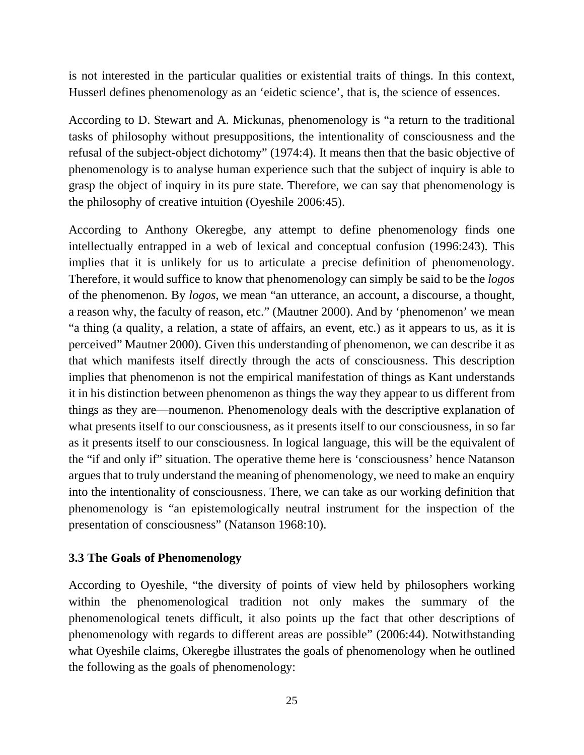is not interested in the particular qualities or existential traits of things. In this context, Husserl defines phenomenology as an 'eidetic science', that is, the science of essences.

According to D. Stewart and A. Mickunas, phenomenology is "a return to the traditional tasks of philosophy without presuppositions, the intentionality of consciousness and the refusal of the subject-object dichotomy" (1974:4). It means then that the basic objective of phenomenology is to analyse human experience such that the subject of inquiry is able to grasp the object of inquiry in its pure state. Therefore, we can say that phenomenology is the philosophy of creative intuition (Oyeshile 2006:45).

According to Anthony Okeregbe, any attempt to define phenomenology finds one intellectually entrapped in a web of lexical and conceptual confusion (1996:243). This implies that it is unlikely for us to articulate a precise definition of phenomenology. Therefore, it would suffice to know that phenomenology can simply be said to be the *logos*  of the phenomenon. By *logos*, we mean "an utterance, an account, a discourse, a thought, a reason why, the faculty of reason, etc." (Mautner 2000). And by 'phenomenon' we mean "a thing (a quality, a relation, a state of affairs, an event, etc.) as it appears to us, as it is perceived" Mautner 2000). Given this understanding of phenomenon, we can describe it as that which manifests itself directly through the acts of consciousness. This description implies that phenomenon is not the empirical manifestation of things as Kant understands it in his distinction between phenomenon as things the way they appear to us different from things as they are—noumenon. Phenomenology deals with the descriptive explanation of what presents itself to our consciousness, as it presents itself to our consciousness, in so far as it presents itself to our consciousness. In logical language, this will be the equivalent of the "if and only if" situation. The operative theme here is 'consciousness' hence Natanson argues that to truly understand the meaning of phenomenology, we need to make an enquiry into the intentionality of consciousness. There, we can take as our working definition that phenomenology is "an epistemologically neutral instrument for the inspection of the presentation of consciousness" (Natanson 1968:10).

#### **3.3 The Goals of Phenomenology**

According to Oyeshile, "the diversity of points of view held by philosophers working within the phenomenological tradition not only makes the summary of the phenomenological tenets difficult, it also points up the fact that other descriptions of phenomenology with regards to different areas are possible" (2006:44). Notwithstanding what Oyeshile claims, Okeregbe illustrates the goals of phenomenology when he outlined the following as the goals of phenomenology: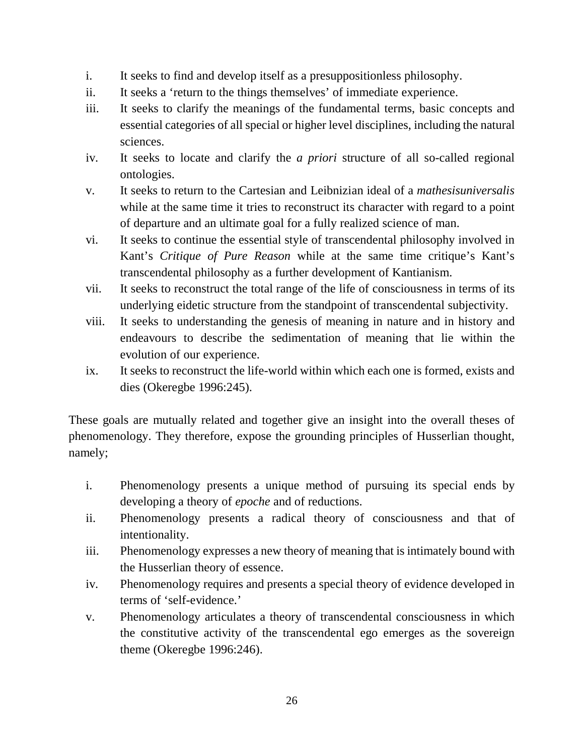- i. It seeks to find and develop itself as a presuppositionless philosophy.
- ii. It seeks a 'return to the things themselves' of immediate experience.
- iii. It seeks to clarify the meanings of the fundamental terms, basic concepts and essential categories of all special or higher level disciplines, including the natural sciences.
- iv. It seeks to locate and clarify the *a priori* structure of all so-called regional ontologies.
- v. It seeks to return to the Cartesian and Leibnizian ideal of a *mathesisuniversalis* while at the same time it tries to reconstruct its character with regard to a point of departure and an ultimate goal for a fully realized science of man.
- vi. It seeks to continue the essential style of transcendental philosophy involved in Kant's *Critique of Pure Reason* while at the same time critique's Kant's transcendental philosophy as a further development of Kantianism.
- vii. It seeks to reconstruct the total range of the life of consciousness in terms of its underlying eidetic structure from the standpoint of transcendental subjectivity.
- viii. It seeks to understanding the genesis of meaning in nature and in history and endeavours to describe the sedimentation of meaning that lie within the evolution of our experience.
- ix. It seeks to reconstruct the life-world within which each one is formed, exists and dies (Okeregbe 1996:245).

These goals are mutually related and together give an insight into the overall theses of phenomenology. They therefore, expose the grounding principles of Husserlian thought, namely;

- i. Phenomenology presents a unique method of pursuing its special ends by developing a theory of *epoche* and of reductions.
- ii. Phenomenology presents a radical theory of consciousness and that of intentionality.
- iii. Phenomenology expresses a new theory of meaning that is intimately bound with the Husserlian theory of essence.
- iv. Phenomenology requires and presents a special theory of evidence developed in terms of 'self-evidence.'
- v. Phenomenology articulates a theory of transcendental consciousness in which the constitutive activity of the transcendental ego emerges as the sovereign theme (Okeregbe 1996:246).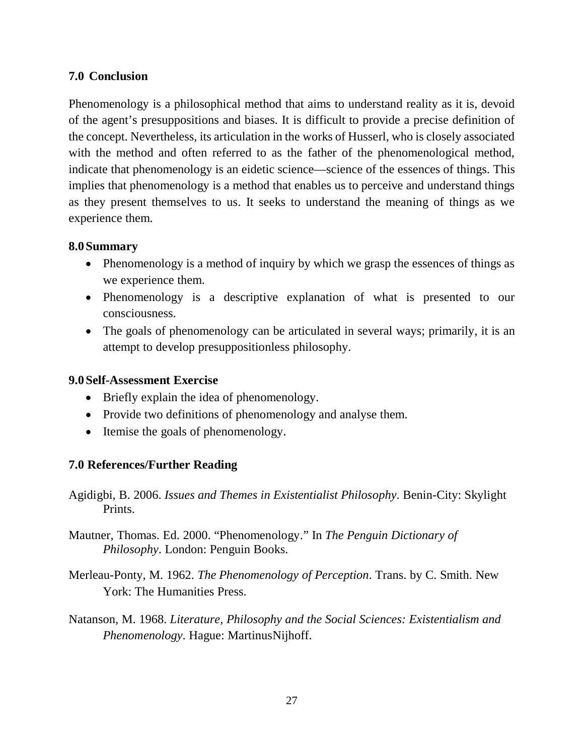#### **7.0 Conclusion**

Phenomenology is a philosophical method that aims to understand reality as it is, devoid of the agent's presuppositions and biases. It is difficult to provide a precise definition of the concept. Nevertheless, its articulation in the works of Husserl, who is closely associated with the method and often referred to as the father of the phenomenological method, indicate that phenomenology is an eidetic science—science of the essences of things. This implies that phenomenology is a method that enables us to perceive and understand things as they present themselves to us. It seeks to understand the meaning of things as we experience them.

#### **8.0Summary**

- Phenomenology is a method of inquiry by which we grasp the essences of things as we experience them.
- Phenomenology is a descriptive explanation of what is presented to our consciousness.
- The goals of phenomenology can be articulated in several ways; primarily, it is an attempt to develop presuppositionless philosophy.

#### **9.0Self-Assessment Exercise**

- Briefly explain the idea of phenomenology.
- Provide two definitions of phenomenology and analyse them.
- Itemise the goals of phenomenology.

#### **7.0 References/Further Reading**

- Agidigbi, B. 2006. *Issues and Themes in Existentialist Philosophy*. Benin-City: Skylight Prints.
- Mautner, Thomas. Ed. 2000. "Phenomenology." In *The Penguin Dictionary of Philosophy*. London: Penguin Books.
- Merleau-Ponty, M. 1962. *The Phenomenology of Perception*. Trans. by C. Smith. New York: The Humanities Press.
- Natanson, M. 1968. *Literature, Philosophy and the Social Sciences: Existentialism and Phenomenology*. Hague: MartinusNijhoff.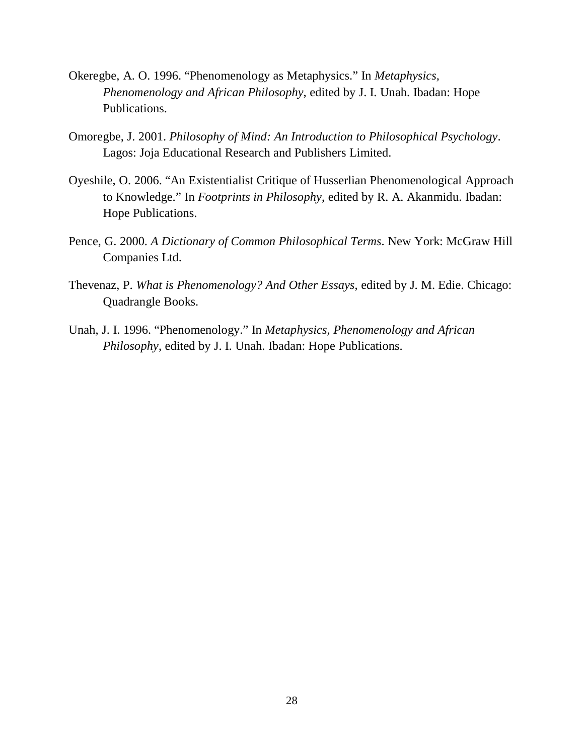- Okeregbe, A. O. 1996. "Phenomenology as Metaphysics." In *Metaphysics, Phenomenology and African Philosophy*, edited by J. I. Unah. Ibadan: Hope Publications.
- Omoregbe, J. 2001. *Philosophy of Mind: An Introduction to Philosophical Psychology*. Lagos: Joja Educational Research and Publishers Limited.
- Oyeshile, O. 2006. "An Existentialist Critique of Husserlian Phenomenological Approach to Knowledge." In *Footprints in Philosophy*, edited by R. A. Akanmidu. Ibadan: Hope Publications.
- Pence, G. 2000. *A Dictionary of Common Philosophical Terms*. New York: McGraw Hill Companies Ltd.
- Thevenaz, P. *What is Phenomenology? And Other Essays*, edited by J. M. Edie. Chicago: Quadrangle Books.
- Unah, J. I. 1996. "Phenomenology." In *Metaphysics, Phenomenology and African Philosophy*, edited by J. I. Unah. Ibadan: Hope Publications.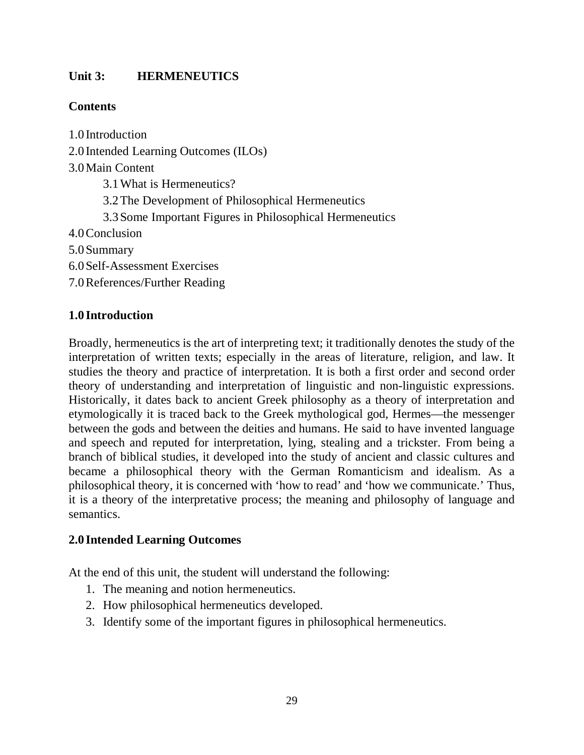## **Unit 3: HERMENEUTICS**

## **Contents**

1.0 Introduction 2.0 Intended Learning Outcomes (ILOs) 3.0Main Content 3.1What is Hermeneutics? 3.2The Development of Philosophical Hermeneutics 3.3Some Important Figures in Philosophical Hermeneutics 4.0Conclusion 5.0Summary 6.0Self-Assessment Exercises 7.0References/Further Reading

## **1.0 Introduction**

Broadly, hermeneutics is the art of interpreting text; it traditionally denotes the study of the interpretation of written texts; especially in the areas of literature, religion, and law. It studies the theory and practice of interpretation. It is both a first order and second order theory of understanding and interpretation of linguistic and non-linguistic expressions. Historically, it dates back to ancient Greek philosophy as a theory of interpretation and etymologically it is traced back to the Greek mythological god, Hermes—the messenger between the gods and between the deities and humans. He said to have invented language and speech and reputed for interpretation, lying, stealing and a trickster. From being a branch of biblical studies, it developed into the study of ancient and classic cultures and became a philosophical theory with the German Romanticism and idealism. As a philosophical theory, it is concerned with 'how to read' and 'how we communicate.' Thus, it is a theory of the interpretative process; the meaning and philosophy of language and semantics.

#### **2.0 Intended Learning Outcomes**

At the end of this unit, the student will understand the following:

- 1. The meaning and notion hermeneutics.
- 2. How philosophical hermeneutics developed.
- 3. Identify some of the important figures in philosophical hermeneutics.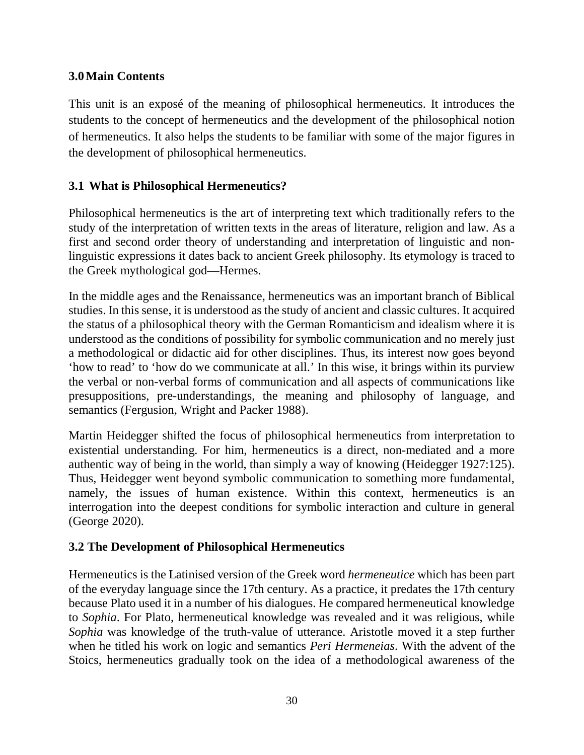## **3.0Main Contents**

This unit is an exposé of the meaning of philosophical hermeneutics. It introduces the students to the concept of hermeneutics and the development of the philosophical notion of hermeneutics. It also helps the students to be familiar with some of the major figures in the development of philosophical hermeneutics.

#### **3.1 What is Philosophical Hermeneutics?**

Philosophical hermeneutics is the art of interpreting text which traditionally refers to the study of the interpretation of written texts in the areas of literature, religion and law. As a first and second order theory of understanding and interpretation of linguistic and nonlinguistic expressions it dates back to ancient Greek philosophy. Its etymology is traced to the Greek mythological god—Hermes.

In the middle ages and the Renaissance, hermeneutics was an important branch of Biblical studies. In this sense, it is understood as the study of ancient and classic cultures. It acquired the status of a philosophical theory with the German Romanticism and idealism where it is understood as the conditions of possibility for symbolic communication and no merely just a methodological or didactic aid for other disciplines. Thus, its interest now goes beyond 'how to read' to 'how do we communicate at all.' In this wise, it brings within its purview the verbal or non-verbal forms of communication and all aspects of communications like presuppositions, pre-understandings, the meaning and philosophy of language, and semantics (Fergusion, Wright and Packer 1988).

Martin Heidegger shifted the focus of philosophical hermeneutics from interpretation to existential understanding. For him, hermeneutics is a direct, non-mediated and a more authentic way of being in the world, than simply a way of knowing (Heidegger 1927:125). Thus, Heidegger went beyond symbolic communication to something more fundamental, namely, the issues of human existence. Within this context, hermeneutics is an interrogation into the deepest conditions for symbolic interaction and culture in general (George 2020).

#### **3.2 The Development of Philosophical Hermeneutics**

Hermeneutics is the Latinised version of the Greek word *hermeneutice* which has been part of the everyday language since the 17th century. As a practice, it predates the 17th century because Plato used it in a number of his dialogues. He compared hermeneutical knowledge to *Sophia*. For Plato, hermeneutical knowledge was revealed and it was religious, while *Sophia* was knowledge of the truth-value of utterance. Aristotle moved it a step further when he titled his work on logic and semantics *Peri Hermeneias*. With the advent of the Stoics, hermeneutics gradually took on the idea of a methodological awareness of the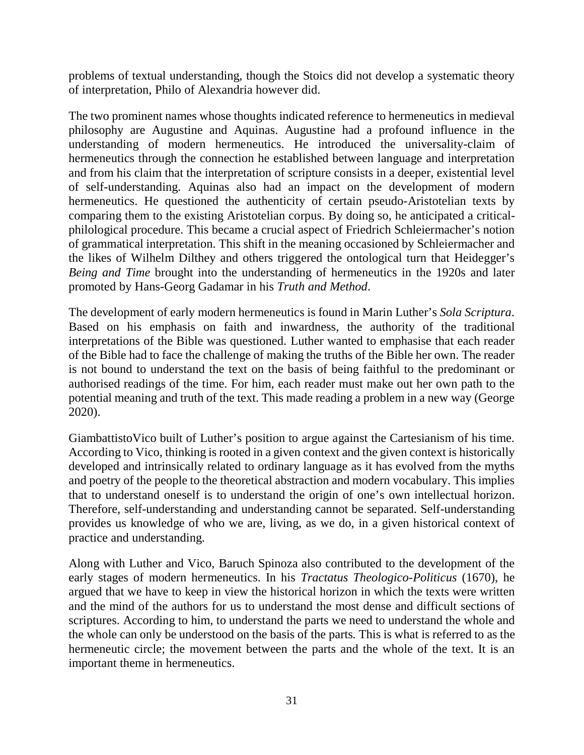problems of textual understanding, though the Stoics did not develop a systematic theory of interpretation, Philo of Alexandria however did.

The two prominent names whose thoughts indicated reference to hermeneutics in medieval philosophy are Augustine and Aquinas. Augustine had a profound influence in the understanding of modern hermeneutics. He introduced the universality-claim of hermeneutics through the connection he established between language and interpretation and from his claim that the interpretation of scripture consists in a deeper, existential level of self-understanding. Aquinas also had an impact on the development of modern hermeneutics. He questioned the authenticity of certain pseudo-Aristotelian texts by comparing them to the existing Aristotelian corpus. By doing so, he anticipated a criticalphilological procedure. This became a crucial aspect of Friedrich Schleiermacher's notion of grammatical interpretation. This shift in the meaning occasioned by Schleiermacher and the likes of Wilhelm Dilthey and others triggered the ontological turn that Heidegger's *Being and Time* brought into the understanding of hermeneutics in the 1920s and later promoted by Hans-Georg Gadamar in his *Truth and Method*.

The development of early modern hermeneutics is found in Marin Luther's *Sola Scriptura*. Based on his emphasis on faith and inwardness, the authority of the traditional interpretations of the Bible was questioned. Luther wanted to emphasise that each reader of the Bible had to face the challenge of making the truths of the Bible her own. The reader is not bound to understand the text on the basis of being faithful to the predominant or authorised readings of the time. For him, each reader must make out her own path to the potential meaning and truth of the text. This made reading a problem in a new way (George 2020).

GiambattistoVico built of Luther's position to argue against the Cartesianism of his time. According to Vico, thinking is rooted in a given context and the given context is historically developed and intrinsically related to ordinary language as it has evolved from the myths and poetry of the people to the theoretical abstraction and modern vocabulary. This implies that to understand oneself is to understand the origin of one's own intellectual horizon. Therefore, self-understanding and understanding cannot be separated. Self-understanding provides us knowledge of who we are, living, as we do, in a given historical context of practice and understanding.

Along with Luther and Vico, Baruch Spinoza also contributed to the development of the early stages of modern hermeneutics. In his *Tractatus Theologico-Politicus* (1670), he argued that we have to keep in view the historical horizon in which the texts were written and the mind of the authors for us to understand the most dense and difficult sections of scriptures. According to him, to understand the parts we need to understand the whole and the whole can only be understood on the basis of the parts. This is what is referred to as the hermeneutic circle; the movement between the parts and the whole of the text. It is an important theme in hermeneutics.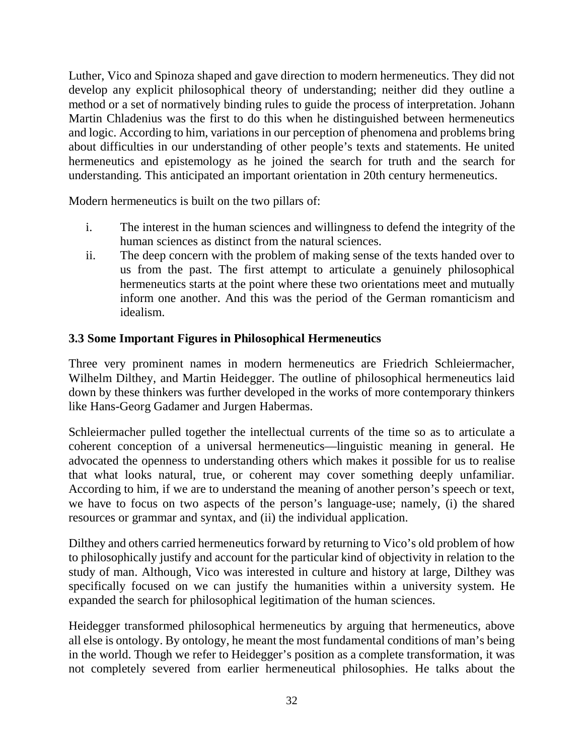Luther, Vico and Spinoza shaped and gave direction to modern hermeneutics. They did not develop any explicit philosophical theory of understanding; neither did they outline a method or a set of normatively binding rules to guide the process of interpretation. Johann Martin Chladenius was the first to do this when he distinguished between hermeneutics and logic. According to him, variations in our perception of phenomena and problems bring about difficulties in our understanding of other people's texts and statements. He united hermeneutics and epistemology as he joined the search for truth and the search for understanding. This anticipated an important orientation in 20th century hermeneutics.

Modern hermeneutics is built on the two pillars of:

- i. The interest in the human sciences and willingness to defend the integrity of the human sciences as distinct from the natural sciences.
- ii. The deep concern with the problem of making sense of the texts handed over to us from the past. The first attempt to articulate a genuinely philosophical hermeneutics starts at the point where these two orientations meet and mutually inform one another. And this was the period of the German romanticism and idealism.

#### **3.3 Some Important Figures in Philosophical Hermeneutics**

Three very prominent names in modern hermeneutics are Friedrich Schleiermacher, Wilhelm Dilthey, and Martin Heidegger. The outline of philosophical hermeneutics laid down by these thinkers was further developed in the works of more contemporary thinkers like Hans-Georg Gadamer and Jurgen Habermas.

Schleiermacher pulled together the intellectual currents of the time so as to articulate a coherent conception of a universal hermeneutics—linguistic meaning in general. He advocated the openness to understanding others which makes it possible for us to realise that what looks natural, true, or coherent may cover something deeply unfamiliar. According to him, if we are to understand the meaning of another person's speech or text, we have to focus on two aspects of the person's language-use; namely, (i) the shared resources or grammar and syntax, and (ii) the individual application.

Dilthey and others carried hermeneutics forward by returning to Vico's old problem of how to philosophically justify and account for the particular kind of objectivity in relation to the study of man. Although, Vico was interested in culture and history at large, Dilthey was specifically focused on we can justify the humanities within a university system. He expanded the search for philosophical legitimation of the human sciences.

Heidegger transformed philosophical hermeneutics by arguing that hermeneutics, above all else is ontology. By ontology, he meant the most fundamental conditions of man's being in the world. Though we refer to Heidegger's position as a complete transformation, it was not completely severed from earlier hermeneutical philosophies. He talks about the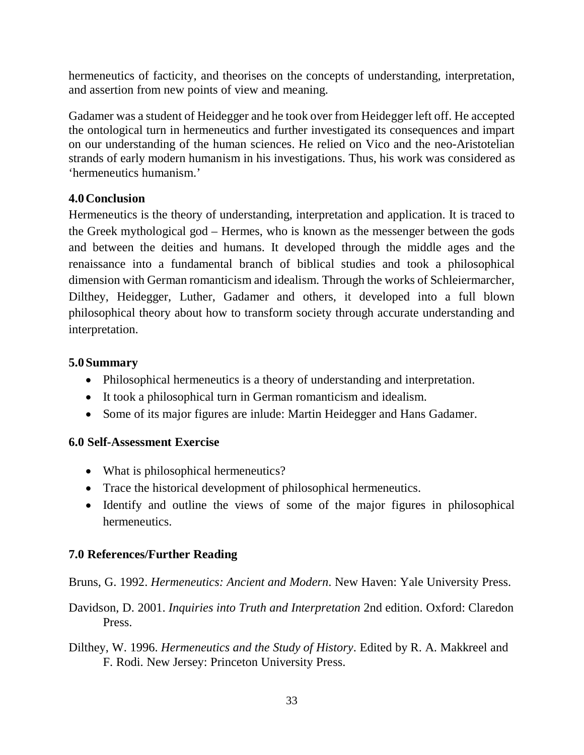hermeneutics of facticity, and theorises on the concepts of understanding, interpretation, and assertion from new points of view and meaning.

Gadamer was a student of Heidegger and he took over from Heidegger left off. He accepted the ontological turn in hermeneutics and further investigated its consequences and impart on our understanding of the human sciences. He relied on Vico and the neo-Aristotelian strands of early modern humanism in his investigations. Thus, his work was considered as 'hermeneutics humanism.'

## **4.0Conclusion**

Hermeneutics is the theory of understanding, interpretation and application. It is traced to the Greek mythological god – Hermes, who is known as the messenger between the gods and between the deities and humans. It developed through the middle ages and the renaissance into a fundamental branch of biblical studies and took a philosophical dimension with German romanticism and idealism. Through the works of Schleiermarcher, Dilthey, Heidegger, Luther, Gadamer and others, it developed into a full blown philosophical theory about how to transform society through accurate understanding and interpretation.

## **5.0Summary**

- Philosophical hermeneutics is a theory of understanding and interpretation.
- It took a philosophical turn in German romanticism and idealism.
- Some of its major figures are inlude: Martin Heidegger and Hans Gadamer.

## **6.0 Self-Assessment Exercise**

- What is philosophical hermeneutics?
- Trace the historical development of philosophical hermeneutics.
- Identify and outline the views of some of the major figures in philosophical hermeneutics.

## **7.0 References/Further Reading**

Bruns, G. 1992. *Hermeneutics: Ancient and Modern*. New Haven: Yale University Press.

- Davidson, D. 2001. *Inquiries into Truth and Interpretation* 2nd edition. Oxford: Claredon Press.
- Dilthey, W. 1996. *Hermeneutics and the Study of History*. Edited by R. A. Makkreel and F. Rodi. New Jersey: Princeton University Press.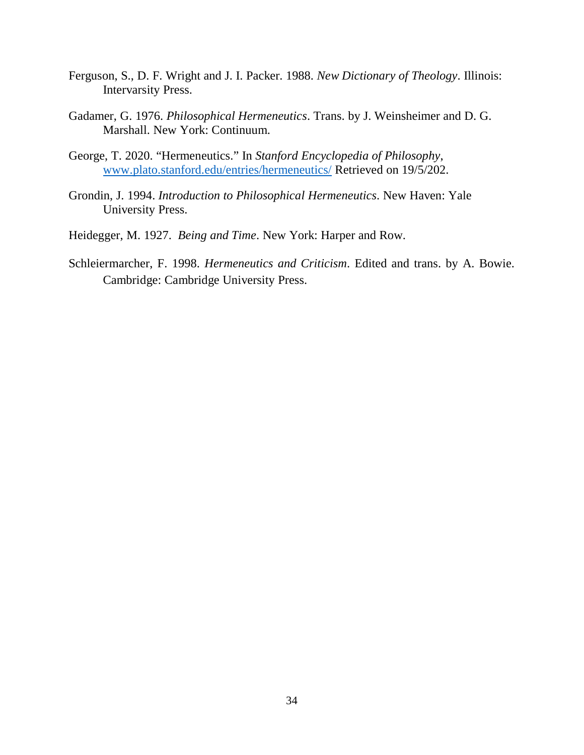- Ferguson, S., D. F. Wright and J. I. Packer. 1988. *New Dictionary of Theology*. Illinois: Intervarsity Press.
- Gadamer, G. 1976. *Philosophical Hermeneutics*. Trans. by J. Weinsheimer and D. G. Marshall. New York: Continuum.
- George, T. 2020. "Hermeneutics." In *Stanford Encyclopedia of Philosophy*, www.plato.stanford.edu/entries/hermeneutics/ Retrieved on 19/5/202.
- Grondin, J. 1994. *Introduction to Philosophical Hermeneutics*. New Haven: Yale University Press.
- Heidegger, M. 1927. *Being and Time*. New York: Harper and Row.
- Schleiermarcher, F. 1998. *Hermeneutics and Criticism*. Edited and trans. by A. Bowie. Cambridge: Cambridge University Press.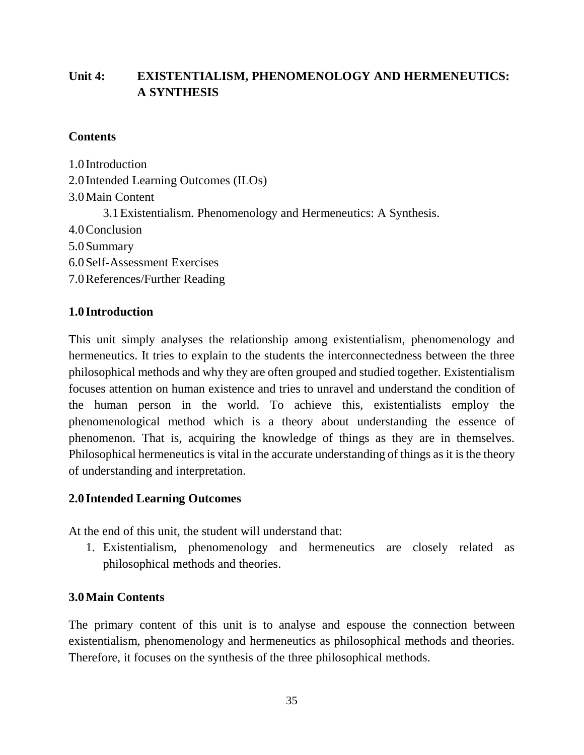# **Unit 4: EXISTENTIALISM, PHENOMENOLOGY AND HERMENEUTICS: A SYNTHESIS**

#### **Contents**

1.0 Introduction 2.0 Intended Learning Outcomes (ILOs) 3.0Main Content 3.1Existentialism. Phenomenology and Hermeneutics: A Synthesis. 4.0Conclusion 5.0Summary 6.0Self-Assessment Exercises 7.0References/Further Reading

## **1.0 Introduction**

This unit simply analyses the relationship among existentialism, phenomenology and hermeneutics. It tries to explain to the students the interconnectedness between the three philosophical methods and why they are often grouped and studied together. Existentialism focuses attention on human existence and tries to unravel and understand the condition of the human person in the world. To achieve this, existentialists employ the phenomenological method which is a theory about understanding the essence of phenomenon. That is, acquiring the knowledge of things as they are in themselves. Philosophical hermeneutics is vital in the accurate understanding of things as it is the theory of understanding and interpretation.

## **2.0 Intended Learning Outcomes**

At the end of this unit, the student will understand that:

1. Existentialism, phenomenology and hermeneutics are closely related as philosophical methods and theories.

## **3.0Main Contents**

The primary content of this unit is to analyse and espouse the connection between existentialism, phenomenology and hermeneutics as philosophical methods and theories. Therefore, it focuses on the synthesis of the three philosophical methods.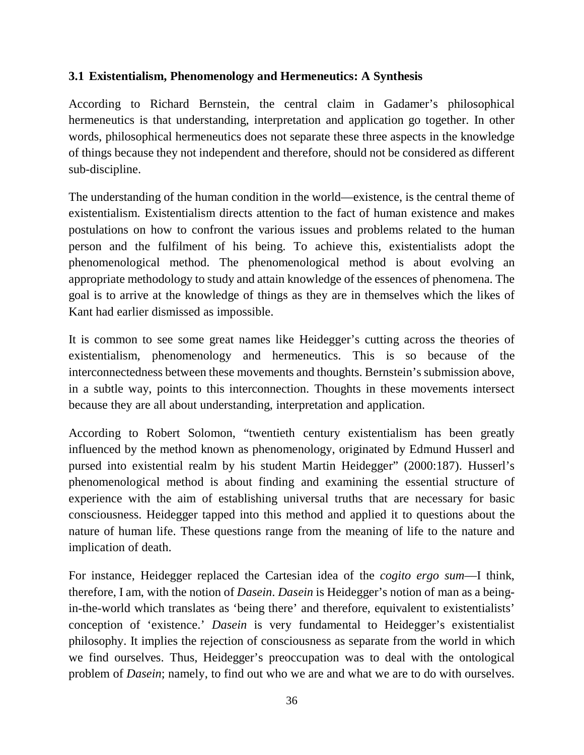## **3.1 Existentialism, Phenomenology and Hermeneutics: A Synthesis**

According to Richard Bernstein, the central claim in Gadamer's philosophical hermeneutics is that understanding, interpretation and application go together. In other words, philosophical hermeneutics does not separate these three aspects in the knowledge of things because they not independent and therefore, should not be considered as different sub-discipline.

The understanding of the human condition in the world—existence, is the central theme of existentialism. Existentialism directs attention to the fact of human existence and makes postulations on how to confront the various issues and problems related to the human person and the fulfilment of his being. To achieve this, existentialists adopt the phenomenological method. The phenomenological method is about evolving an appropriate methodology to study and attain knowledge of the essences of phenomena. The goal is to arrive at the knowledge of things as they are in themselves which the likes of Kant had earlier dismissed as impossible.

It is common to see some great names like Heidegger's cutting across the theories of existentialism, phenomenology and hermeneutics. This is so because of the interconnectedness between these movements and thoughts. Bernstein's submission above, in a subtle way, points to this interconnection. Thoughts in these movements intersect because they are all about understanding, interpretation and application.

According to Robert Solomon, "twentieth century existentialism has been greatly influenced by the method known as phenomenology, originated by Edmund Husserl and pursed into existential realm by his student Martin Heidegger" (2000:187). Husserl's phenomenological method is about finding and examining the essential structure of experience with the aim of establishing universal truths that are necessary for basic consciousness. Heidegger tapped into this method and applied it to questions about the nature of human life. These questions range from the meaning of life to the nature and implication of death.

For instance, Heidegger replaced the Cartesian idea of the *cogito ergo sum*—I think, therefore, I am, with the notion of *Dasein*. *Dasein* is Heidegger's notion of man as a beingin-the-world which translates as 'being there' and therefore, equivalent to existentialists' conception of 'existence.' *Dasein* is very fundamental to Heidegger's existentialist philosophy. It implies the rejection of consciousness as separate from the world in which we find ourselves. Thus, Heidegger's preoccupation was to deal with the ontological problem of *Dasein*; namely, to find out who we are and what we are to do with ourselves.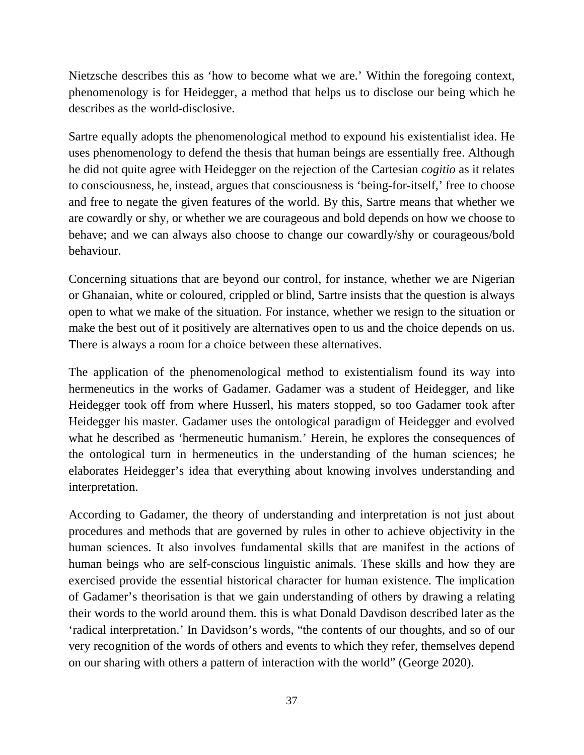Nietzsche describes this as 'how to become what we are.' Within the foregoing context, phenomenology is for Heidegger, a method that helps us to disclose our being which he describes as the world-disclosive.

Sartre equally adopts the phenomenological method to expound his existentialist idea. He uses phenomenology to defend the thesis that human beings are essentially free. Although he did not quite agree with Heidegger on the rejection of the Cartesian *cogitio* as it relates to consciousness, he, instead, argues that consciousness is 'being-for-itself,' free to choose and free to negate the given features of the world. By this, Sartre means that whether we are cowardly or shy, or whether we are courageous and bold depends on how we choose to behave; and we can always also choose to change our cowardly/shy or courageous/bold behaviour.

Concerning situations that are beyond our control, for instance, whether we are Nigerian or Ghanaian, white or coloured, crippled or blind, Sartre insists that the question is always open to what we make of the situation. For instance, whether we resign to the situation or make the best out of it positively are alternatives open to us and the choice depends on us. There is always a room for a choice between these alternatives.

The application of the phenomenological method to existentialism found its way into hermeneutics in the works of Gadamer. Gadamer was a student of Heidegger, and like Heidegger took off from where Husserl, his maters stopped, so too Gadamer took after Heidegger his master. Gadamer uses the ontological paradigm of Heidegger and evolved what he described as 'hermeneutic humanism.' Herein, he explores the consequences of the ontological turn in hermeneutics in the understanding of the human sciences; he elaborates Heidegger's idea that everything about knowing involves understanding and interpretation.

According to Gadamer, the theory of understanding and interpretation is not just about procedures and methods that are governed by rules in other to achieve objectivity in the human sciences. It also involves fundamental skills that are manifest in the actions of human beings who are self-conscious linguistic animals. These skills and how they are exercised provide the essential historical character for human existence. The implication of Gadamer's theorisation is that we gain understanding of others by drawing a relating their words to the world around them. this is what Donald Davdison described later as the 'radical interpretation.' In Davidson's words, "the contents of our thoughts, and so of our very recognition of the words of others and events to which they refer, themselves depend on our sharing with others a pattern of interaction with the world" (George 2020).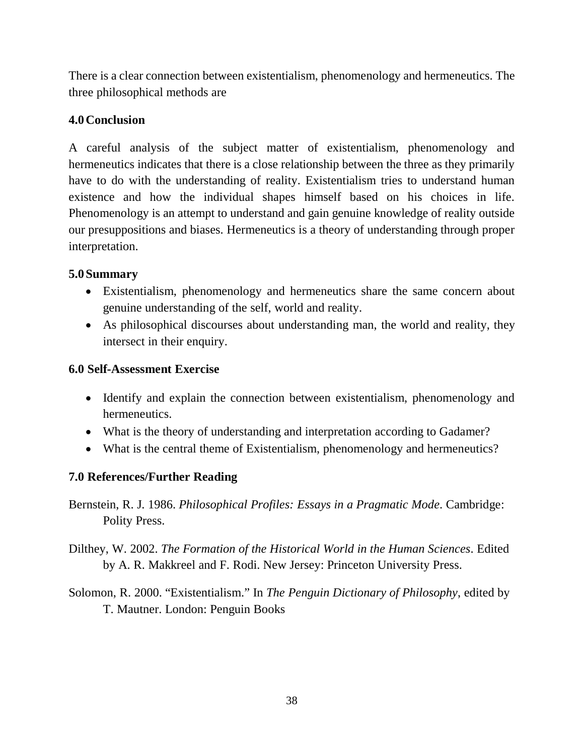There is a clear connection between existentialism, phenomenology and hermeneutics. The three philosophical methods are

# **4.0Conclusion**

A careful analysis of the subject matter of existentialism, phenomenology and hermeneutics indicates that there is a close relationship between the three as they primarily have to do with the understanding of reality. Existentialism tries to understand human existence and how the individual shapes himself based on his choices in life. Phenomenology is an attempt to understand and gain genuine knowledge of reality outside our presuppositions and biases. Hermeneutics is a theory of understanding through proper interpretation.

# **5.0Summary**

- Existentialism, phenomenology and hermeneutics share the same concern about genuine understanding of the self, world and reality.
- As philosophical discourses about understanding man, the world and reality, they intersect in their enquiry.

# **6.0 Self-Assessment Exercise**

- Identify and explain the connection between existentialism, phenomenology and hermeneutics.
- What is the theory of understanding and interpretation according to Gadamer?
- What is the central theme of Existentialism, phenomenology and hermeneutics?

# **7.0 References/Further Reading**

- Bernstein, R. J. 1986. *Philosophical Profiles: Essays in a Pragmatic Mode*. Cambridge: Polity Press.
- Dilthey, W. 2002. *The Formation of the Historical World in the Human Sciences*. Edited by A. R. Makkreel and F. Rodi. New Jersey: Princeton University Press.
- Solomon, R. 2000. "Existentialism." In *The Penguin Dictionary of Philosophy*, edited by T. Mautner. London: Penguin Books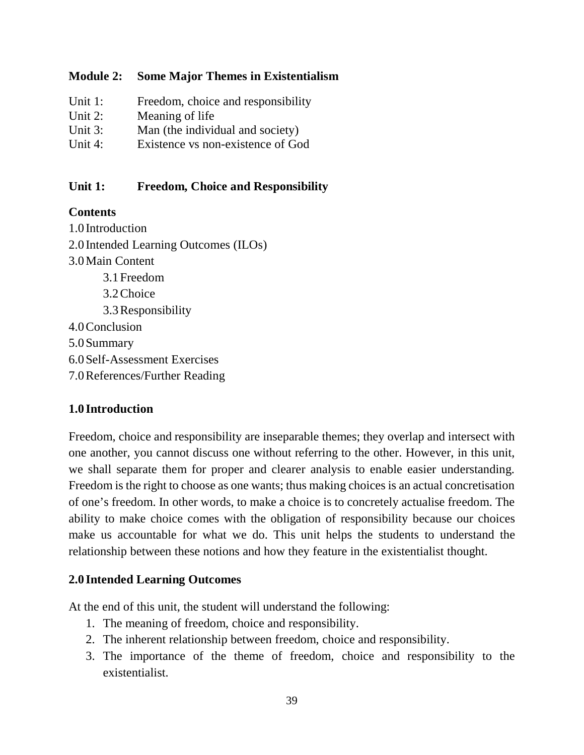#### **Module 2: Some Major Themes in Existentialism**

| Unit 1:    | Freedom, choice and responsibility |
|------------|------------------------------------|
| Unit $2$ : | Meaning of life                    |
| Unit 3:    | Man (the individual and society)   |
| Unit $4$ : | Existence vs non-existence of God  |

#### **Unit 1: Freedom, Choice and Responsibility**

#### **Contents**

1.0 Introduction 2.0 Intended Learning Outcomes (ILOs) 3.0Main Content 3.1Freedom 3.2Choice 3.3Responsibility 4.0Conclusion 5.0Summary 6.0Self-Assessment Exercises 7.0References/Further Reading

# **1.0 Introduction**

Freedom, choice and responsibility are inseparable themes; they overlap and intersect with one another, you cannot discuss one without referring to the other. However, in this unit, we shall separate them for proper and clearer analysis to enable easier understanding. Freedom is the right to choose as one wants; thus making choices is an actual concretisation of one's freedom. In other words, to make a choice is to concretely actualise freedom. The ability to make choice comes with the obligation of responsibility because our choices make us accountable for what we do. This unit helps the students to understand the relationship between these notions and how they feature in the existentialist thought.

#### **2.0 Intended Learning Outcomes**

At the end of this unit, the student will understand the following:

- 1. The meaning of freedom, choice and responsibility.
- 2. The inherent relationship between freedom, choice and responsibility.
- 3. The importance of the theme of freedom, choice and responsibility to the existentialist.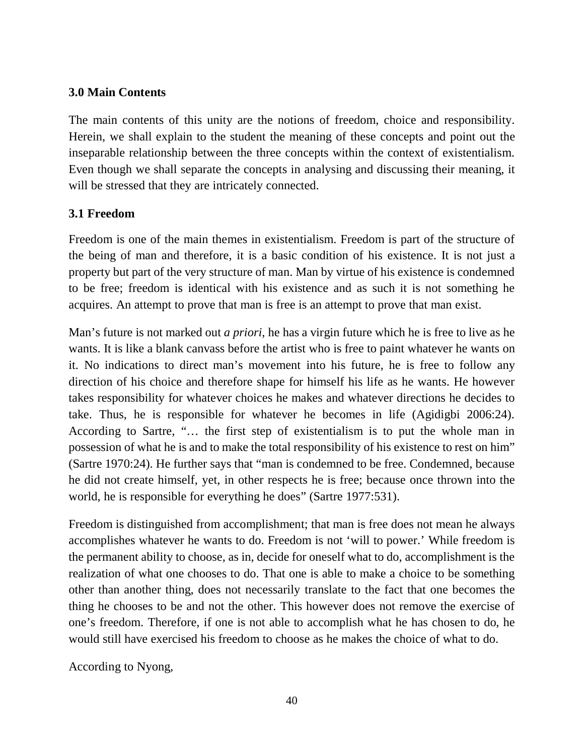### **3.0 Main Contents**

The main contents of this unity are the notions of freedom, choice and responsibility. Herein, we shall explain to the student the meaning of these concepts and point out the inseparable relationship between the three concepts within the context of existentialism. Even though we shall separate the concepts in analysing and discussing their meaning, it will be stressed that they are intricately connected.

# **3.1 Freedom**

Freedom is one of the main themes in existentialism. Freedom is part of the structure of the being of man and therefore, it is a basic condition of his existence. It is not just a property but part of the very structure of man. Man by virtue of his existence is condemned to be free; freedom is identical with his existence and as such it is not something he acquires. An attempt to prove that man is free is an attempt to prove that man exist.

Man's future is not marked out *a priori*, he has a virgin future which he is free to live as he wants. It is like a blank canvass before the artist who is free to paint whatever he wants on it. No indications to direct man's movement into his future, he is free to follow any direction of his choice and therefore shape for himself his life as he wants. He however takes responsibility for whatever choices he makes and whatever directions he decides to take. Thus, he is responsible for whatever he becomes in life (Agidigbi 2006:24). According to Sartre, "… the first step of existentialism is to put the whole man in possession of what he is and to make the total responsibility of his existence to rest on him" (Sartre 1970:24). He further says that "man is condemned to be free. Condemned, because he did not create himself, yet, in other respects he is free; because once thrown into the world, he is responsible for everything he does" (Sartre 1977:531).

Freedom is distinguished from accomplishment; that man is free does not mean he always accomplishes whatever he wants to do. Freedom is not 'will to power.' While freedom is the permanent ability to choose, as in, decide for oneself what to do, accomplishment is the realization of what one chooses to do. That one is able to make a choice to be something other than another thing, does not necessarily translate to the fact that one becomes the thing he chooses to be and not the other. This however does not remove the exercise of one's freedom. Therefore, if one is not able to accomplish what he has chosen to do, he would still have exercised his freedom to choose as he makes the choice of what to do.

According to Nyong,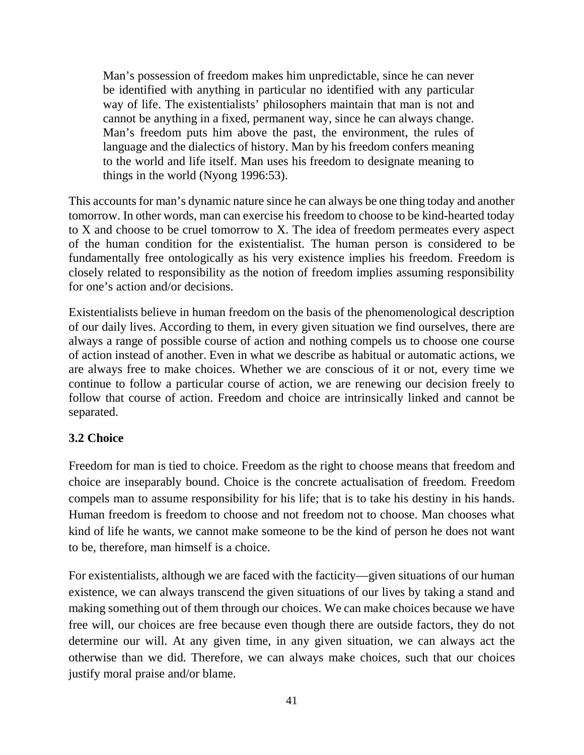Man's possession of freedom makes him unpredictable, since he can never be identified with anything in particular no identified with any particular way of life. The existentialists' philosophers maintain that man is not and cannot be anything in a fixed, permanent way, since he can always change. Man's freedom puts him above the past, the environment, the rules of language and the dialectics of history. Man by his freedom confers meaning to the world and life itself. Man uses his freedom to designate meaning to things in the world (Nyong 1996:53).

This accounts for man's dynamic nature since he can always be one thing today and another tomorrow. In other words, man can exercise his freedom to choose to be kind-hearted today to X and choose to be cruel tomorrow to X. The idea of freedom permeates every aspect of the human condition for the existentialist. The human person is considered to be fundamentally free ontologically as his very existence implies his freedom. Freedom is closely related to responsibility as the notion of freedom implies assuming responsibility for one's action and/or decisions.

Existentialists believe in human freedom on the basis of the phenomenological description of our daily lives. According to them, in every given situation we find ourselves, there are always a range of possible course of action and nothing compels us to choose one course of action instead of another. Even in what we describe as habitual or automatic actions, we are always free to make choices. Whether we are conscious of it or not, every time we continue to follow a particular course of action, we are renewing our decision freely to follow that course of action. Freedom and choice are intrinsically linked and cannot be separated.

#### **3.2 Choice**

Freedom for man is tied to choice. Freedom as the right to choose means that freedom and choice are inseparably bound. Choice is the concrete actualisation of freedom. Freedom compels man to assume responsibility for his life; that is to take his destiny in his hands. Human freedom is freedom to choose and not freedom not to choose. Man chooses what kind of life he wants, we cannot make someone to be the kind of person he does not want to be, therefore, man himself is a choice.

For existentialists, although we are faced with the facticity—given situations of our human existence, we can always transcend the given situations of our lives by taking a stand and making something out of them through our choices. We can make choices because we have free will, our choices are free because even though there are outside factors, they do not determine our will. At any given time, in any given situation, we can always act the otherwise than we did. Therefore, we can always make choices, such that our choices justify moral praise and/or blame.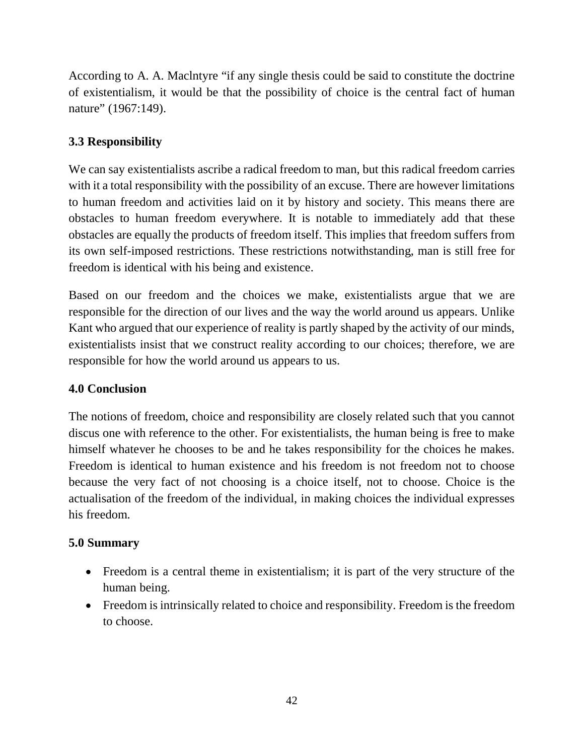According to A. A. Maclntyre "if any single thesis could be said to constitute the doctrine of existentialism, it would be that the possibility of choice is the central fact of human nature" (1967:149).

# **3.3 Responsibility**

We can say existentialists ascribe a radical freedom to man, but this radical freedom carries with it a total responsibility with the possibility of an excuse. There are however limitations to human freedom and activities laid on it by history and society. This means there are obstacles to human freedom everywhere. It is notable to immediately add that these obstacles are equally the products of freedom itself. This implies that freedom suffers from its own self-imposed restrictions. These restrictions notwithstanding, man is still free for freedom is identical with his being and existence.

Based on our freedom and the choices we make, existentialists argue that we are responsible for the direction of our lives and the way the world around us appears. Unlike Kant who argued that our experience of reality is partly shaped by the activity of our minds, existentialists insist that we construct reality according to our choices; therefore, we are responsible for how the world around us appears to us.

# **4.0 Conclusion**

The notions of freedom, choice and responsibility are closely related such that you cannot discus one with reference to the other. For existentialists, the human being is free to make himself whatever he chooses to be and he takes responsibility for the choices he makes. Freedom is identical to human existence and his freedom is not freedom not to choose because the very fact of not choosing is a choice itself, not to choose. Choice is the actualisation of the freedom of the individual, in making choices the individual expresses his freedom.

#### **5.0 Summary**

- Freedom is a central theme in existentialism; it is part of the very structure of the human being.
- Freedom is intrinsically related to choice and responsibility. Freedom is the freedom to choose.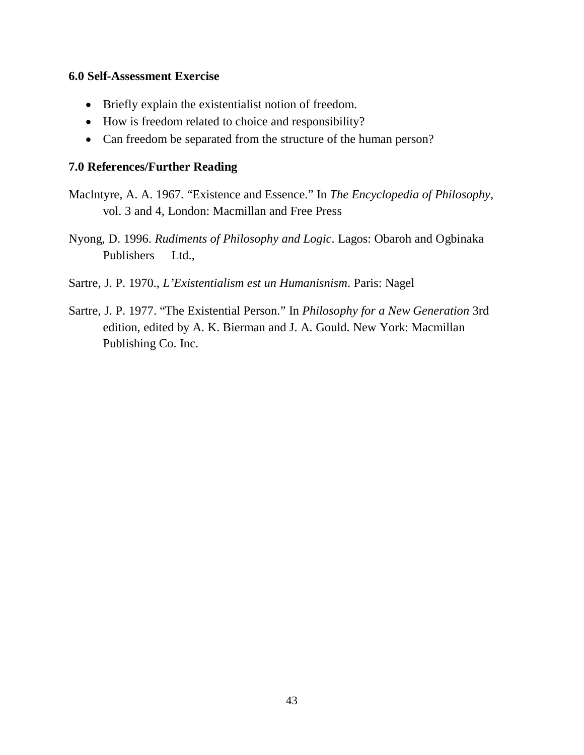#### **6.0 Self-Assessment Exercise**

- Briefly explain the existentialist notion of freedom.
- How is freedom related to choice and responsibility?
- Can freedom be separated from the structure of the human person?

#### **7.0 References/Further Reading**

- Maclntyre, A. A. 1967. "Existence and Essence." In *The Encyclopedia of Philosophy*, vol. 3 and 4, London: Macmillan and Free Press
- Nyong, D. 1996. *Rudiments of Philosophy and Logic*. Lagos: Obaroh and Ogbinaka Publishers Ltd.,
- Sartre, J. P. 1970., *L'Existentialism est un Humanisnism*. Paris: Nagel
- Sartre, J. P. 1977. "The Existential Person." In *Philosophy for a New Generation* 3rd edition, edited by A. K. Bierman and J. A. Gould. New York: Macmillan Publishing Co. Inc.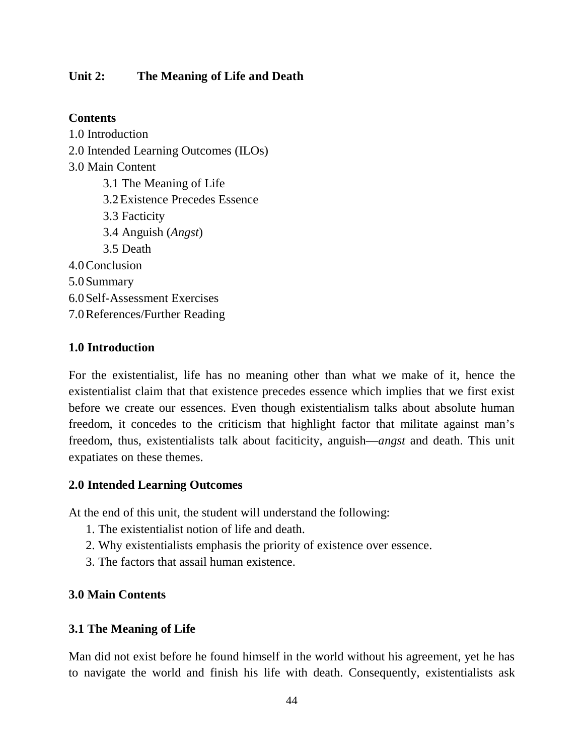### **Unit 2: The Meaning of Life and Death**

#### **Contents**

1.0 Introduction 2.0 Intended Learning Outcomes (ILOs) 3.0 Main Content 3.1 The Meaning of Life 3.2Existence Precedes Essence 3.3 Facticity 3.4 Anguish (*Angst*) 3.5 Death 4.0Conclusion 5.0Summary 6.0Self-Assessment Exercises 7.0References/Further Reading

#### **1.0 Introduction**

For the existentialist, life has no meaning other than what we make of it, hence the existentialist claim that that existence precedes essence which implies that we first exist before we create our essences. Even though existentialism talks about absolute human freedom, it concedes to the criticism that highlight factor that militate against man's freedom, thus, existentialists talk about faciticity, anguish—*angst* and death. This unit expatiates on these themes.

#### **2.0 Intended Learning Outcomes**

At the end of this unit, the student will understand the following:

- 1. The existentialist notion of life and death.
- 2. Why existentialists emphasis the priority of existence over essence.
- 3. The factors that assail human existence.

#### **3.0 Main Contents**

#### **3.1 The Meaning of Life**

Man did not exist before he found himself in the world without his agreement, yet he has to navigate the world and finish his life with death. Consequently, existentialists ask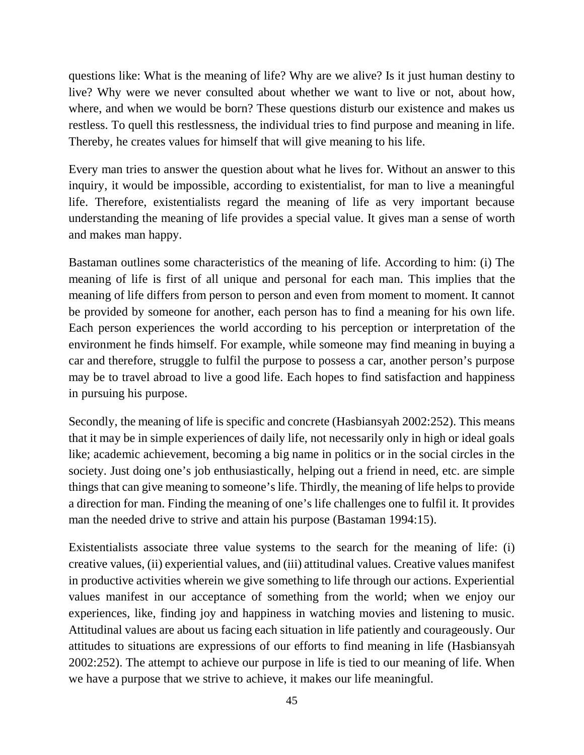questions like: What is the meaning of life? Why are we alive? Is it just human destiny to live? Why were we never consulted about whether we want to live or not, about how, where, and when we would be born? These questions disturb our existence and makes us restless. To quell this restlessness, the individual tries to find purpose and meaning in life. Thereby, he creates values for himself that will give meaning to his life.

Every man tries to answer the question about what he lives for. Without an answer to this inquiry, it would be impossible, according to existentialist, for man to live a meaningful life. Therefore, existentialists regard the meaning of life as very important because understanding the meaning of life provides a special value. It gives man a sense of worth and makes man happy.

Bastaman outlines some characteristics of the meaning of life. According to him: (i) The meaning of life is first of all unique and personal for each man. This implies that the meaning of life differs from person to person and even from moment to moment. It cannot be provided by someone for another, each person has to find a meaning for his own life. Each person experiences the world according to his perception or interpretation of the environment he finds himself. For example, while someone may find meaning in buying a car and therefore, struggle to fulfil the purpose to possess a car, another person's purpose may be to travel abroad to live a good life. Each hopes to find satisfaction and happiness in pursuing his purpose.

Secondly, the meaning of life is specific and concrete (Hasbiansyah 2002:252). This means that it may be in simple experiences of daily life, not necessarily only in high or ideal goals like; academic achievement, becoming a big name in politics or in the social circles in the society. Just doing one's job enthusiastically, helping out a friend in need, etc. are simple things that can give meaning to someone's life. Thirdly, the meaning of life helps to provide a direction for man. Finding the meaning of one's life challenges one to fulfil it. It provides man the needed drive to strive and attain his purpose (Bastaman 1994:15).

Existentialists associate three value systems to the search for the meaning of life: (i) creative values, (ii) experiential values, and (iii) attitudinal values. Creative values manifest in productive activities wherein we give something to life through our actions. Experiential values manifest in our acceptance of something from the world; when we enjoy our experiences, like, finding joy and happiness in watching movies and listening to music. Attitudinal values are about us facing each situation in life patiently and courageously. Our attitudes to situations are expressions of our efforts to find meaning in life (Hasbiansyah 2002:252). The attempt to achieve our purpose in life is tied to our meaning of life. When we have a purpose that we strive to achieve, it makes our life meaningful.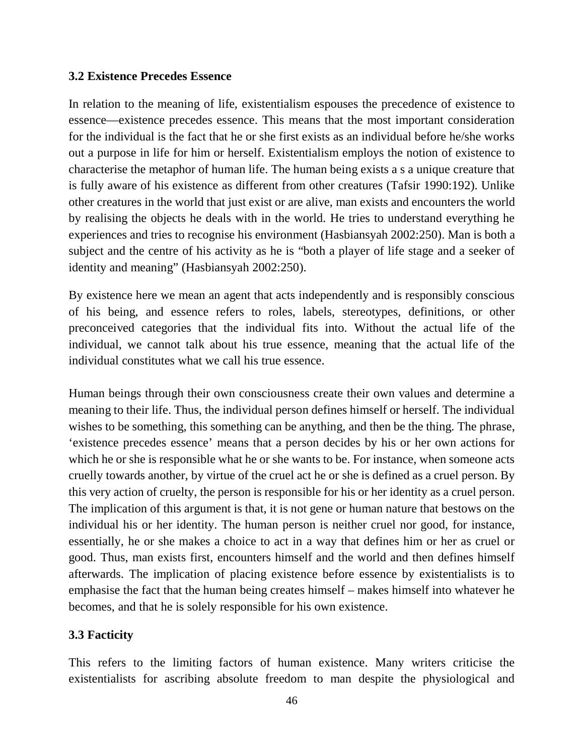#### **3.2 Existence Precedes Essence**

In relation to the meaning of life, existentialism espouses the precedence of existence to essence—existence precedes essence. This means that the most important consideration for the individual is the fact that he or she first exists as an individual before he/she works out a purpose in life for him or herself. Existentialism employs the notion of existence to characterise the metaphor of human life. The human being exists a s a unique creature that is fully aware of his existence as different from other creatures (Tafsir 1990:192). Unlike other creatures in the world that just exist or are alive, man exists and encounters the world by realising the objects he deals with in the world. He tries to understand everything he experiences and tries to recognise his environment (Hasbiansyah 2002:250). Man is both a subject and the centre of his activity as he is "both a player of life stage and a seeker of identity and meaning" (Hasbiansyah 2002:250).

By existence here we mean an agent that acts independently and is responsibly conscious of his being, and essence refers to roles, labels, stereotypes, definitions, or other preconceived categories that the individual fits into. Without the actual life of the individual, we cannot talk about his true essence, meaning that the actual life of the individual constitutes what we call his true essence.

Human beings through their own consciousness create their own values and determine a meaning to their life. Thus, the individual person defines himself or herself. The individual wishes to be something, this something can be anything, and then be the thing. The phrase, 'existence precedes essence' means that a person decides by his or her own actions for which he or she is responsible what he or she wants to be. For instance, when someone acts cruelly towards another, by virtue of the cruel act he or she is defined as a cruel person. By this very action of cruelty, the person is responsible for his or her identity as a cruel person. The implication of this argument is that, it is not gene or human nature that bestows on the individual his or her identity. The human person is neither cruel nor good, for instance, essentially, he or she makes a choice to act in a way that defines him or her as cruel or good. Thus, man exists first, encounters himself and the world and then defines himself afterwards. The implication of placing existence before essence by existentialists is to emphasise the fact that the human being creates himself – makes himself into whatever he becomes, and that he is solely responsible for his own existence.

# **3.3 Facticity**

This refers to the limiting factors of human existence. Many writers criticise the existentialists for ascribing absolute freedom to man despite the physiological and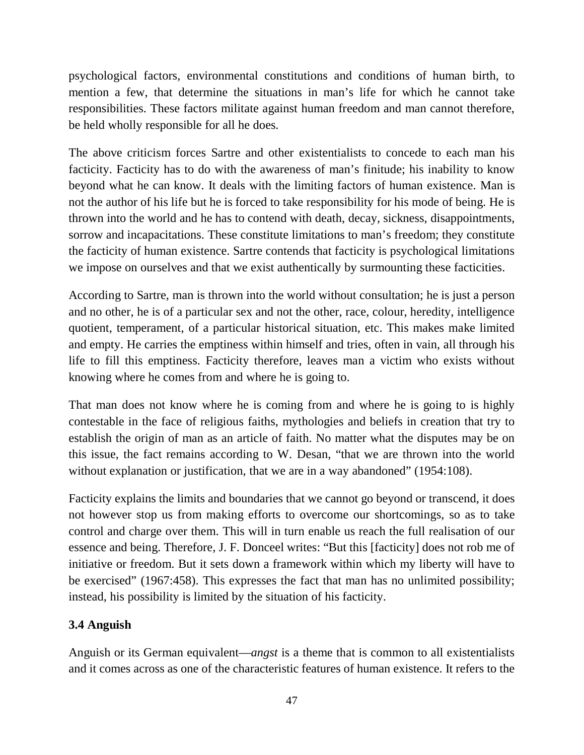psychological factors, environmental constitutions and conditions of human birth, to mention a few, that determine the situations in man's life for which he cannot take responsibilities. These factors militate against human freedom and man cannot therefore, be held wholly responsible for all he does.

The above criticism forces Sartre and other existentialists to concede to each man his facticity. Facticity has to do with the awareness of man's finitude; his inability to know beyond what he can know. It deals with the limiting factors of human existence. Man is not the author of his life but he is forced to take responsibility for his mode of being. He is thrown into the world and he has to contend with death, decay, sickness, disappointments, sorrow and incapacitations. These constitute limitations to man's freedom; they constitute the facticity of human existence. Sartre contends that facticity is psychological limitations we impose on ourselves and that we exist authentically by surmounting these facticities.

According to Sartre, man is thrown into the world without consultation; he is just a person and no other, he is of a particular sex and not the other, race, colour, heredity, intelligence quotient, temperament, of a particular historical situation, etc. This makes make limited and empty. He carries the emptiness within himself and tries, often in vain, all through his life to fill this emptiness. Facticity therefore, leaves man a victim who exists without knowing where he comes from and where he is going to.

That man does not know where he is coming from and where he is going to is highly contestable in the face of religious faiths, mythologies and beliefs in creation that try to establish the origin of man as an article of faith. No matter what the disputes may be on this issue, the fact remains according to W. Desan, "that we are thrown into the world without explanation or justification, that we are in a way abandoned" (1954:108).

Facticity explains the limits and boundaries that we cannot go beyond or transcend, it does not however stop us from making efforts to overcome our shortcomings, so as to take control and charge over them. This will in turn enable us reach the full realisation of our essence and being. Therefore, J. F. Donceel writes: "But this [facticity] does not rob me of initiative or freedom. But it sets down a framework within which my liberty will have to be exercised" (1967:458). This expresses the fact that man has no unlimited possibility; instead, his possibility is limited by the situation of his facticity.

# **3.4 Anguish**

Anguish or its German equivalent—*angst* is a theme that is common to all existentialists and it comes across as one of the characteristic features of human existence. It refers to the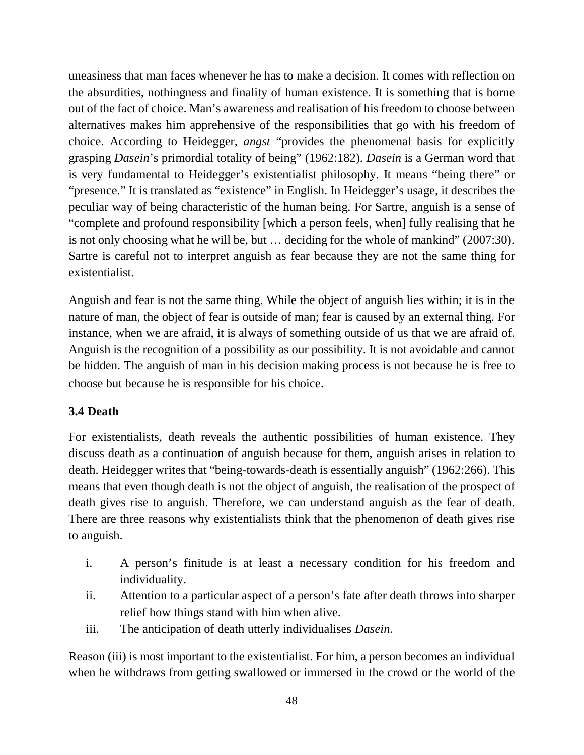uneasiness that man faces whenever he has to make a decision. It comes with reflection on the absurdities, nothingness and finality of human existence. It is something that is borne out of the fact of choice. Man's awareness and realisation of his freedom to choose between alternatives makes him apprehensive of the responsibilities that go with his freedom of choice. According to Heidegger, *angst* "provides the phenomenal basis for explicitly grasping *Dasein*'s primordial totality of being" (1962:182). *Dasein* is a German word that is very fundamental to Heidegger's existentialist philosophy. It means "being there" or "presence." It is translated as "existence" in English. In Heidegger's usage, it describes the peculiar way of being characteristic of the human being. For Sartre, anguish is a sense of "complete and profound responsibility [which a person feels, when] fully realising that he is not only choosing what he will be, but … deciding for the whole of mankind" (2007:30). Sartre is careful not to interpret anguish as fear because they are not the same thing for existentialist.

Anguish and fear is not the same thing. While the object of anguish lies within; it is in the nature of man, the object of fear is outside of man; fear is caused by an external thing. For instance, when we are afraid, it is always of something outside of us that we are afraid of. Anguish is the recognition of a possibility as our possibility. It is not avoidable and cannot be hidden. The anguish of man in his decision making process is not because he is free to choose but because he is responsible for his choice.

#### **3.4 Death**

For existentialists, death reveals the authentic possibilities of human existence. They discuss death as a continuation of anguish because for them, anguish arises in relation to death. Heidegger writes that "being-towards-death is essentially anguish" (1962:266). This means that even though death is not the object of anguish, the realisation of the prospect of death gives rise to anguish. Therefore, we can understand anguish as the fear of death. There are three reasons why existentialists think that the phenomenon of death gives rise to anguish.

- i. A person's finitude is at least a necessary condition for his freedom and individuality.
- ii. Attention to a particular aspect of a person's fate after death throws into sharper relief how things stand with him when alive.
- iii. The anticipation of death utterly individualises *Dasein*.

Reason (iii) is most important to the existentialist. For him, a person becomes an individual when he withdraws from getting swallowed or immersed in the crowd or the world of the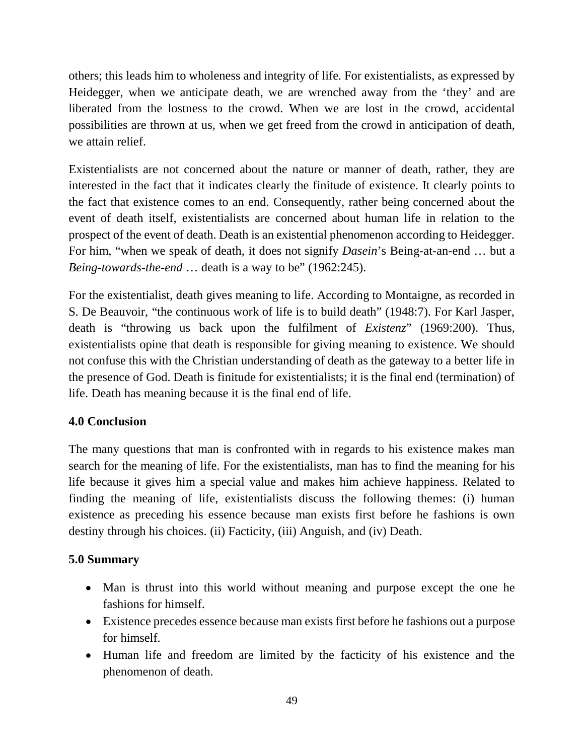others; this leads him to wholeness and integrity of life. For existentialists, as expressed by Heidegger, when we anticipate death, we are wrenched away from the 'they' and are liberated from the lostness to the crowd. When we are lost in the crowd, accidental possibilities are thrown at us, when we get freed from the crowd in anticipation of death, we attain relief.

Existentialists are not concerned about the nature or manner of death, rather, they are interested in the fact that it indicates clearly the finitude of existence. It clearly points to the fact that existence comes to an end. Consequently, rather being concerned about the event of death itself, existentialists are concerned about human life in relation to the prospect of the event of death. Death is an existential phenomenon according to Heidegger. For him, "when we speak of death, it does not signify *Dasein*'s Being-at-an-end … but a *Being-towards-the-end* … death is a way to be" (1962:245).

For the existentialist, death gives meaning to life. According to Montaigne, as recorded in S. De Beauvoir, "the continuous work of life is to build death" (1948:7). For Karl Jasper, death is "throwing us back upon the fulfilment of *Existenz*" (1969:200). Thus, existentialists opine that death is responsible for giving meaning to existence. We should not confuse this with the Christian understanding of death as the gateway to a better life in the presence of God. Death is finitude for existentialists; it is the final end (termination) of life. Death has meaning because it is the final end of life.

# **4.0 Conclusion**

The many questions that man is confronted with in regards to his existence makes man search for the meaning of life. For the existentialists, man has to find the meaning for his life because it gives him a special value and makes him achieve happiness. Related to finding the meaning of life, existentialists discuss the following themes: (i) human existence as preceding his essence because man exists first before he fashions is own destiny through his choices. (ii) Facticity, (iii) Anguish, and (iv) Death.

# **5.0 Summary**

- Man is thrust into this world without meaning and purpose except the one he fashions for himself.
- Existence precedes essence because man exists first before he fashions out a purpose for himself.
- Human life and freedom are limited by the facticity of his existence and the phenomenon of death.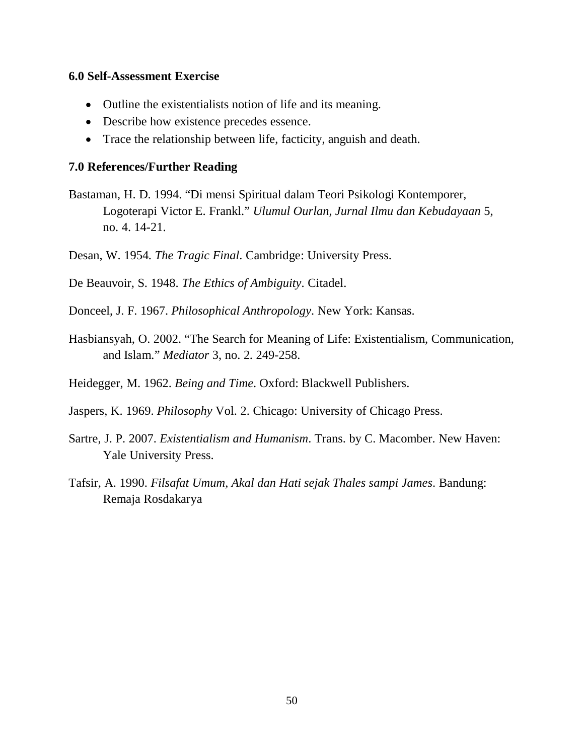#### **6.0 Self-Assessment Exercise**

- Outline the existentialists notion of life and its meaning.
- Describe how existence precedes essence.
- Trace the relationship between life, facticity, anguish and death.

#### **7.0 References/Further Reading**

Bastaman, H. D. 1994. "Di mensi Spiritual dalam Teori Psikologi Kontemporer, Logoterapi Victor E. Frankl." *Ulumul Ourlan, Jurnal Ilmu dan Kebudayaan* 5, no. 4. 14-21.

Desan, W. 1954. *The Tragic Final*. Cambridge: University Press.

De Beauvoir, S. 1948. *The Ethics of Ambiguity*. Citadel.

Donceel, J. F. 1967. *Philosophical Anthropology*. New York: Kansas.

Hasbiansyah, O. 2002. "The Search for Meaning of Life: Existentialism, Communication, and Islam." *Mediator* 3, no. 2. 249-258.

Heidegger, M. 1962. *Being and Time*. Oxford: Blackwell Publishers.

Jaspers, K. 1969. *Philosophy* Vol. 2. Chicago: University of Chicago Press.

- Sartre, J. P. 2007. *Existentialism and Humanism*. Trans. by C. Macomber. New Haven: Yale University Press.
- Tafsir, A. 1990. *Filsafat Umum, Akal dan Hati sejak Thales sampi James*. Bandung: Remaja Rosdakarya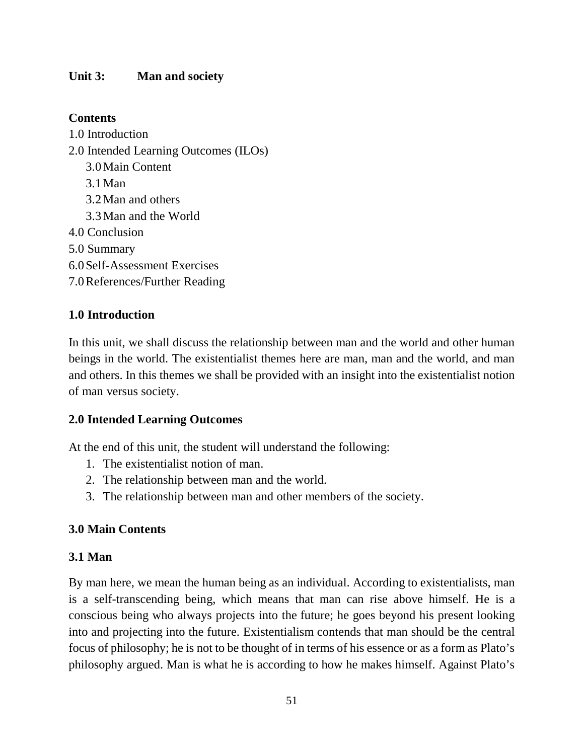### **Unit 3: Man and society**

### **Contents**

1.0 Introduction 2.0 Intended Learning Outcomes (ILOs) 3.0Main Content 3.1Man 3.2Man and others 3.3Man and the World 4.0 Conclusion 5.0 Summary 6.0Self-Assessment Exercises 7.0References/Further Reading

# **1.0 Introduction**

In this unit, we shall discuss the relationship between man and the world and other human beings in the world. The existentialist themes here are man, man and the world, and man and others. In this themes we shall be provided with an insight into the existentialist notion of man versus society.

#### **2.0 Intended Learning Outcomes**

At the end of this unit, the student will understand the following:

- 1. The existentialist notion of man.
- 2. The relationship between man and the world.
- 3. The relationship between man and other members of the society.

#### **3.0 Main Contents**

#### **3.1 Man**

By man here, we mean the human being as an individual. According to existentialists, man is a self-transcending being, which means that man can rise above himself. He is a conscious being who always projects into the future; he goes beyond his present looking into and projecting into the future. Existentialism contends that man should be the central focus of philosophy; he is not to be thought of in terms of his essence or as a form as Plato's philosophy argued. Man is what he is according to how he makes himself. Against Plato's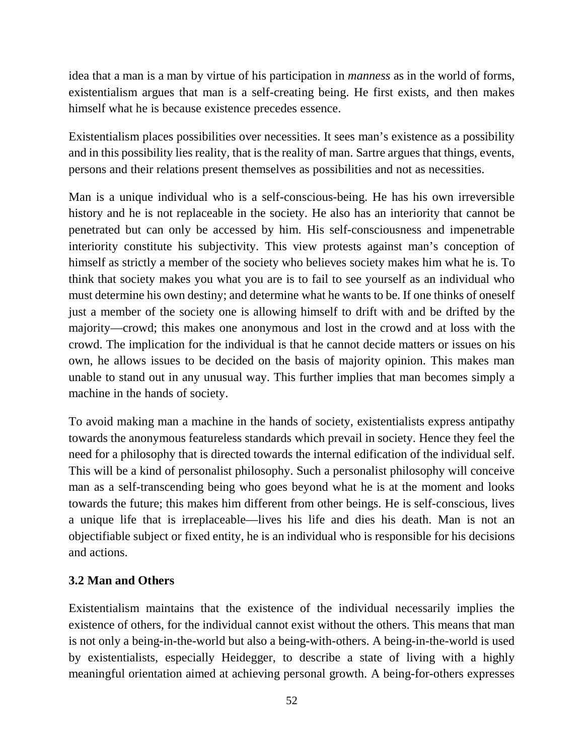idea that a man is a man by virtue of his participation in *manness* as in the world of forms, existentialism argues that man is a self-creating being. He first exists, and then makes himself what he is because existence precedes essence.

Existentialism places possibilities over necessities. It sees man's existence as a possibility and in this possibility lies reality, that is the reality of man. Sartre argues that things, events, persons and their relations present themselves as possibilities and not as necessities.

Man is a unique individual who is a self-conscious-being. He has his own irreversible history and he is not replaceable in the society. He also has an interiority that cannot be penetrated but can only be accessed by him. His self-consciousness and impenetrable interiority constitute his subjectivity. This view protests against man's conception of himself as strictly a member of the society who believes society makes him what he is. To think that society makes you what you are is to fail to see yourself as an individual who must determine his own destiny; and determine what he wants to be. If one thinks of oneself just a member of the society one is allowing himself to drift with and be drifted by the majority—crowd; this makes one anonymous and lost in the crowd and at loss with the crowd. The implication for the individual is that he cannot decide matters or issues on his own, he allows issues to be decided on the basis of majority opinion. This makes man unable to stand out in any unusual way. This further implies that man becomes simply a machine in the hands of society.

To avoid making man a machine in the hands of society, existentialists express antipathy towards the anonymous featureless standards which prevail in society. Hence they feel the need for a philosophy that is directed towards the internal edification of the individual self. This will be a kind of personalist philosophy. Such a personalist philosophy will conceive man as a self-transcending being who goes beyond what he is at the moment and looks towards the future; this makes him different from other beings. He is self-conscious, lives a unique life that is irreplaceable—lives his life and dies his death. Man is not an objectifiable subject or fixed entity, he is an individual who is responsible for his decisions and actions.

# **3.2 Man and Others**

Existentialism maintains that the existence of the individual necessarily implies the existence of others, for the individual cannot exist without the others. This means that man is not only a being-in-the-world but also a being-with-others. A being-in-the-world is used by existentialists, especially Heidegger, to describe a state of living with a highly meaningful orientation aimed at achieving personal growth. A being-for-others expresses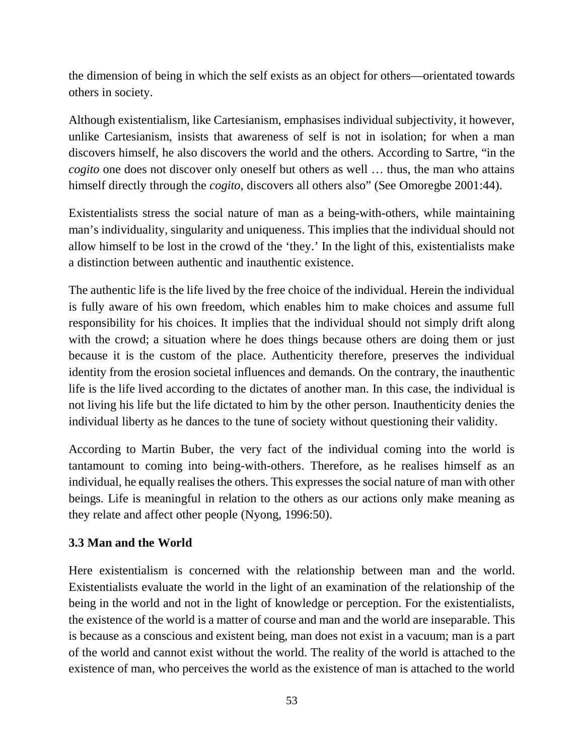the dimension of being in which the self exists as an object for others—orientated towards others in society.

Although existentialism, like Cartesianism, emphasises individual subjectivity, it however, unlike Cartesianism, insists that awareness of self is not in isolation; for when a man discovers himself, he also discovers the world and the others. According to Sartre, "in the *cogito* one does not discover only oneself but others as well … thus, the man who attains himself directly through the *cogito*, discovers all others also" (See Omoregbe 2001:44).

Existentialists stress the social nature of man as a being-with-others, while maintaining man's individuality, singularity and uniqueness. This implies that the individual should not allow himself to be lost in the crowd of the 'they.' In the light of this, existentialists make a distinction between authentic and inauthentic existence.

The authentic life is the life lived by the free choice of the individual. Herein the individual is fully aware of his own freedom, which enables him to make choices and assume full responsibility for his choices. It implies that the individual should not simply drift along with the crowd; a situation where he does things because others are doing them or just because it is the custom of the place. Authenticity therefore, preserves the individual identity from the erosion societal influences and demands. On the contrary, the inauthentic life is the life lived according to the dictates of another man. In this case, the individual is not living his life but the life dictated to him by the other person. Inauthenticity denies the individual liberty as he dances to the tune of society without questioning their validity.

According to Martin Buber, the very fact of the individual coming into the world is tantamount to coming into being-with-others. Therefore, as he realises himself as an individual, he equally realises the others. This expresses the social nature of man with other beings. Life is meaningful in relation to the others as our actions only make meaning as they relate and affect other people (Nyong, 1996:50).

# **3.3 Man and the World**

Here existentialism is concerned with the relationship between man and the world. Existentialists evaluate the world in the light of an examination of the relationship of the being in the world and not in the light of knowledge or perception. For the existentialists, the existence of the world is a matter of course and man and the world are inseparable. This is because as a conscious and existent being, man does not exist in a vacuum; man is a part of the world and cannot exist without the world. The reality of the world is attached to the existence of man, who perceives the world as the existence of man is attached to the world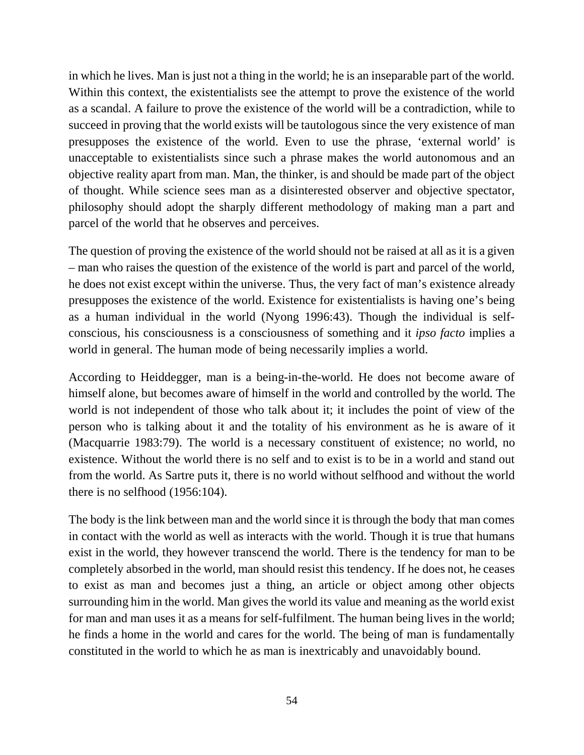in which he lives. Man is just not a thing in the world; he is an inseparable part of the world. Within this context, the existentialists see the attempt to prove the existence of the world as a scandal. A failure to prove the existence of the world will be a contradiction, while to succeed in proving that the world exists will be tautologous since the very existence of man presupposes the existence of the world. Even to use the phrase, 'external world' is unacceptable to existentialists since such a phrase makes the world autonomous and an objective reality apart from man. Man, the thinker, is and should be made part of the object of thought. While science sees man as a disinterested observer and objective spectator, philosophy should adopt the sharply different methodology of making man a part and parcel of the world that he observes and perceives.

The question of proving the existence of the world should not be raised at all as it is a given – man who raises the question of the existence of the world is part and parcel of the world, he does not exist except within the universe. Thus, the very fact of man's existence already presupposes the existence of the world. Existence for existentialists is having one's being as a human individual in the world (Nyong 1996:43). Though the individual is selfconscious, his consciousness is a consciousness of something and it *ipso facto* implies a world in general. The human mode of being necessarily implies a world.

According to Heiddegger, man is a being-in-the-world. He does not become aware of himself alone, but becomes aware of himself in the world and controlled by the world. The world is not independent of those who talk about it; it includes the point of view of the person who is talking about it and the totality of his environment as he is aware of it (Macquarrie 1983:79). The world is a necessary constituent of existence; no world, no existence. Without the world there is no self and to exist is to be in a world and stand out from the world. As Sartre puts it, there is no world without selfhood and without the world there is no selfhood (1956:104).

The body is the link between man and the world since it is through the body that man comes in contact with the world as well as interacts with the world. Though it is true that humans exist in the world, they however transcend the world. There is the tendency for man to be completely absorbed in the world, man should resist this tendency. If he does not, he ceases to exist as man and becomes just a thing, an article or object among other objects surrounding him in the world. Man gives the world its value and meaning as the world exist for man and man uses it as a means for self-fulfilment. The human being lives in the world; he finds a home in the world and cares for the world. The being of man is fundamentally constituted in the world to which he as man is inextricably and unavoidably bound.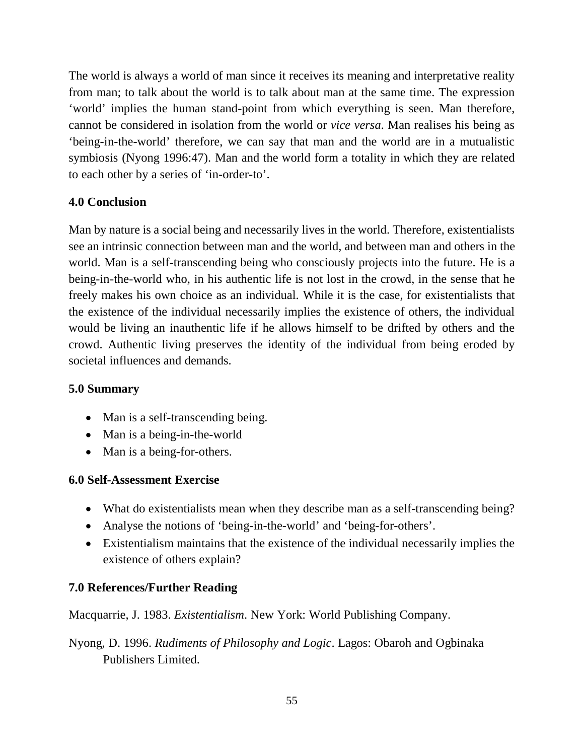The world is always a world of man since it receives its meaning and interpretative reality from man; to talk about the world is to talk about man at the same time. The expression 'world' implies the human stand-point from which everything is seen. Man therefore, cannot be considered in isolation from the world or *vice versa*. Man realises his being as 'being-in-the-world' therefore, we can say that man and the world are in a mutualistic symbiosis (Nyong 1996:47). Man and the world form a totality in which they are related to each other by a series of 'in-order-to'.

# **4.0 Conclusion**

Man by nature is a social being and necessarily lives in the world. Therefore, existentialists see an intrinsic connection between man and the world, and between man and others in the world. Man is a self-transcending being who consciously projects into the future. He is a being-in-the-world who, in his authentic life is not lost in the crowd, in the sense that he freely makes his own choice as an individual. While it is the case, for existentialists that the existence of the individual necessarily implies the existence of others, the individual would be living an inauthentic life if he allows himself to be drifted by others and the crowd. Authentic living preserves the identity of the individual from being eroded by societal influences and demands.

#### **5.0 Summary**

- Man is a self-transcending being.
- Man is a being-in-the-world
- Man is a being-for-others.

#### **6.0 Self-Assessment Exercise**

- What do existentialists mean when they describe man as a self-transcending being?
- Analyse the notions of 'being-in-the-world' and 'being-for-others'.
- Existentialism maintains that the existence of the individual necessarily implies the existence of others explain?

#### **7.0 References/Further Reading**

Macquarrie, J. 1983. *Existentialism*. New York: World Publishing Company.

Nyong, D. 1996. *Rudiments of Philosophy and Logic*. Lagos: Obaroh and Ogbinaka Publishers Limited.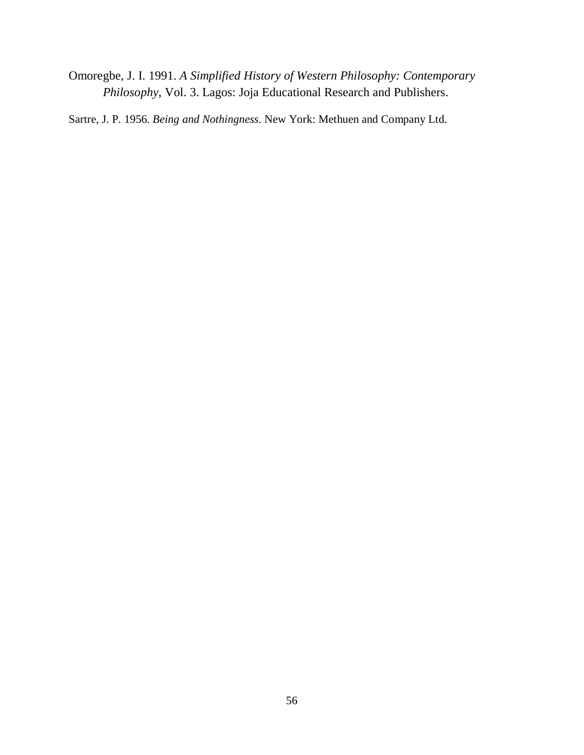Omoregbe, J. I. 1991. *A Simplified History of Western Philosophy: Contemporary Philosophy*, Vol. 3. Lagos: Joja Educational Research and Publishers.

Sartre, J. P. 1956. *Being and Nothingness*. New York: Methuen and Company Ltd.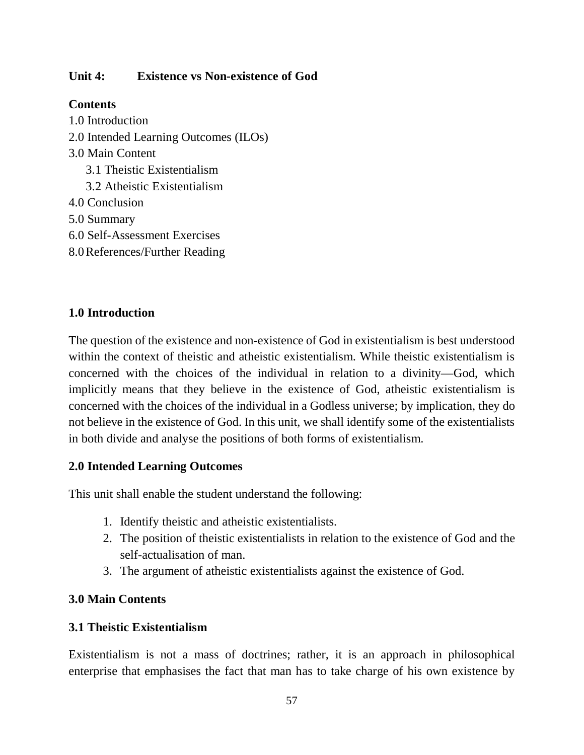## **Unit 4: Existence vs Non-existence of God**

# **Contents**

1.0 Introduction 2.0 Intended Learning Outcomes (ILOs) 3.0 Main Content 3.1 Theistic Existentialism 3.2 Atheistic Existentialism 4.0 Conclusion 5.0 Summary 6.0 Self-Assessment Exercises 8.0References/Further Reading

### **1.0 Introduction**

The question of the existence and non-existence of God in existentialism is best understood within the context of theistic and atheistic existentialism. While theistic existentialism is concerned with the choices of the individual in relation to a divinity—God, which implicitly means that they believe in the existence of God, atheistic existentialism is concerned with the choices of the individual in a Godless universe; by implication, they do not believe in the existence of God. In this unit, we shall identify some of the existentialists in both divide and analyse the positions of both forms of existentialism.

#### **2.0 Intended Learning Outcomes**

This unit shall enable the student understand the following:

- 1. Identify theistic and atheistic existentialists.
- 2. The position of theistic existentialists in relation to the existence of God and the self-actualisation of man.
- 3. The argument of atheistic existentialists against the existence of God.

#### **3.0 Main Contents**

#### **3.1 Theistic Existentialism**

Existentialism is not a mass of doctrines; rather, it is an approach in philosophical enterprise that emphasises the fact that man has to take charge of his own existence by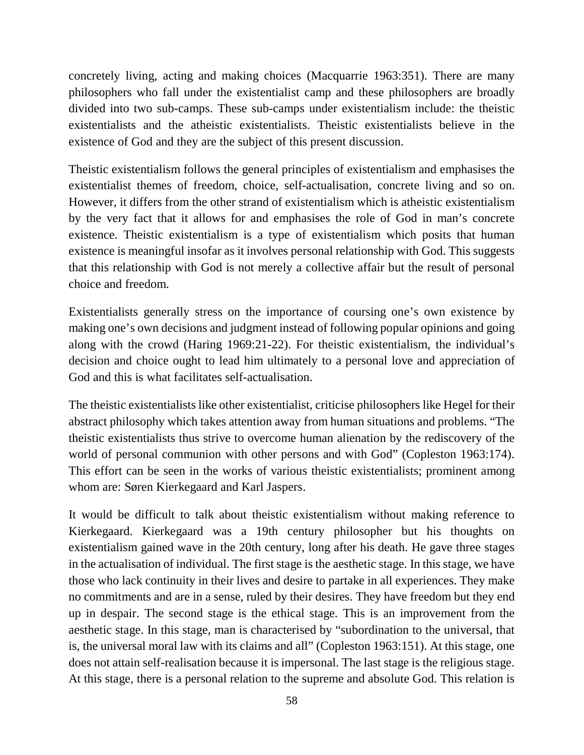concretely living, acting and making choices (Macquarrie 1963:351). There are many philosophers who fall under the existentialist camp and these philosophers are broadly divided into two sub-camps. These sub-camps under existentialism include: the theistic existentialists and the atheistic existentialists. Theistic existentialists believe in the existence of God and they are the subject of this present discussion.

Theistic existentialism follows the general principles of existentialism and emphasises the existentialist themes of freedom, choice, self-actualisation, concrete living and so on. However, it differs from the other strand of existentialism which is atheistic existentialism by the very fact that it allows for and emphasises the role of God in man's concrete existence. Theistic existentialism is a type of existentialism which posits that human existence is meaningful insofar as it involves personal relationship with God. This suggests that this relationship with God is not merely a collective affair but the result of personal choice and freedom.

Existentialists generally stress on the importance of coursing one's own existence by making one's own decisions and judgment instead of following popular opinions and going along with the crowd (Haring 1969:21-22). For theistic existentialism, the individual's decision and choice ought to lead him ultimately to a personal love and appreciation of God and this is what facilitates self-actualisation.

The theistic existentialists like other existentialist, criticise philosophers like Hegel for their abstract philosophy which takes attention away from human situations and problems. "The theistic existentialists thus strive to overcome human alienation by the rediscovery of the world of personal communion with other persons and with God" (Copleston 1963:174). This effort can be seen in the works of various theistic existentialists; prominent among whom are: Søren Kierkegaard and Karl Jaspers.

It would be difficult to talk about theistic existentialism without making reference to Kierkegaard. Kierkegaard was a 19th century philosopher but his thoughts on existentialism gained wave in the 20th century, long after his death. He gave three stages in the actualisation of individual. The first stage is the aesthetic stage. In this stage, we have those who lack continuity in their lives and desire to partake in all experiences. They make no commitments and are in a sense, ruled by their desires. They have freedom but they end up in despair. The second stage is the ethical stage. This is an improvement from the aesthetic stage. In this stage, man is characterised by "subordination to the universal, that is, the universal moral law with its claims and all" (Copleston 1963:151). At this stage, one does not attain self-realisation because it is impersonal. The last stage is the religious stage. At this stage, there is a personal relation to the supreme and absolute God. This relation is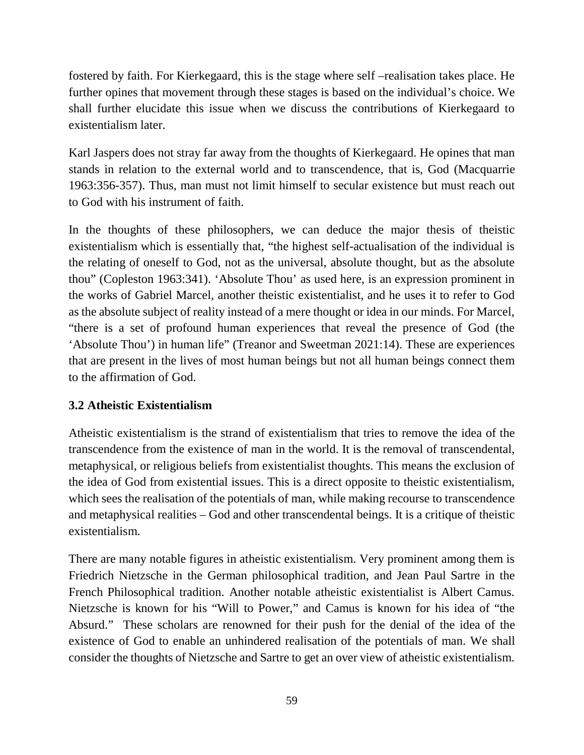fostered by faith. For Kierkegaard, this is the stage where self –realisation takes place. He further opines that movement through these stages is based on the individual's choice. We shall further elucidate this issue when we discuss the contributions of Kierkegaard to existentialism later.

Karl Jaspers does not stray far away from the thoughts of Kierkegaard. He opines that man stands in relation to the external world and to transcendence, that is, God (Macquarrie 1963:356-357). Thus, man must not limit himself to secular existence but must reach out to God with his instrument of faith.

In the thoughts of these philosophers, we can deduce the major thesis of theistic existentialism which is essentially that, "the highest self-actualisation of the individual is the relating of oneself to God, not as the universal, absolute thought, but as the absolute thou" (Copleston 1963:341). 'Absolute Thou' as used here, is an expression prominent in the works of Gabriel Marcel, another theistic existentialist, and he uses it to refer to God as the absolute subject of reality instead of a mere thought or idea in our minds. For Marcel, "there is a set of profound human experiences that reveal the presence of God (the 'Absolute Thou') in human life" (Treanor and Sweetman 2021:14). These are experiences that are present in the lives of most human beings but not all human beings connect them to the affirmation of God.

# **3.2 Atheistic Existentialism**

Atheistic existentialism is the strand of existentialism that tries to remove the idea of the transcendence from the existence of man in the world. It is the removal of transcendental, metaphysical, or religious beliefs from existentialist thoughts. This means the exclusion of the idea of God from existential issues. This is a direct opposite to theistic existentialism, which sees the realisation of the potentials of man, while making recourse to transcendence and metaphysical realities – God and other transcendental beings. It is a critique of theistic existentialism.

There are many notable figures in atheistic existentialism. Very prominent among them is Friedrich Nietzsche in the German philosophical tradition, and Jean Paul Sartre in the French Philosophical tradition. Another notable atheistic existentialist is Albert Camus. Nietzsche is known for his "Will to Power," and Camus is known for his idea of "the Absurd." These scholars are renowned for their push for the denial of the idea of the existence of God to enable an unhindered realisation of the potentials of man. We shall consider the thoughts of Nietzsche and Sartre to get an over view of atheistic existentialism.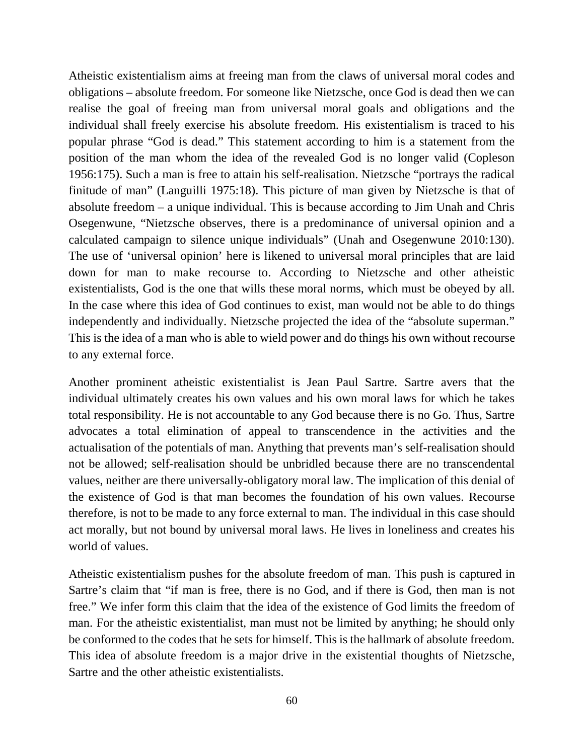Atheistic existentialism aims at freeing man from the claws of universal moral codes and obligations – absolute freedom. For someone like Nietzsche, once God is dead then we can realise the goal of freeing man from universal moral goals and obligations and the individual shall freely exercise his absolute freedom. His existentialism is traced to his popular phrase "God is dead." This statement according to him is a statement from the position of the man whom the idea of the revealed God is no longer valid (Copleson 1956:175). Such a man is free to attain his self-realisation. Nietzsche "portrays the radical finitude of man" (Languilli 1975:18). This picture of man given by Nietzsche is that of absolute freedom – a unique individual. This is because according to Jim Unah and Chris Osegenwune, "Nietzsche observes, there is a predominance of universal opinion and a calculated campaign to silence unique individuals" (Unah and Osegenwune 2010:130). The use of 'universal opinion' here is likened to universal moral principles that are laid down for man to make recourse to. According to Nietzsche and other atheistic existentialists, God is the one that wills these moral norms, which must be obeyed by all. In the case where this idea of God continues to exist, man would not be able to do things independently and individually. Nietzsche projected the idea of the "absolute superman." This is the idea of a man who is able to wield power and do things his own without recourse to any external force.

Another prominent atheistic existentialist is Jean Paul Sartre. Sartre avers that the individual ultimately creates his own values and his own moral laws for which he takes total responsibility. He is not accountable to any God because there is no Go. Thus, Sartre advocates a total elimination of appeal to transcendence in the activities and the actualisation of the potentials of man. Anything that prevents man's self-realisation should not be allowed; self-realisation should be unbridled because there are no transcendental values, neither are there universally-obligatory moral law. The implication of this denial of the existence of God is that man becomes the foundation of his own values. Recourse therefore, is not to be made to any force external to man. The individual in this case should act morally, but not bound by universal moral laws. He lives in loneliness and creates his world of values.

Atheistic existentialism pushes for the absolute freedom of man. This push is captured in Sartre's claim that "if man is free, there is no God, and if there is God, then man is not free." We infer form this claim that the idea of the existence of God limits the freedom of man. For the atheistic existentialist, man must not be limited by anything; he should only be conformed to the codes that he sets for himself. This is the hallmark of absolute freedom. This idea of absolute freedom is a major drive in the existential thoughts of Nietzsche, Sartre and the other atheistic existentialists.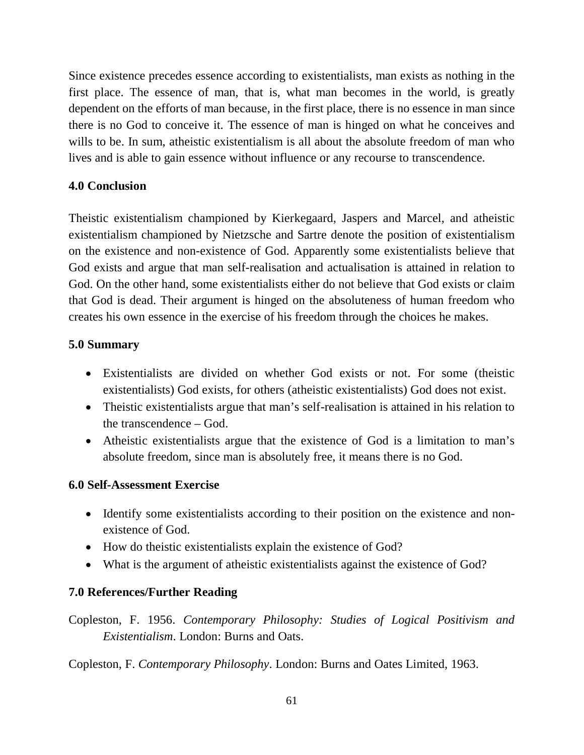Since existence precedes essence according to existentialists, man exists as nothing in the first place. The essence of man, that is, what man becomes in the world, is greatly dependent on the efforts of man because, in the first place, there is no essence in man since there is no God to conceive it. The essence of man is hinged on what he conceives and wills to be. In sum, atheistic existentialism is all about the absolute freedom of man who lives and is able to gain essence without influence or any recourse to transcendence.

# **4.0 Conclusion**

Theistic existentialism championed by Kierkegaard, Jaspers and Marcel, and atheistic existentialism championed by Nietzsche and Sartre denote the position of existentialism on the existence and non-existence of God. Apparently some existentialists believe that God exists and argue that man self-realisation and actualisation is attained in relation to God. On the other hand, some existentialists either do not believe that God exists or claim that God is dead. Their argument is hinged on the absoluteness of human freedom who creates his own essence in the exercise of his freedom through the choices he makes.

# **5.0 Summary**

- Existentialists are divided on whether God exists or not. For some (theistic existentialists) God exists, for others (atheistic existentialists) God does not exist.
- Theistic existentialists argue that man's self-realisation is attained in his relation to the transcendence – God.
- Atheistic existentialists argue that the existence of God is a limitation to man's absolute freedom, since man is absolutely free, it means there is no God.

#### **6.0 Self-Assessment Exercise**

- Identify some existentialists according to their position on the existence and nonexistence of God.
- How do theistic existentialists explain the existence of God?
- What is the argument of atheistic existentialists against the existence of God?

# **7.0 References/Further Reading**

Copleston, F. 1956. *Contemporary Philosophy: Studies of Logical Positivism and Existentialism*. London: Burns and Oats.

Copleston, F. *Contemporary Philosophy*. London: Burns and Oates Limited, 1963.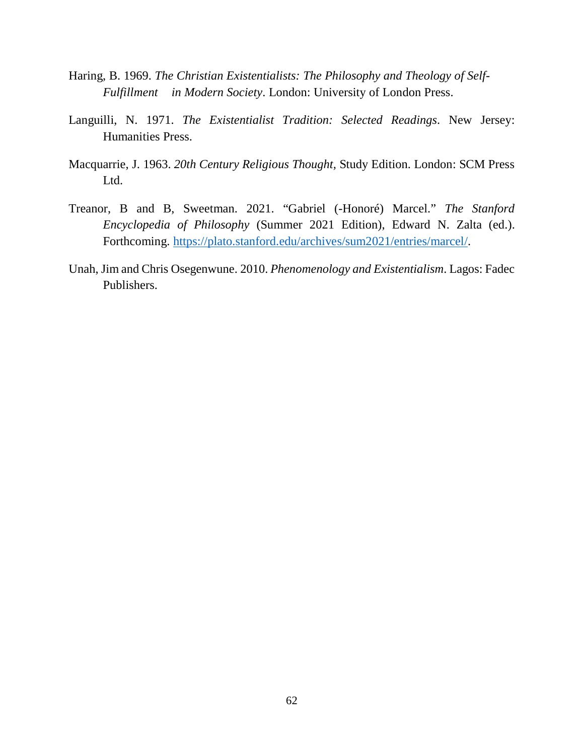- Haring, B. 1969. *The Christian Existentialists: The Philosophy and Theology of Self- Fulfillment in Modern Society*. London: University of London Press.
- Languilli, N. 1971. *The Existentialist Tradition: Selected Readings*. New Jersey: Humanities Press.
- Macquarrie, J. 1963. *20th Century Religious Thought,* Study Edition. London: SCM Press Ltd.
- Treanor, B and B, Sweetman. 2021. "Gabriel (-Honoré) Marcel." *The Stanford Encyclopedia of Philosophy* (Summer 2021 Edition), Edward N. Zalta (ed.). Forthcoming. https://plato.stanford.edu/archives/sum2021/entries/marcel/.
- Unah, Jim and Chris Osegenwune. 2010. *Phenomenology and Existentialism*. Lagos: Fadec Publishers.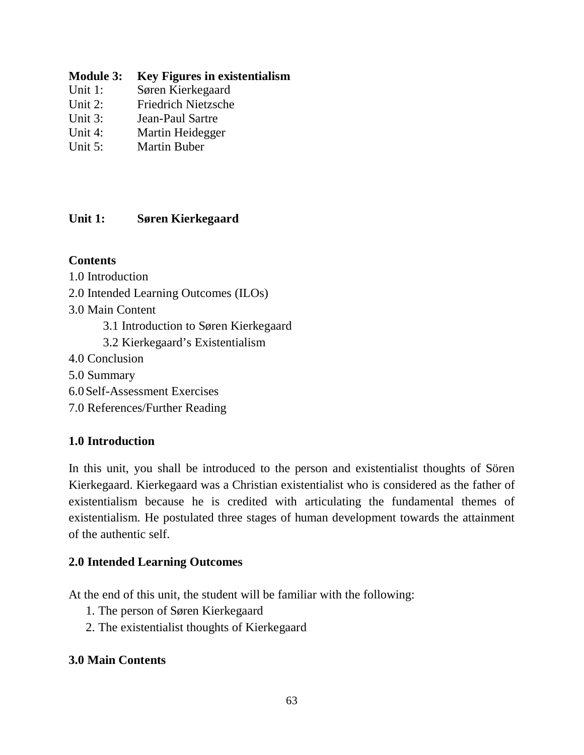### **Module 3: Key Figures in existentialism**

- Unit 1: Søren Kierkegaard
- Unit 2: Friedrich Nietzsche
- Unit 3: Jean-Paul Sartre
- Unit 4: Martin Heidegger
- Unit 5: Martin Buber

# **Unit 1: Søren Kierkegaard**

# **Contents**

- 1.0 Introduction
- 2.0 Intended Learning Outcomes (ILOs)
- 3.0 Main Content
	- 3.1 Introduction to Søren Kierkegaard
	- 3.2 Kierkegaard's Existentialism
- 4.0 Conclusion
- 5.0 Summary
- 6.0Self-Assessment Exercises
- 7.0 References/Further Reading

# **1.0 Introduction**

In this unit, you shall be introduced to the person and existentialist thoughts of Sören Kierkegaard. Kierkegaard was a Christian existentialist who is considered as the father of existentialism because he is credited with articulating the fundamental themes of existentialism. He postulated three stages of human development towards the attainment of the authentic self.

# **2.0 Intended Learning Outcomes**

At the end of this unit, the student will be familiar with the following:

- 1. The person of Søren Kierkegaard
- 2. The existentialist thoughts of Kierkegaard

# **3.0 Main Contents**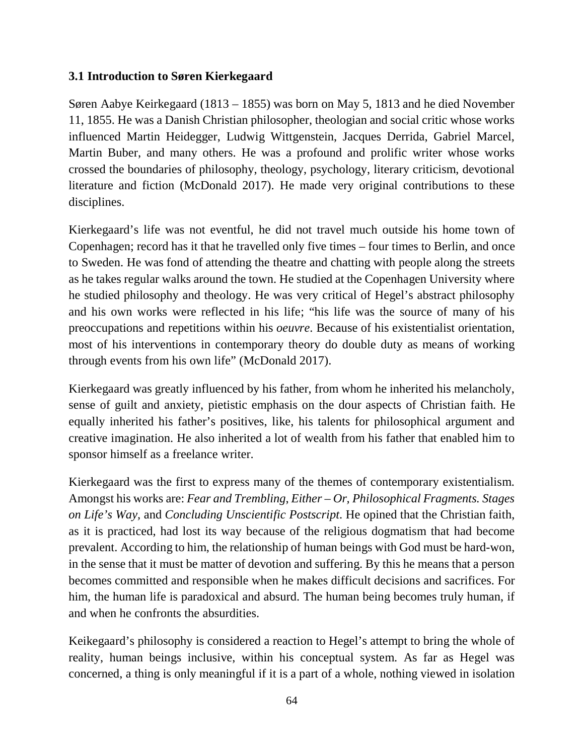### **3.1 Introduction to Søren Kierkegaard**

Søren Aabye Keirkegaard (1813 – 1855) was born on May 5, 1813 and he died November 11, 1855. He was a Danish Christian philosopher, theologian and social critic whose works influenced Martin Heidegger, Ludwig Wittgenstein, Jacques Derrida, Gabriel Marcel, Martin Buber, and many others. He was a profound and prolific writer whose works crossed the boundaries of philosophy, theology, psychology, literary criticism, devotional literature and fiction (McDonald 2017). He made very original contributions to these disciplines.

Kierkegaard's life was not eventful, he did not travel much outside his home town of Copenhagen; record has it that he travelled only five times – four times to Berlin, and once to Sweden. He was fond of attending the theatre and chatting with people along the streets as he takes regular walks around the town. He studied at the Copenhagen University where he studied philosophy and theology. He was very critical of Hegel's abstract philosophy and his own works were reflected in his life; "his life was the source of many of his preoccupations and repetitions within his *oeuvre*. Because of his existentialist orientation, most of his interventions in contemporary theory do double duty as means of working through events from his own life" (McDonald 2017).

Kierkegaard was greatly influenced by his father, from whom he inherited his melancholy, sense of guilt and anxiety, pietistic emphasis on the dour aspects of Christian faith. He equally inherited his father's positives, like, his talents for philosophical argument and creative imagination. He also inherited a lot of wealth from his father that enabled him to sponsor himself as a freelance writer.

Kierkegaard was the first to express many of the themes of contemporary existentialism. Amongst his works are: *Fear and Trembling*, *Either – Or, Philosophical Fragments. Stages on Life's Way,* and *Concluding Unscientific Postscript*. He opined that the Christian faith, as it is practiced, had lost its way because of the religious dogmatism that had become prevalent. According to him, the relationship of human beings with God must be hard-won, in the sense that it must be matter of devotion and suffering. By this he means that a person becomes committed and responsible when he makes difficult decisions and sacrifices. For him, the human life is paradoxical and absurd. The human being becomes truly human, if and when he confronts the absurdities.

Keikegaard's philosophy is considered a reaction to Hegel's attempt to bring the whole of reality, human beings inclusive, within his conceptual system. As far as Hegel was concerned, a thing is only meaningful if it is a part of a whole, nothing viewed in isolation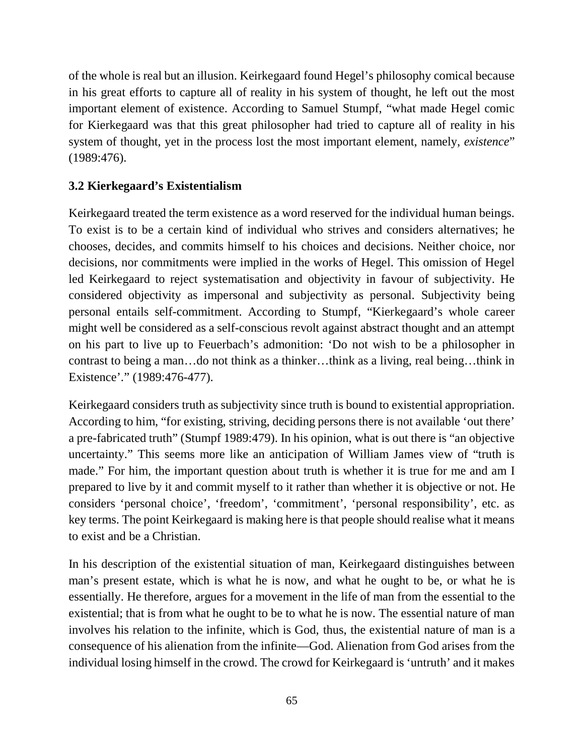of the whole is real but an illusion. Keirkegaard found Hegel's philosophy comical because in his great efforts to capture all of reality in his system of thought, he left out the most important element of existence. According to Samuel Stumpf, "what made Hegel comic for Kierkegaard was that this great philosopher had tried to capture all of reality in his system of thought, yet in the process lost the most important element, namely, *existence*" (1989:476).

# **3.2 Kierkegaard's Existentialism**

Keirkegaard treated the term existence as a word reserved for the individual human beings. To exist is to be a certain kind of individual who strives and considers alternatives; he chooses, decides, and commits himself to his choices and decisions. Neither choice, nor decisions, nor commitments were implied in the works of Hegel. This omission of Hegel led Keirkegaard to reject systematisation and objectivity in favour of subjectivity. He considered objectivity as impersonal and subjectivity as personal. Subjectivity being personal entails self-commitment. According to Stumpf, "Kierkegaard's whole career might well be considered as a self-conscious revolt against abstract thought and an attempt on his part to live up to Feuerbach's admonition: 'Do not wish to be a philosopher in contrast to being a man…do not think as a thinker…think as a living, real being…think in Existence'." (1989:476-477).

Keirkegaard considers truth as subjectivity since truth is bound to existential appropriation. According to him, "for existing, striving, deciding persons there is not available 'out there' a pre-fabricated truth" (Stumpf 1989:479). In his opinion, what is out there is "an objective uncertainty." This seems more like an anticipation of William James view of "truth is made." For him, the important question about truth is whether it is true for me and am I prepared to live by it and commit myself to it rather than whether it is objective or not. He considers 'personal choice', 'freedom', 'commitment', 'personal responsibility', etc. as key terms. The point Keirkegaard is making here is that people should realise what it means to exist and be a Christian.

In his description of the existential situation of man, Keirkegaard distinguishes between man's present estate, which is what he is now, and what he ought to be, or what he is essentially. He therefore, argues for a movement in the life of man from the essential to the existential; that is from what he ought to be to what he is now. The essential nature of man involves his relation to the infinite, which is God, thus, the existential nature of man is a consequence of his alienation from the infinite—God. Alienation from God arises from the individual losing himself in the crowd. The crowd for Keirkegaard is 'untruth' and it makes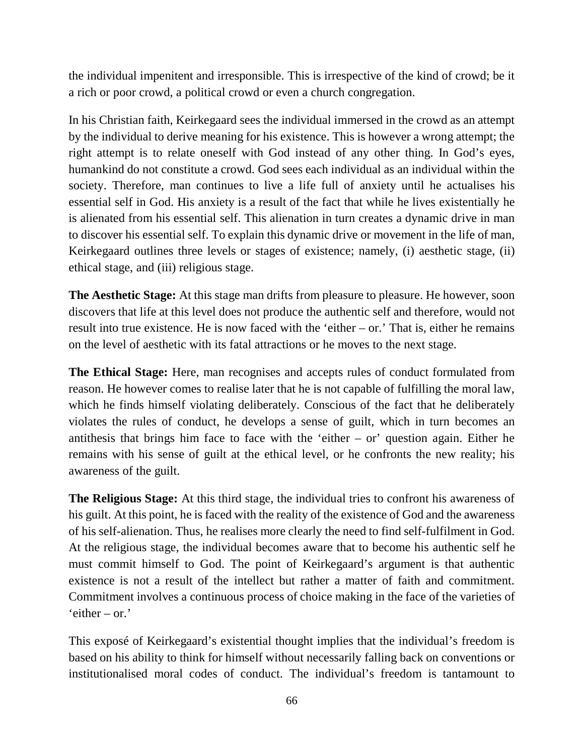the individual impenitent and irresponsible. This is irrespective of the kind of crowd; be it a rich or poor crowd, a political crowd or even a church congregation.

In his Christian faith, Keirkegaard sees the individual immersed in the crowd as an attempt by the individual to derive meaning for his existence. This is however a wrong attempt; the right attempt is to relate oneself with God instead of any other thing. In God's eyes, humankind do not constitute a crowd. God sees each individual as an individual within the society. Therefore, man continues to live a life full of anxiety until he actualises his essential self in God. His anxiety is a result of the fact that while he lives existentially he is alienated from his essential self. This alienation in turn creates a dynamic drive in man to discover his essential self. To explain this dynamic drive or movement in the life of man, Keirkegaard outlines three levels or stages of existence; namely, (i) aesthetic stage, (ii) ethical stage, and (iii) religious stage.

**The Aesthetic Stage:** At this stage man drifts from pleasure to pleasure. He however, soon discovers that life at this level does not produce the authentic self and therefore, would not result into true existence. He is now faced with the 'either – or.' That is, either he remains on the level of aesthetic with its fatal attractions or he moves to the next stage.

**The Ethical Stage:** Here, man recognises and accepts rules of conduct formulated from reason. He however comes to realise later that he is not capable of fulfilling the moral law, which he finds himself violating deliberately. Conscious of the fact that he deliberately violates the rules of conduct, he develops a sense of guilt, which in turn becomes an antithesis that brings him face to face with the 'either – or' question again. Either he remains with his sense of guilt at the ethical level, or he confronts the new reality; his awareness of the guilt.

**The Religious Stage:** At this third stage, the individual tries to confront his awareness of his guilt. At this point, he is faced with the reality of the existence of God and the awareness of his self-alienation. Thus, he realises more clearly the need to find self-fulfilment in God. At the religious stage, the individual becomes aware that to become his authentic self he must commit himself to God. The point of Keirkegaard's argument is that authentic existence is not a result of the intellect but rather a matter of faith and commitment. Commitment involves a continuous process of choice making in the face of the varieties of 'either – or.'

This exposé of Keirkegaard's existential thought implies that the individual's freedom is based on his ability to think for himself without necessarily falling back on conventions or institutionalised moral codes of conduct. The individual's freedom is tantamount to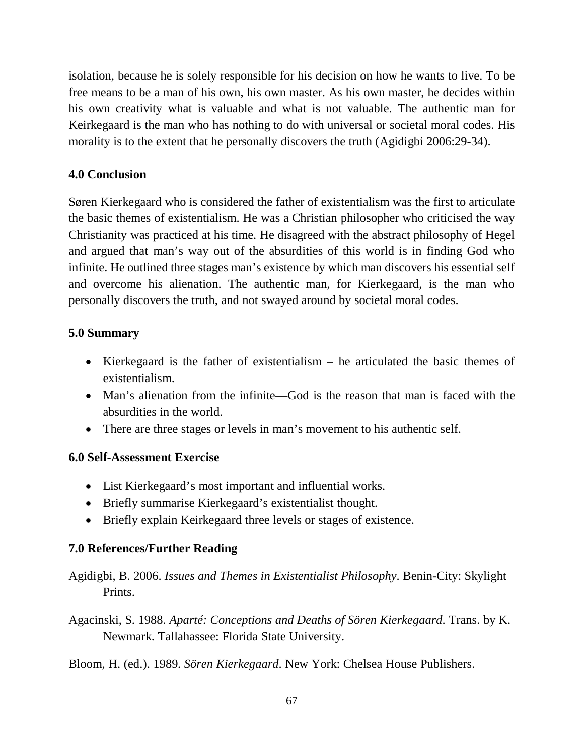isolation, because he is solely responsible for his decision on how he wants to live. To be free means to be a man of his own, his own master. As his own master, he decides within his own creativity what is valuable and what is not valuable. The authentic man for Keirkegaard is the man who has nothing to do with universal or societal moral codes. His morality is to the extent that he personally discovers the truth (Agidigbi 2006:29-34).

# **4.0 Conclusion**

Søren Kierkegaard who is considered the father of existentialism was the first to articulate the basic themes of existentialism. He was a Christian philosopher who criticised the way Christianity was practiced at his time. He disagreed with the abstract philosophy of Hegel and argued that man's way out of the absurdities of this world is in finding God who infinite. He outlined three stages man's existence by which man discovers his essential self and overcome his alienation. The authentic man, for Kierkegaard, is the man who personally discovers the truth, and not swayed around by societal moral codes.

# **5.0 Summary**

- Kierkegaard is the father of existentialism  $-$  he articulated the basic themes of existentialism.
- Man's alienation from the infinite—God is the reason that man is faced with the absurdities in the world.
- There are three stages or levels in man's movement to his authentic self.

# **6.0 Self-Assessment Exercise**

- List Kierkegaard's most important and influential works.
- Briefly summarise Kierkegaard's existentialist thought.
- Briefly explain Keirkegaard three levels or stages of existence.

# **7.0 References/Further Reading**

- Agidigbi, B. 2006. *Issues and Themes in Existentialist Philosophy*. Benin-City: Skylight Prints.
- Agacinski, S. 1988. *Aparté: Conceptions and Deaths of Sören Kierkegaard*. Trans. by K. Newmark. Tallahassee: Florida State University.

Bloom, H. (ed.). 1989. *Sören Kierkegaard*. New York: Chelsea House Publishers.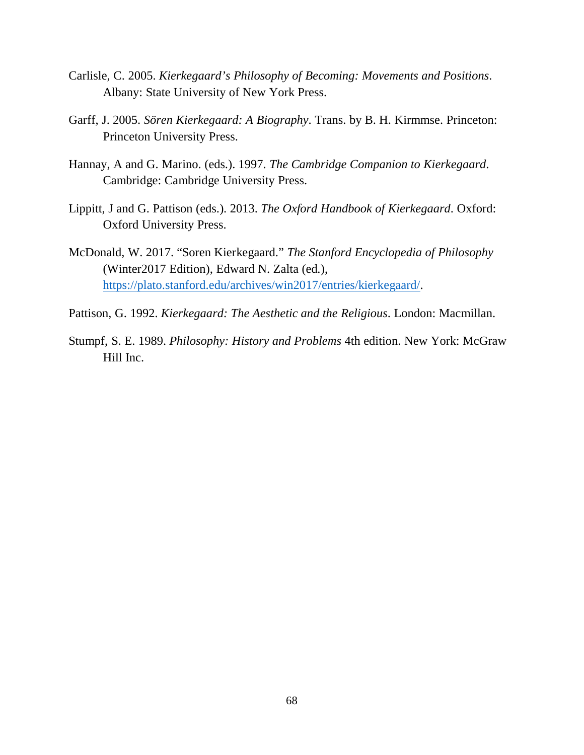- Carlisle, C. 2005. *Kierkegaard's Philosophy of Becoming: Movements and Positions*. Albany: State University of New York Press.
- Garff, J. 2005. *Sören Kierkegaard: A Biography*. Trans. by B. H. Kirmmse. Princeton: Princeton University Press.
- Hannay, A and G. Marino. (eds.). 1997. *The Cambridge Companion to Kierkegaard*. Cambridge: Cambridge University Press.
- Lippitt, J and G. Pattison (eds.). 2013. *The Oxford Handbook of Kierkegaard*. Oxford: Oxford University Press.
- McDonald, W. 2017. "Soren Kierkegaard." *The Stanford Encyclopedia of Philosophy* (Winter2017 Edition), Edward N. Zalta (ed.), https://plato.stanford.edu/archives/win2017/entries/kierkegaard/.
- Pattison, G. 1992. *Kierkegaard: The Aesthetic and the Religious*. London: Macmillan.
- Stumpf, S. E. 1989. *Philosophy: History and Problems* 4th edition. New York: McGraw Hill Inc.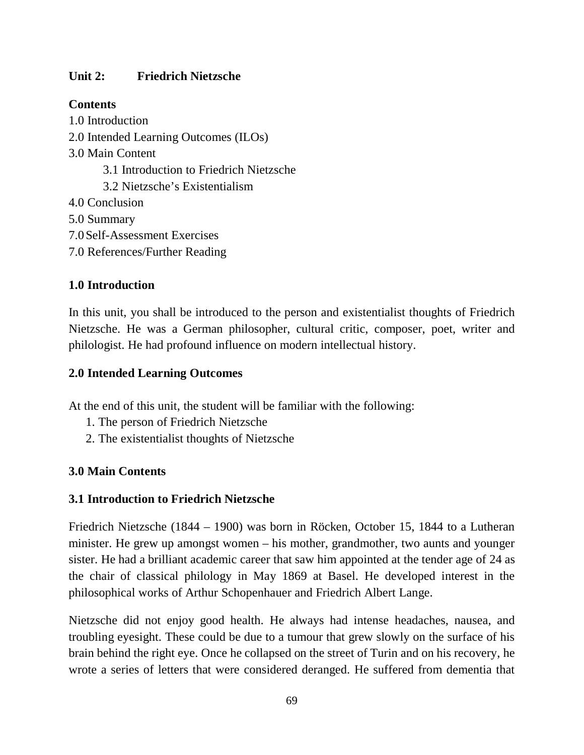# **Unit 2: Friedrich Nietzsche**

## **Contents**

- 1.0 Introduction 2.0 Intended Learning Outcomes (ILOs) 3.0 Main Content 3.1 Introduction to Friedrich Nietzsche 3.2 Nietzsche's Existentialism 4.0 Conclusion 5.0 Summary 7.0Self-Assessment Exercises
- 7.0 References/Further Reading

# **1.0 Introduction**

In this unit, you shall be introduced to the person and existentialist thoughts of Friedrich Nietzsche. He was a German philosopher, cultural critic, composer, poet, writer and philologist. He had profound influence on modern intellectual history.

# **2.0 Intended Learning Outcomes**

At the end of this unit, the student will be familiar with the following:

- 1. The person of Friedrich Nietzsche
- 2. The existentialist thoughts of Nietzsche

# **3.0 Main Contents**

#### **3.1 Introduction to Friedrich Nietzsche**

Friedrich Nietzsche (1844 – 1900) was born in Röcken, October 15, 1844 to a Lutheran minister. He grew up amongst women – his mother, grandmother, two aunts and younger sister. He had a brilliant academic career that saw him appointed at the tender age of 24 as the chair of classical philology in May 1869 at Basel. He developed interest in the philosophical works of Arthur Schopenhauer and Friedrich Albert Lange.

Nietzsche did not enjoy good health. He always had intense headaches, nausea, and troubling eyesight. These could be due to a tumour that grew slowly on the surface of his brain behind the right eye. Once he collapsed on the street of Turin and on his recovery, he wrote a series of letters that were considered deranged. He suffered from dementia that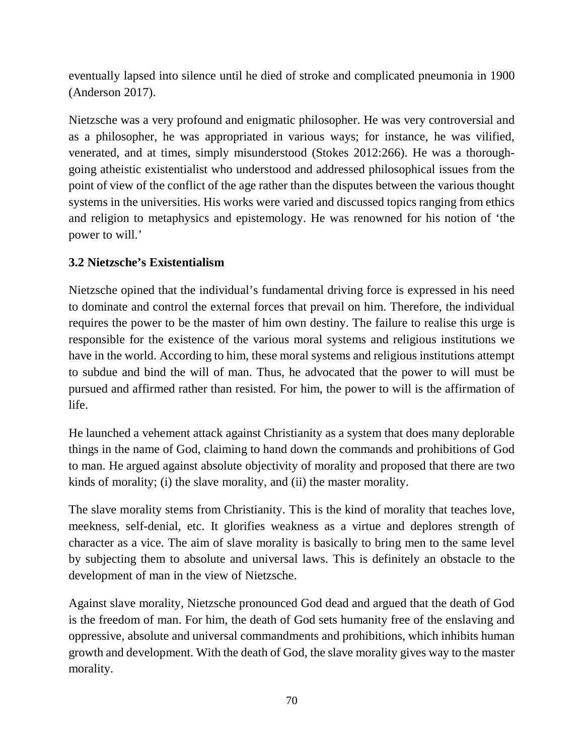eventually lapsed into silence until he died of stroke and complicated pneumonia in 1900 (Anderson 2017).

Nietzsche was a very profound and enigmatic philosopher. He was very controversial and as a philosopher, he was appropriated in various ways; for instance, he was vilified, venerated, and at times, simply misunderstood (Stokes 2012:266). He was a thoroughgoing atheistic existentialist who understood and addressed philosophical issues from the point of view of the conflict of the age rather than the disputes between the various thought systems in the universities. His works were varied and discussed topics ranging from ethics and religion to metaphysics and epistemology. He was renowned for his notion of 'the power to will.'

# **3.2 Nietzsche's Existentialism**

Nietzsche opined that the individual's fundamental driving force is expressed in his need to dominate and control the external forces that prevail on him. Therefore, the individual requires the power to be the master of him own destiny. The failure to realise this urge is responsible for the existence of the various moral systems and religious institutions we have in the world. According to him, these moral systems and religious institutions attempt to subdue and bind the will of man. Thus, he advocated that the power to will must be pursued and affirmed rather than resisted. For him, the power to will is the affirmation of life.

He launched a vehement attack against Christianity as a system that does many deplorable things in the name of God, claiming to hand down the commands and prohibitions of God to man. He argued against absolute objectivity of morality and proposed that there are two kinds of morality; (i) the slave morality, and (ii) the master morality.

The slave morality stems from Christianity. This is the kind of morality that teaches love, meekness, self-denial, etc. It glorifies weakness as a virtue and deplores strength of character as a vice. The aim of slave morality is basically to bring men to the same level by subjecting them to absolute and universal laws. This is definitely an obstacle to the development of man in the view of Nietzsche.

Against slave morality, Nietzsche pronounced God dead and argued that the death of God is the freedom of man. For him, the death of God sets humanity free of the enslaving and oppressive, absolute and universal commandments and prohibitions, which inhibits human growth and development. With the death of God, the slave morality gives way to the master morality.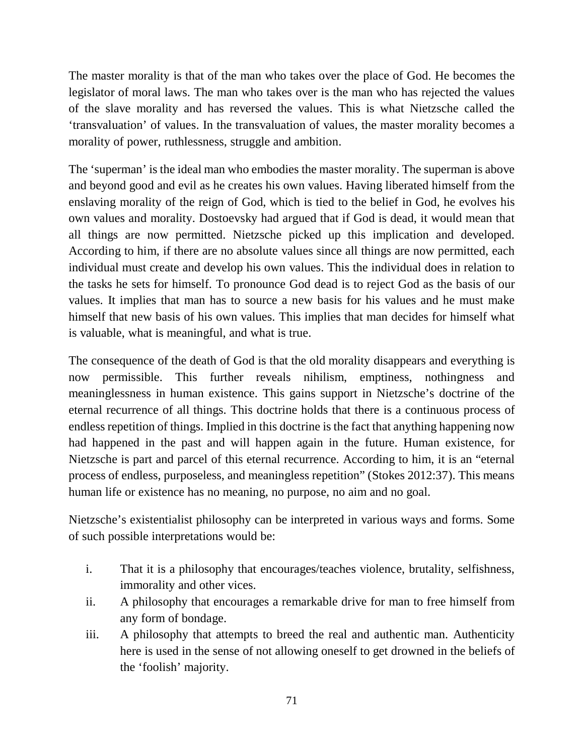The master morality is that of the man who takes over the place of God. He becomes the legislator of moral laws. The man who takes over is the man who has rejected the values of the slave morality and has reversed the values. This is what Nietzsche called the 'transvaluation' of values. In the transvaluation of values, the master morality becomes a morality of power, ruthlessness, struggle and ambition.

The 'superman' is the ideal man who embodies the master morality. The superman is above and beyond good and evil as he creates his own values. Having liberated himself from the enslaving morality of the reign of God, which is tied to the belief in God, he evolves his own values and morality. Dostoevsky had argued that if God is dead, it would mean that all things are now permitted. Nietzsche picked up this implication and developed. According to him, if there are no absolute values since all things are now permitted, each individual must create and develop his own values. This the individual does in relation to the tasks he sets for himself. To pronounce God dead is to reject God as the basis of our values. It implies that man has to source a new basis for his values and he must make himself that new basis of his own values. This implies that man decides for himself what is valuable, what is meaningful, and what is true.

The consequence of the death of God is that the old morality disappears and everything is now permissible. This further reveals nihilism, emptiness, nothingness and meaninglessness in human existence. This gains support in Nietzsche's doctrine of the eternal recurrence of all things. This doctrine holds that there is a continuous process of endless repetition of things. Implied in this doctrine is the fact that anything happening now had happened in the past and will happen again in the future. Human existence, for Nietzsche is part and parcel of this eternal recurrence. According to him, it is an "eternal process of endless, purposeless, and meaningless repetition" (Stokes 2012:37). This means human life or existence has no meaning, no purpose, no aim and no goal.

Nietzsche's existentialist philosophy can be interpreted in various ways and forms. Some of such possible interpretations would be:

- i. That it is a philosophy that encourages/teaches violence, brutality, selfishness, immorality and other vices.
- ii. A philosophy that encourages a remarkable drive for man to free himself from any form of bondage.
- iii. A philosophy that attempts to breed the real and authentic man. Authenticity here is used in the sense of not allowing oneself to get drowned in the beliefs of the 'foolish' majority.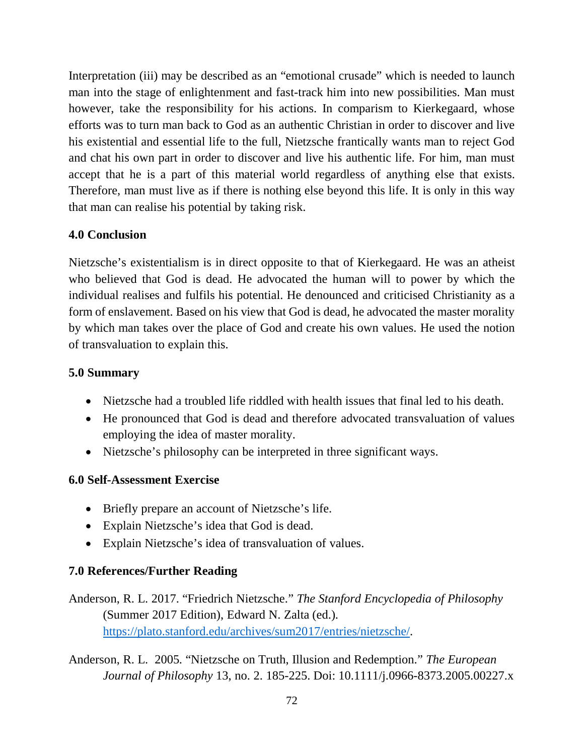Interpretation (iii) may be described as an "emotional crusade" which is needed to launch man into the stage of enlightenment and fast-track him into new possibilities. Man must however, take the responsibility for his actions. In comparism to Kierkegaard, whose efforts was to turn man back to God as an authentic Christian in order to discover and live his existential and essential life to the full, Nietzsche frantically wants man to reject God and chat his own part in order to discover and live his authentic life. For him, man must accept that he is a part of this material world regardless of anything else that exists. Therefore, man must live as if there is nothing else beyond this life. It is only in this way that man can realise his potential by taking risk.

# **4.0 Conclusion**

Nietzsche's existentialism is in direct opposite to that of Kierkegaard. He was an atheist who believed that God is dead. He advocated the human will to power by which the individual realises and fulfils his potential. He denounced and criticised Christianity as a form of enslavement. Based on his view that God is dead, he advocated the master morality by which man takes over the place of God and create his own values. He used the notion of transvaluation to explain this.

## **5.0 Summary**

- Nietzsche had a troubled life riddled with health issues that final led to his death.
- He pronounced that God is dead and therefore advocated transvaluation of values employing the idea of master morality.
- Nietzsche's philosophy can be interpreted in three significant ways.

#### **6.0 Self-Assessment Exercise**

- Briefly prepare an account of Nietzsche's life.
- Explain Nietzsche's idea that God is dead.
- Explain Nietzsche's idea of transvaluation of values.

# **7.0 References/Further Reading**

- Anderson, R. L. 2017. "Friedrich Nietzsche." *The Stanford Encyclopedia of Philosophy* (Summer 2017 Edition), Edward N. Zalta (ed.). https://plato.stanford.edu/archives/sum2017/entries/nietzsche/.
- Anderson, R. L. 2005. "Nietzsche on Truth, Illusion and Redemption." *The European Journal of Philosophy* 13, no. 2. 185-225. Doi: 10.1111/j.0966-8373.2005.00227.x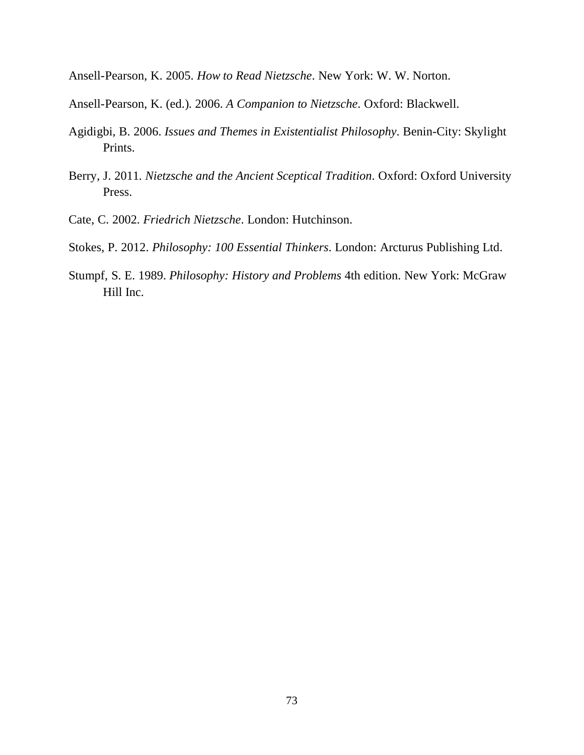Ansell-Pearson, K. 2005. *How to Read Nietzsche*. New York: W. W. Norton.

- Ansell-Pearson, K. (ed.). 2006. *A Companion to Nietzsche*. Oxford: Blackwell.
- Agidigbi, B. 2006. *Issues and Themes in Existentialist Philosophy*. Benin-City: Skylight Prints.
- Berry, J. 2011. *Nietzsche and the Ancient Sceptical Tradition*. Oxford: Oxford University Press.
- Cate, C. 2002. *Friedrich Nietzsche*. London: Hutchinson.
- Stokes, P. 2012. *Philosophy: 100 Essential Thinkers*. London: Arcturus Publishing Ltd.
- Stumpf, S. E. 1989. *Philosophy: History and Problems* 4th edition. New York: McGraw Hill Inc.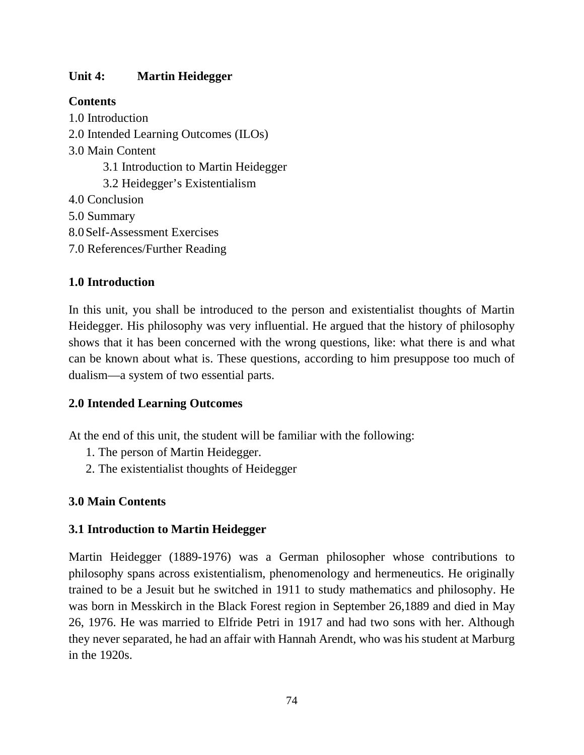## **Unit 4: Martin Heidegger**

## **Contents**

1.0 Introduction 2.0 Intended Learning Outcomes (ILOs) 3.0 Main Content 3.1 Introduction to Martin Heidegger 3.2 Heidegger's Existentialism 4.0 Conclusion 5.0 Summary 8.0Self-Assessment Exercises 7.0 References/Further Reading

# **1.0 Introduction**

In this unit, you shall be introduced to the person and existentialist thoughts of Martin Heidegger. His philosophy was very influential. He argued that the history of philosophy shows that it has been concerned with the wrong questions, like: what there is and what can be known about what is. These questions, according to him presuppose too much of dualism—a system of two essential parts.

## **2.0 Intended Learning Outcomes**

At the end of this unit, the student will be familiar with the following:

- 1. The person of Martin Heidegger.
- 2. The existentialist thoughts of Heidegger

## **3.0 Main Contents**

## **3.1 Introduction to Martin Heidegger**

Martin Heidegger (1889-1976) was a German philosopher whose contributions to philosophy spans across existentialism, phenomenology and hermeneutics. He originally trained to be a Jesuit but he switched in 1911 to study mathematics and philosophy. He was born in Messkirch in the Black Forest region in September 26,1889 and died in May 26, 1976. He was married to Elfride Petri in 1917 and had two sons with her. Although they never separated, he had an affair with Hannah Arendt, who was his student at Marburg in the 1920s.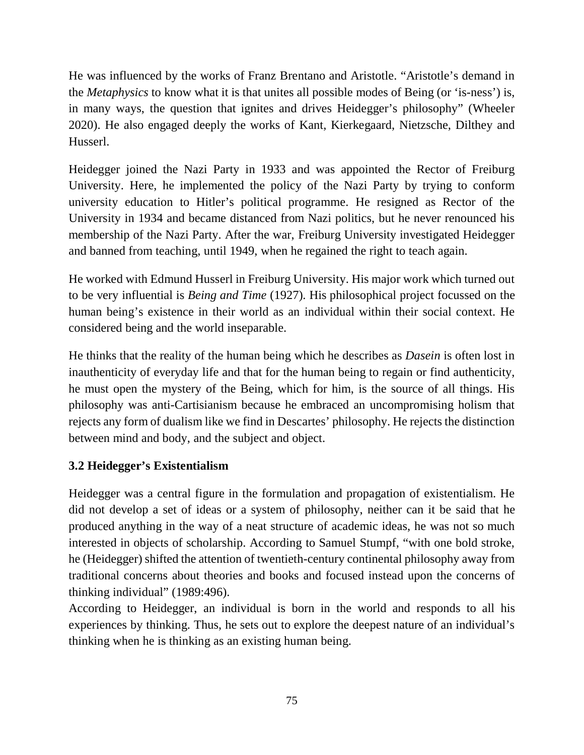He was influenced by the works of Franz Brentano and Aristotle. "Aristotle's demand in the *Metaphysics* to know what it is that unites all possible modes of Being (or 'is-ness') is, in many ways, the question that ignites and drives Heidegger's philosophy" (Wheeler 2020). He also engaged deeply the works of Kant, Kierkegaard, Nietzsche, Dilthey and Husserl.

Heidegger joined the Nazi Party in 1933 and was appointed the Rector of Freiburg University. Here, he implemented the policy of the Nazi Party by trying to conform university education to Hitler's political programme. He resigned as Rector of the University in 1934 and became distanced from Nazi politics, but he never renounced his membership of the Nazi Party. After the war, Freiburg University investigated Heidegger and banned from teaching, until 1949, when he regained the right to teach again.

He worked with Edmund Husserl in Freiburg University. His major work which turned out to be very influential is *Being and Time* (1927). His philosophical project focussed on the human being's existence in their world as an individual within their social context. He considered being and the world inseparable.

He thinks that the reality of the human being which he describes as *Dasein* is often lost in inauthenticity of everyday life and that for the human being to regain or find authenticity, he must open the mystery of the Being, which for him, is the source of all things. His philosophy was anti-Cartisianism because he embraced an uncompromising holism that rejects any form of dualism like we find in Descartes' philosophy. He rejects the distinction between mind and body, and the subject and object.

# **3.2 Heidegger's Existentialism**

Heidegger was a central figure in the formulation and propagation of existentialism. He did not develop a set of ideas or a system of philosophy, neither can it be said that he produced anything in the way of a neat structure of academic ideas, he was not so much interested in objects of scholarship. According to Samuel Stumpf, "with one bold stroke, he (Heidegger) shifted the attention of twentieth-century continental philosophy away from traditional concerns about theories and books and focused instead upon the concerns of thinking individual" (1989:496).

According to Heidegger, an individual is born in the world and responds to all his experiences by thinking. Thus, he sets out to explore the deepest nature of an individual's thinking when he is thinking as an existing human being.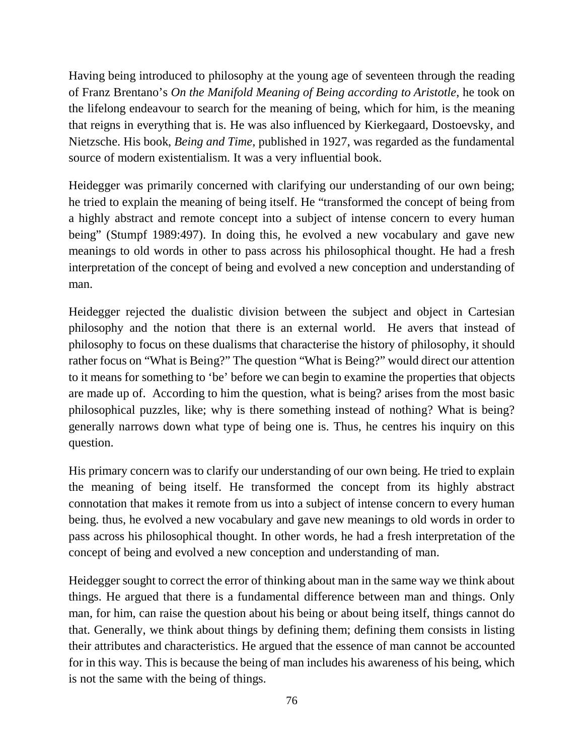Having being introduced to philosophy at the young age of seventeen through the reading of Franz Brentano's *On the Manifold Meaning of Being according to Aristotle*, he took on the lifelong endeavour to search for the meaning of being, which for him, is the meaning that reigns in everything that is. He was also influenced by Kierkegaard, Dostoevsky, and Nietzsche. His book, *Being and Time*, published in 1927, was regarded as the fundamental source of modern existentialism. It was a very influential book.

Heidegger was primarily concerned with clarifying our understanding of our own being; he tried to explain the meaning of being itself. He "transformed the concept of being from a highly abstract and remote concept into a subject of intense concern to every human being" (Stumpf 1989:497). In doing this, he evolved a new vocabulary and gave new meanings to old words in other to pass across his philosophical thought. He had a fresh interpretation of the concept of being and evolved a new conception and understanding of man.

Heidegger rejected the dualistic division between the subject and object in Cartesian philosophy and the notion that there is an external world. He avers that instead of philosophy to focus on these dualisms that characterise the history of philosophy, it should rather focus on "What is Being?" The question "What is Being?" would direct our attention to it means for something to 'be' before we can begin to examine the properties that objects are made up of. According to him the question, what is being? arises from the most basic philosophical puzzles, like; why is there something instead of nothing? What is being? generally narrows down what type of being one is. Thus, he centres his inquiry on this question.

His primary concern was to clarify our understanding of our own being. He tried to explain the meaning of being itself. He transformed the concept from its highly abstract connotation that makes it remote from us into a subject of intense concern to every human being. thus, he evolved a new vocabulary and gave new meanings to old words in order to pass across his philosophical thought. In other words, he had a fresh interpretation of the concept of being and evolved a new conception and understanding of man.

Heidegger sought to correct the error of thinking about man in the same way we think about things. He argued that there is a fundamental difference between man and things. Only man, for him, can raise the question about his being or about being itself, things cannot do that. Generally, we think about things by defining them; defining them consists in listing their attributes and characteristics. He argued that the essence of man cannot be accounted for in this way. This is because the being of man includes his awareness of his being, which is not the same with the being of things.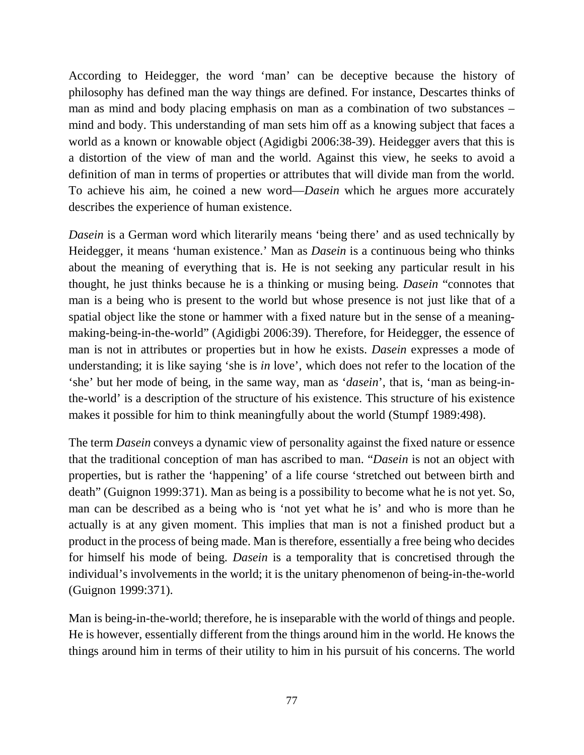According to Heidegger, the word 'man' can be deceptive because the history of philosophy has defined man the way things are defined. For instance, Descartes thinks of man as mind and body placing emphasis on man as a combination of two substances – mind and body. This understanding of man sets him off as a knowing subject that faces a world as a known or knowable object (Agidigbi 2006:38-39). Heidegger avers that this is a distortion of the view of man and the world. Against this view, he seeks to avoid a definition of man in terms of properties or attributes that will divide man from the world. To achieve his aim, he coined a new word—*Dasein* which he argues more accurately describes the experience of human existence.

*Dasein* is a German word which literarily means 'being there' and as used technically by Heidegger, it means 'human existence.' Man as *Dasein* is a continuous being who thinks about the meaning of everything that is. He is not seeking any particular result in his thought, he just thinks because he is a thinking or musing being. *Dasein* "connotes that man is a being who is present to the world but whose presence is not just like that of a spatial object like the stone or hammer with a fixed nature but in the sense of a meaningmaking-being-in-the-world" (Agidigbi 2006:39). Therefore, for Heidegger, the essence of man is not in attributes or properties but in how he exists. *Dasein* expresses a mode of understanding; it is like saying 'she is *in* love', which does not refer to the location of the 'she' but her mode of being, in the same way, man as '*dasein*', that is, 'man as being-inthe-world' is a description of the structure of his existence. This structure of his existence makes it possible for him to think meaningfully about the world (Stumpf 1989:498).

The term *Dasein* conveys a dynamic view of personality against the fixed nature or essence that the traditional conception of man has ascribed to man. "*Dasein* is not an object with properties, but is rather the 'happening' of a life course 'stretched out between birth and death" (Guignon 1999:371). Man as being is a possibility to become what he is not yet. So, man can be described as a being who is 'not yet what he is' and who is more than he actually is at any given moment. This implies that man is not a finished product but a product in the process of being made. Man is therefore, essentially a free being who decides for himself his mode of being. *Dasein* is a temporality that is concretised through the individual's involvements in the world; it is the unitary phenomenon of being-in-the-world (Guignon 1999:371).

Man is being-in-the-world; therefore, he is inseparable with the world of things and people. He is however, essentially different from the things around him in the world. He knows the things around him in terms of their utility to him in his pursuit of his concerns. The world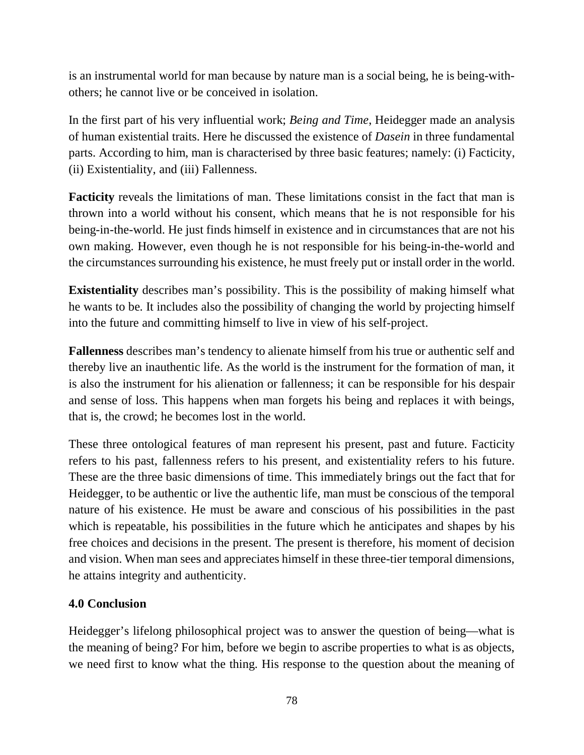is an instrumental world for man because by nature man is a social being, he is being-withothers; he cannot live or be conceived in isolation.

In the first part of his very influential work; *Being and Time*, Heidegger made an analysis of human existential traits. Here he discussed the existence of *Dasein* in three fundamental parts. According to him, man is characterised by three basic features; namely: (i) Facticity, (ii) Existentiality, and (iii) Fallenness.

**Facticity** reveals the limitations of man. These limitations consist in the fact that man is thrown into a world without his consent, which means that he is not responsible for his being-in-the-world. He just finds himself in existence and in circumstances that are not his own making. However, even though he is not responsible for his being-in-the-world and the circumstances surrounding his existence, he must freely put or install order in the world.

**Existentiality** describes man's possibility. This is the possibility of making himself what he wants to be. It includes also the possibility of changing the world by projecting himself into the future and committing himself to live in view of his self-project.

**Fallenness** describes man's tendency to alienate himself from his true or authentic self and thereby live an inauthentic life. As the world is the instrument for the formation of man, it is also the instrument for his alienation or fallenness; it can be responsible for his despair and sense of loss. This happens when man forgets his being and replaces it with beings, that is, the crowd; he becomes lost in the world.

These three ontological features of man represent his present, past and future. Facticity refers to his past, fallenness refers to his present, and existentiality refers to his future. These are the three basic dimensions of time. This immediately brings out the fact that for Heidegger, to be authentic or live the authentic life, man must be conscious of the temporal nature of his existence. He must be aware and conscious of his possibilities in the past which is repeatable, his possibilities in the future which he anticipates and shapes by his free choices and decisions in the present. The present is therefore, his moment of decision and vision. When man sees and appreciates himself in these three-tier temporal dimensions, he attains integrity and authenticity.

## **4.0 Conclusion**

Heidegger's lifelong philosophical project was to answer the question of being—what is the meaning of being? For him, before we begin to ascribe properties to what is as objects, we need first to know what the thing. His response to the question about the meaning of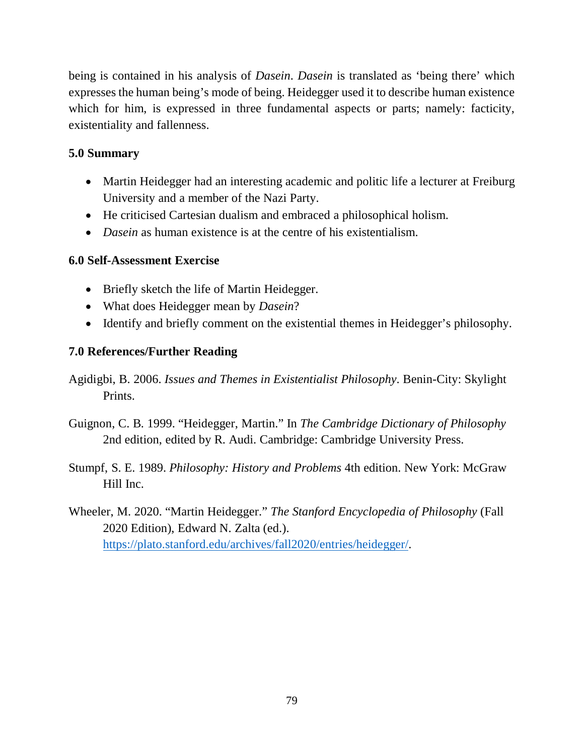being is contained in his analysis of *Dasein*. *Dasein* is translated as 'being there' which expresses the human being's mode of being. Heidegger used it to describe human existence which for him, is expressed in three fundamental aspects or parts; namely: facticity, existentiality and fallenness.

## **5.0 Summary**

- Martin Heidegger had an interesting academic and politic life a lecturer at Freiburg University and a member of the Nazi Party.
- He criticised Cartesian dualism and embraced a philosophical holism.
- *Dasein* as human existence is at the centre of his existentialism.

## **6.0 Self-Assessment Exercise**

- Briefly sketch the life of Martin Heidegger.
- What does Heidegger mean by *Dasein*?
- Identify and briefly comment on the existential themes in Heidegger's philosophy.

# **7.0 References/Further Reading**

- Agidigbi, B. 2006. *Issues and Themes in Existentialist Philosophy*. Benin-City: Skylight Prints.
- Guignon, C. B. 1999. "Heidegger, Martin." In *The Cambridge Dictionary of Philosophy* 2nd edition, edited by R. Audi. Cambridge: Cambridge University Press.
- Stumpf, S. E. 1989. *Philosophy: History and Problems* 4th edition. New York: McGraw Hill Inc.
- Wheeler, M. 2020. "Martin Heidegger." *The Stanford Encyclopedia of Philosophy* (Fall 2020 Edition), Edward N. Zalta (ed.). https://plato.stanford.edu/archives/fall2020/entries/heidegger/.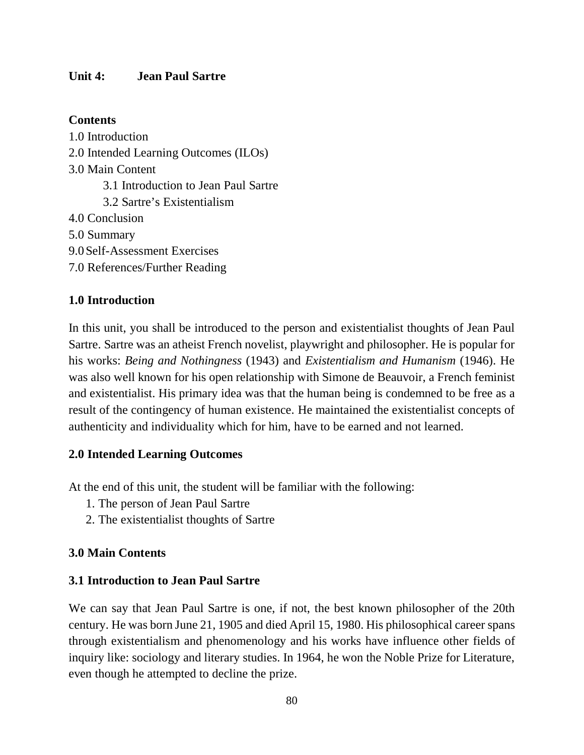#### **Unit 4: Jean Paul Sartre**

#### **Contents**

1.0 Introduction 2.0 Intended Learning Outcomes (ILOs) 3.0 Main Content 3.1 Introduction to Jean Paul Sartre 3.2 Sartre's Existentialism 4.0 Conclusion 5.0 Summary 9.0Self-Assessment Exercises 7.0 References/Further Reading

#### **1.0 Introduction**

In this unit, you shall be introduced to the person and existentialist thoughts of Jean Paul Sartre. Sartre was an atheist French novelist, playwright and philosopher. He is popular for his works: *Being and Nothingness* (1943) and *Existentialism and Humanism* (1946). He was also well known for his open relationship with Simone de Beauvoir, a French feminist and existentialist. His primary idea was that the human being is condemned to be free as a result of the contingency of human existence. He maintained the existentialist concepts of authenticity and individuality which for him, have to be earned and not learned.

#### **2.0 Intended Learning Outcomes**

At the end of this unit, the student will be familiar with the following:

- 1. The person of Jean Paul Sartre
- 2. The existentialist thoughts of Sartre

#### **3.0 Main Contents**

#### **3.1 Introduction to Jean Paul Sartre**

We can say that Jean Paul Sartre is one, if not, the best known philosopher of the 20th century. He was born June 21, 1905 and died April 15, 1980. His philosophical career spans through existentialism and phenomenology and his works have influence other fields of inquiry like: sociology and literary studies. In 1964, he won the Noble Prize for Literature, even though he attempted to decline the prize.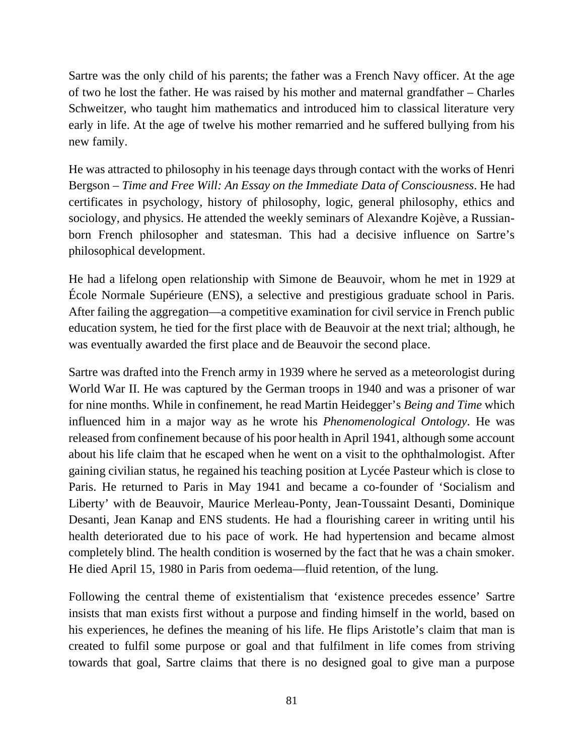Sartre was the only child of his parents; the father was a French Navy officer. At the age of two he lost the father. He was raised by his mother and maternal grandfather – Charles Schweitzer, who taught him mathematics and introduced him to classical literature very early in life. At the age of twelve his mother remarried and he suffered bullying from his new family.

He was attracted to philosophy in his teenage days through contact with the works of Henri Bergson – *Time and Free Will: An Essay on the Immediate Data of Consciousness*. He had certificates in psychology, history of philosophy, logic, general philosophy, ethics and sociology, and physics. He attended the weekly seminars of Alexandre Kojève, a Russianborn French philosopher and statesman. This had a decisive influence on Sartre's philosophical development.

He had a lifelong open relationship with Simone de Beauvoir, whom he met in 1929 at École Normale Supérieure (ENS), a selective and prestigious graduate school in Paris. After failing the aggregation—a competitive examination for civil service in French public education system, he tied for the first place with de Beauvoir at the next trial; although, he was eventually awarded the first place and de Beauvoir the second place.

Sartre was drafted into the French army in 1939 where he served as a meteorologist during World War II. He was captured by the German troops in 1940 and was a prisoner of war for nine months. While in confinement, he read Martin Heidegger's *Being and Time* which influenced him in a major way as he wrote his *Phenomenological Ontology*. He was released from confinement because of his poor health in April 1941, although some account about his life claim that he escaped when he went on a visit to the ophthalmologist. After gaining civilian status, he regained his teaching position at Lycée Pasteur which is close to Paris. He returned to Paris in May 1941 and became a co-founder of 'Socialism and Liberty' with de Beauvoir, Maurice Merleau-Ponty, Jean-Toussaint Desanti, Dominique Desanti, Jean Kanap and ENS students. He had a flourishing career in writing until his health deteriorated due to his pace of work. He had hypertension and became almost completely blind. The health condition is woserned by the fact that he was a chain smoker. He died April 15, 1980 in Paris from oedema—fluid retention, of the lung.

Following the central theme of existentialism that 'existence precedes essence' Sartre insists that man exists first without a purpose and finding himself in the world, based on his experiences, he defines the meaning of his life. He flips Aristotle's claim that man is created to fulfil some purpose or goal and that fulfilment in life comes from striving towards that goal, Sartre claims that there is no designed goal to give man a purpose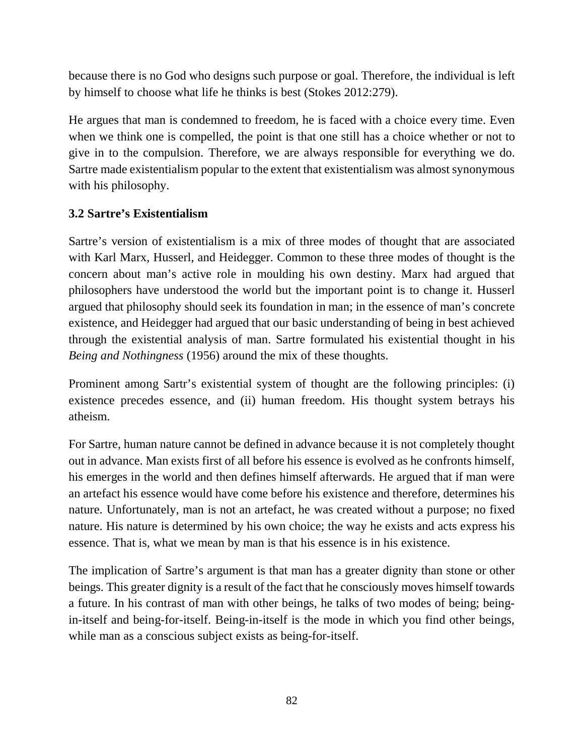because there is no God who designs such purpose or goal. Therefore, the individual is left by himself to choose what life he thinks is best (Stokes 2012:279).

He argues that man is condemned to freedom, he is faced with a choice every time. Even when we think one is compelled, the point is that one still has a choice whether or not to give in to the compulsion. Therefore, we are always responsible for everything we do. Sartre made existentialism popular to the extent that existentialism was almost synonymous with his philosophy.

# **3.2 Sartre's Existentialism**

Sartre's version of existentialism is a mix of three modes of thought that are associated with Karl Marx, Husserl, and Heidegger. Common to these three modes of thought is the concern about man's active role in moulding his own destiny. Marx had argued that philosophers have understood the world but the important point is to change it. Husserl argued that philosophy should seek its foundation in man; in the essence of man's concrete existence, and Heidegger had argued that our basic understanding of being in best achieved through the existential analysis of man. Sartre formulated his existential thought in his *Being and Nothingness* (1956) around the mix of these thoughts.

Prominent among Sartr's existential system of thought are the following principles: (i) existence precedes essence, and (ii) human freedom. His thought system betrays his atheism.

For Sartre, human nature cannot be defined in advance because it is not completely thought out in advance. Man exists first of all before his essence is evolved as he confronts himself, his emerges in the world and then defines himself afterwards. He argued that if man were an artefact his essence would have come before his existence and therefore, determines his nature. Unfortunately, man is not an artefact, he was created without a purpose; no fixed nature. His nature is determined by his own choice; the way he exists and acts express his essence. That is, what we mean by man is that his essence is in his existence.

The implication of Sartre's argument is that man has a greater dignity than stone or other beings. This greater dignity is a result of the fact that he consciously moves himself towards a future. In his contrast of man with other beings, he talks of two modes of being; beingin-itself and being-for-itself. Being-in-itself is the mode in which you find other beings, while man as a conscious subject exists as being-for-itself.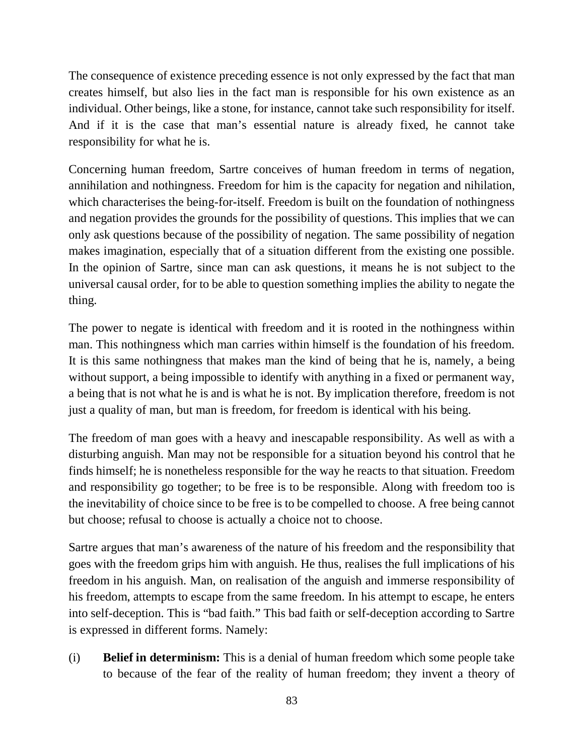The consequence of existence preceding essence is not only expressed by the fact that man creates himself, but also lies in the fact man is responsible for his own existence as an individual. Other beings, like a stone, for instance, cannot take such responsibility for itself. And if it is the case that man's essential nature is already fixed, he cannot take responsibility for what he is.

Concerning human freedom, Sartre conceives of human freedom in terms of negation, annihilation and nothingness. Freedom for him is the capacity for negation and nihilation, which characterises the being-for-itself. Freedom is built on the foundation of nothingness and negation provides the grounds for the possibility of questions. This implies that we can only ask questions because of the possibility of negation. The same possibility of negation makes imagination, especially that of a situation different from the existing one possible. In the opinion of Sartre, since man can ask questions, it means he is not subject to the universal causal order, for to be able to question something implies the ability to negate the thing.

The power to negate is identical with freedom and it is rooted in the nothingness within man. This nothingness which man carries within himself is the foundation of his freedom. It is this same nothingness that makes man the kind of being that he is, namely, a being without support, a being impossible to identify with anything in a fixed or permanent way, a being that is not what he is and is what he is not. By implication therefore, freedom is not just a quality of man, but man is freedom, for freedom is identical with his being.

The freedom of man goes with a heavy and inescapable responsibility. As well as with a disturbing anguish. Man may not be responsible for a situation beyond his control that he finds himself; he is nonetheless responsible for the way he reacts to that situation. Freedom and responsibility go together; to be free is to be responsible. Along with freedom too is the inevitability of choice since to be free is to be compelled to choose. A free being cannot but choose; refusal to choose is actually a choice not to choose.

Sartre argues that man's awareness of the nature of his freedom and the responsibility that goes with the freedom grips him with anguish. He thus, realises the full implications of his freedom in his anguish. Man, on realisation of the anguish and immerse responsibility of his freedom, attempts to escape from the same freedom. In his attempt to escape, he enters into self-deception. This is "bad faith." This bad faith or self-deception according to Sartre is expressed in different forms. Namely:

(i) **Belief in determinism:** This is a denial of human freedom which some people take to because of the fear of the reality of human freedom; they invent a theory of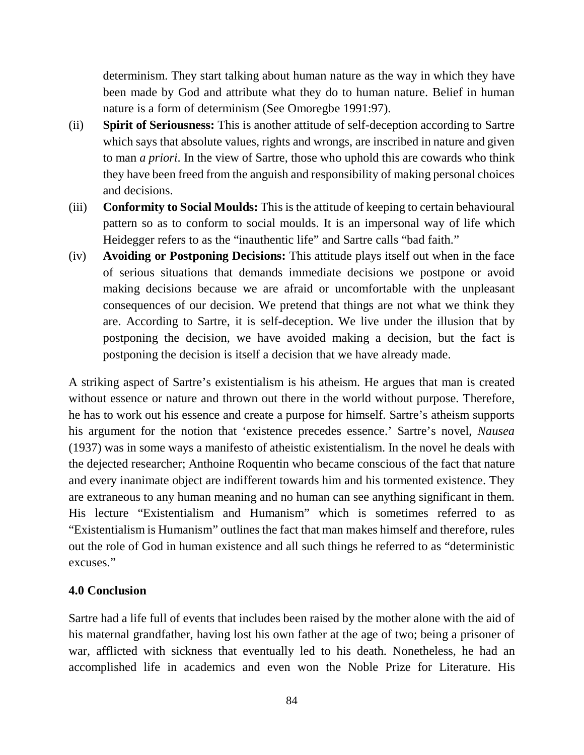determinism. They start talking about human nature as the way in which they have been made by God and attribute what they do to human nature. Belief in human nature is a form of determinism (See Omoregbe 1991:97).

- (ii) **Spirit of Seriousness:** This is another attitude of self-deception according to Sartre which says that absolute values, rights and wrongs, are inscribed in nature and given to man *a priori*. In the view of Sartre, those who uphold this are cowards who think they have been freed from the anguish and responsibility of making personal choices and decisions.
- (iii) **Conformity to Social Moulds:** This is the attitude of keeping to certain behavioural pattern so as to conform to social moulds. It is an impersonal way of life which Heidegger refers to as the "inauthentic life" and Sartre calls "bad faith."
- (iv) **Avoiding or Postponing Decisions:** This attitude plays itself out when in the face of serious situations that demands immediate decisions we postpone or avoid making decisions because we are afraid or uncomfortable with the unpleasant consequences of our decision. We pretend that things are not what we think they are. According to Sartre, it is self-deception. We live under the illusion that by postponing the decision, we have avoided making a decision, but the fact is postponing the decision is itself a decision that we have already made.

A striking aspect of Sartre's existentialism is his atheism. He argues that man is created without essence or nature and thrown out there in the world without purpose. Therefore, he has to work out his essence and create a purpose for himself. Sartre's atheism supports his argument for the notion that 'existence precedes essence.' Sartre's novel, *Nausea* (1937) was in some ways a manifesto of atheistic existentialism. In the novel he deals with the dejected researcher; Anthoine Roquentin who became conscious of the fact that nature and every inanimate object are indifferent towards him and his tormented existence. They are extraneous to any human meaning and no human can see anything significant in them. His lecture "Existentialism and Humanism" which is sometimes referred to as "Existentialism is Humanism" outlines the fact that man makes himself and therefore, rules out the role of God in human existence and all such things he referred to as "deterministic excuses."

#### **4.0 Conclusion**

Sartre had a life full of events that includes been raised by the mother alone with the aid of his maternal grandfather, having lost his own father at the age of two; being a prisoner of war, afflicted with sickness that eventually led to his death. Nonetheless, he had an accomplished life in academics and even won the Noble Prize for Literature. His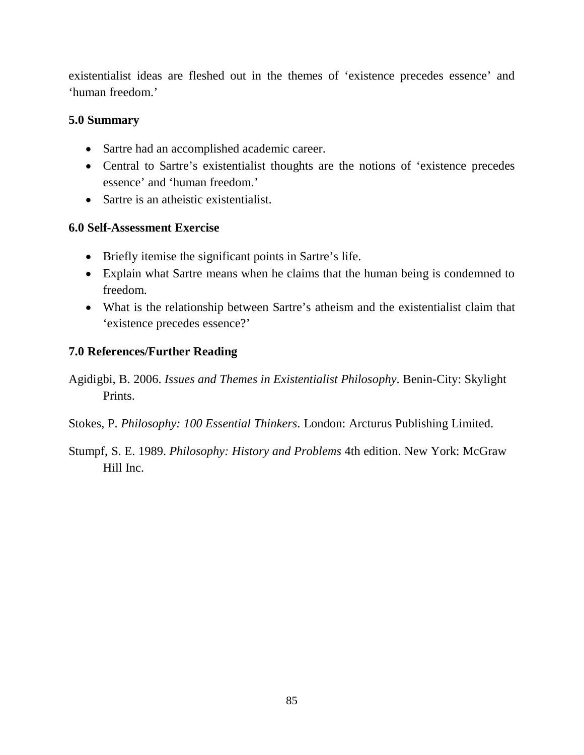existentialist ideas are fleshed out in the themes of 'existence precedes essence' and 'human freedom.'

#### **5.0 Summary**

- Sartre had an accomplished academic career.
- Central to Sartre's existentialist thoughts are the notions of 'existence precedes essence' and 'human freedom.'
- Sartre is an atheistic existentialist.

#### **6.0 Self-Assessment Exercise**

- Briefly itemise the significant points in Sartre's life.
- Explain what Sartre means when he claims that the human being is condemned to freedom.
- What is the relationship between Sartre's atheism and the existentialist claim that 'existence precedes essence?'

#### **7.0 References/Further Reading**

- Agidigbi, B. 2006. *Issues and Themes in Existentialist Philosophy*. Benin-City: Skylight Prints.
- Stokes, P. *Philosophy: 100 Essential Thinkers*. London: Arcturus Publishing Limited.
- Stumpf, S. E. 1989. *Philosophy: History and Problems* 4th edition. New York: McGraw Hill Inc.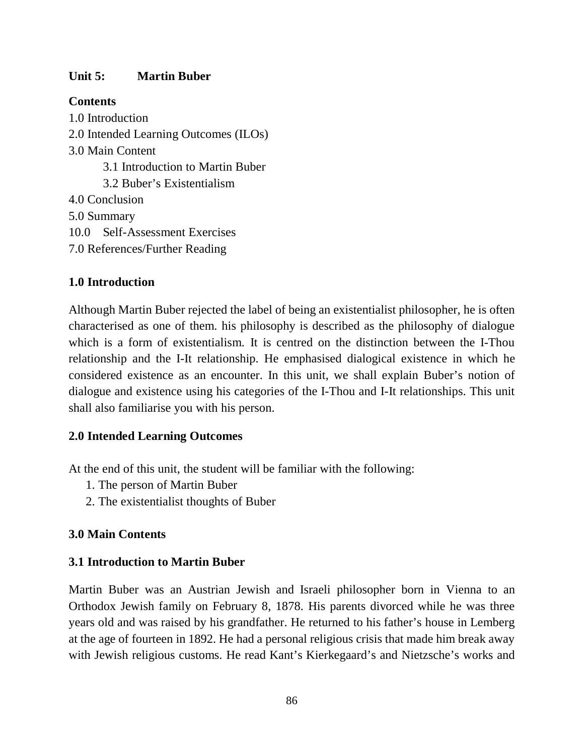#### **Unit 5: Martin Buber**

#### **Contents**

1.0 Introduction 2.0 Intended Learning Outcomes (ILOs) 3.0 Main Content 3.1 Introduction to Martin Buber 3.2 Buber's Existentialism 4.0 Conclusion 5.0 Summary 10.0 Self-Assessment Exercises 7.0 References/Further Reading

## **1.0 Introduction**

Although Martin Buber rejected the label of being an existentialist philosopher, he is often characterised as one of them. his philosophy is described as the philosophy of dialogue which is a form of existentialism. It is centred on the distinction between the I-Thou relationship and the I-It relationship. He emphasised dialogical existence in which he considered existence as an encounter. In this unit, we shall explain Buber's notion of dialogue and existence using his categories of the I-Thou and I-It relationships. This unit shall also familiarise you with his person.

#### **2.0 Intended Learning Outcomes**

At the end of this unit, the student will be familiar with the following:

- 1. The person of Martin Buber
- 2. The existentialist thoughts of Buber

#### **3.0 Main Contents**

#### **3.1 Introduction to Martin Buber**

Martin Buber was an Austrian Jewish and Israeli philosopher born in Vienna to an Orthodox Jewish family on February 8, 1878. His parents divorced while he was three years old and was raised by his grandfather. He returned to his father's house in Lemberg at the age of fourteen in 1892. He had a personal religious crisis that made him break away with Jewish religious customs. He read Kant's Kierkegaard's and Nietzsche's works and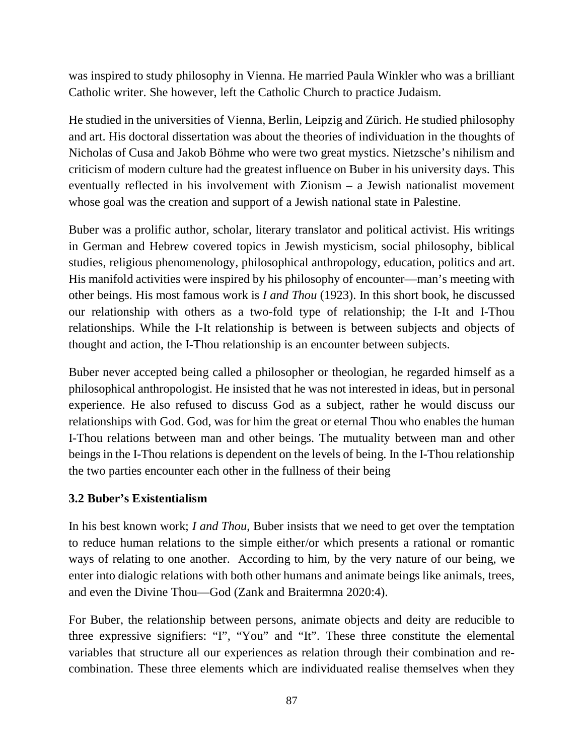was inspired to study philosophy in Vienna. He married Paula Winkler who was a brilliant Catholic writer. She however, left the Catholic Church to practice Judaism.

He studied in the universities of Vienna, Berlin, Leipzig and Zürich. He studied philosophy and art. His doctoral dissertation was about the theories of individuation in the thoughts of Nicholas of Cusa and Jakob Böhme who were two great mystics. Nietzsche's nihilism and criticism of modern culture had the greatest influence on Buber in his university days. This eventually reflected in his involvement with Zionism – a Jewish nationalist movement whose goal was the creation and support of a Jewish national state in Palestine.

Buber was a prolific author, scholar, literary translator and political activist. His writings in German and Hebrew covered topics in Jewish mysticism, social philosophy, biblical studies, religious phenomenology, philosophical anthropology, education, politics and art. His manifold activities were inspired by his philosophy of encounter—man's meeting with other beings. His most famous work is *I and Thou* (1923). In this short book, he discussed our relationship with others as a two-fold type of relationship; the I-It and I-Thou relationships. While the I-It relationship is between is between subjects and objects of thought and action, the I-Thou relationship is an encounter between subjects.

Buber never accepted being called a philosopher or theologian, he regarded himself as a philosophical anthropologist. He insisted that he was not interested in ideas, but in personal experience. He also refused to discuss God as a subject, rather he would discuss our relationships with God. God, was for him the great or eternal Thou who enables the human I-Thou relations between man and other beings. The mutuality between man and other beings in the I-Thou relations is dependent on the levels of being. In the I-Thou relationship the two parties encounter each other in the fullness of their being

#### **3.2 Buber's Existentialism**

In his best known work; *I and Thou*, Buber insists that we need to get over the temptation to reduce human relations to the simple either/or which presents a rational or romantic ways of relating to one another. According to him, by the very nature of our being, we enter into dialogic relations with both other humans and animate beings like animals, trees, and even the Divine Thou—God (Zank and Braitermna 2020:4).

For Buber, the relationship between persons, animate objects and deity are reducible to three expressive signifiers: "I", "You" and "It". These three constitute the elemental variables that structure all our experiences as relation through their combination and recombination. These three elements which are individuated realise themselves when they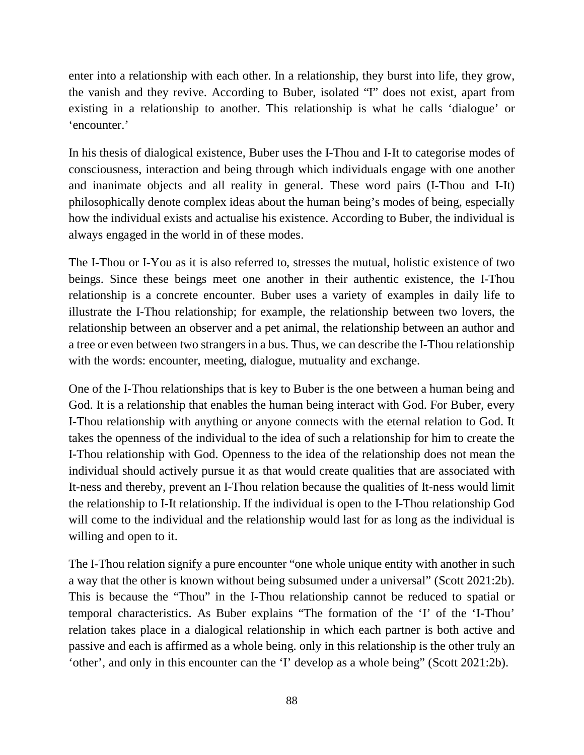enter into a relationship with each other. In a relationship, they burst into life, they grow, the vanish and they revive. According to Buber, isolated "I" does not exist, apart from existing in a relationship to another. This relationship is what he calls 'dialogue' or 'encounter.'

In his thesis of dialogical existence, Buber uses the I-Thou and I-It to categorise modes of consciousness, interaction and being through which individuals engage with one another and inanimate objects and all reality in general. These word pairs (I-Thou and I-It) philosophically denote complex ideas about the human being's modes of being, especially how the individual exists and actualise his existence. According to Buber, the individual is always engaged in the world in of these modes.

The I-Thou or I-You as it is also referred to, stresses the mutual, holistic existence of two beings. Since these beings meet one another in their authentic existence, the I-Thou relationship is a concrete encounter. Buber uses a variety of examples in daily life to illustrate the I-Thou relationship; for example, the relationship between two lovers, the relationship between an observer and a pet animal, the relationship between an author and a tree or even between two strangers in a bus. Thus, we can describe the I-Thou relationship with the words: encounter, meeting, dialogue, mutuality and exchange.

One of the I-Thou relationships that is key to Buber is the one between a human being and God. It is a relationship that enables the human being interact with God. For Buber, every I-Thou relationship with anything or anyone connects with the eternal relation to God. It takes the openness of the individual to the idea of such a relationship for him to create the I-Thou relationship with God. Openness to the idea of the relationship does not mean the individual should actively pursue it as that would create qualities that are associated with It-ness and thereby, prevent an I-Thou relation because the qualities of It-ness would limit the relationship to I-It relationship. If the individual is open to the I-Thou relationship God will come to the individual and the relationship would last for as long as the individual is willing and open to it.

The I-Thou relation signify a pure encounter "one whole unique entity with another in such a way that the other is known without being subsumed under a universal" (Scott 2021:2b). This is because the "Thou" in the I-Thou relationship cannot be reduced to spatial or temporal characteristics. As Buber explains "The formation of the 'I' of the 'I-Thou' relation takes place in a dialogical relationship in which each partner is both active and passive and each is affirmed as a whole being. only in this relationship is the other truly an 'other', and only in this encounter can the 'I' develop as a whole being" (Scott 2021:2b).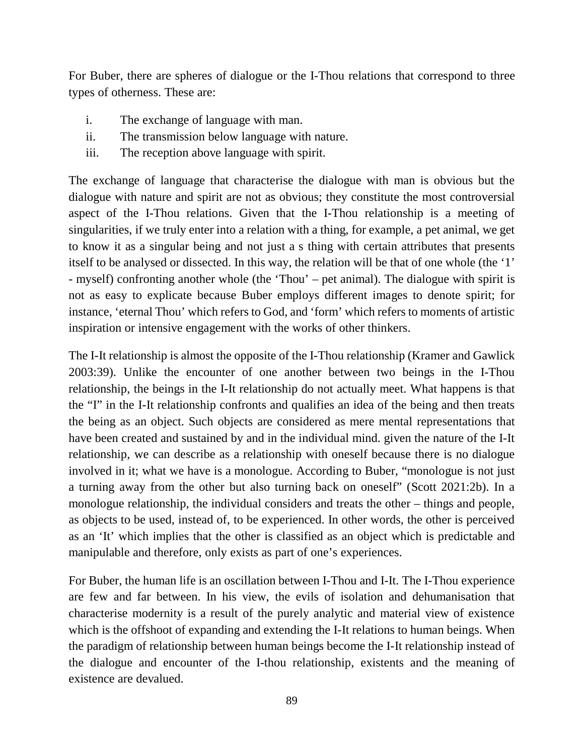For Buber, there are spheres of dialogue or the I-Thou relations that correspond to three types of otherness. These are:

- i. The exchange of language with man.
- ii. The transmission below language with nature.
- iii. The reception above language with spirit.

The exchange of language that characterise the dialogue with man is obvious but the dialogue with nature and spirit are not as obvious; they constitute the most controversial aspect of the I-Thou relations. Given that the I-Thou relationship is a meeting of singularities, if we truly enter into a relation with a thing, for example, a pet animal, we get to know it as a singular being and not just a s thing with certain attributes that presents itself to be analysed or dissected. In this way, the relation will be that of one whole (the '1' - myself) confronting another whole (the 'Thou' – pet animal). The dialogue with spirit is not as easy to explicate because Buber employs different images to denote spirit; for instance, 'eternal Thou' which refers to God, and 'form' which refers to moments of artistic inspiration or intensive engagement with the works of other thinkers.

The I-It relationship is almost the opposite of the I-Thou relationship (Kramer and Gawlick 2003:39). Unlike the encounter of one another between two beings in the I-Thou relationship, the beings in the I-It relationship do not actually meet. What happens is that the "I" in the I-It relationship confronts and qualifies an idea of the being and then treats the being as an object. Such objects are considered as mere mental representations that have been created and sustained by and in the individual mind. given the nature of the I-It relationship, we can describe as a relationship with oneself because there is no dialogue involved in it; what we have is a monologue. According to Buber, "monologue is not just a turning away from the other but also turning back on oneself" (Scott 2021:2b). In a monologue relationship, the individual considers and treats the other – things and people, as objects to be used, instead of, to be experienced. In other words, the other is perceived as an 'It' which implies that the other is classified as an object which is predictable and manipulable and therefore, only exists as part of one's experiences.

For Buber, the human life is an oscillation between I-Thou and I-It. The I-Thou experience are few and far between. In his view, the evils of isolation and dehumanisation that characterise modernity is a result of the purely analytic and material view of existence which is the offshoot of expanding and extending the I-It relations to human beings. When the paradigm of relationship between human beings become the I-It relationship instead of the dialogue and encounter of the I-thou relationship, existents and the meaning of existence are devalued.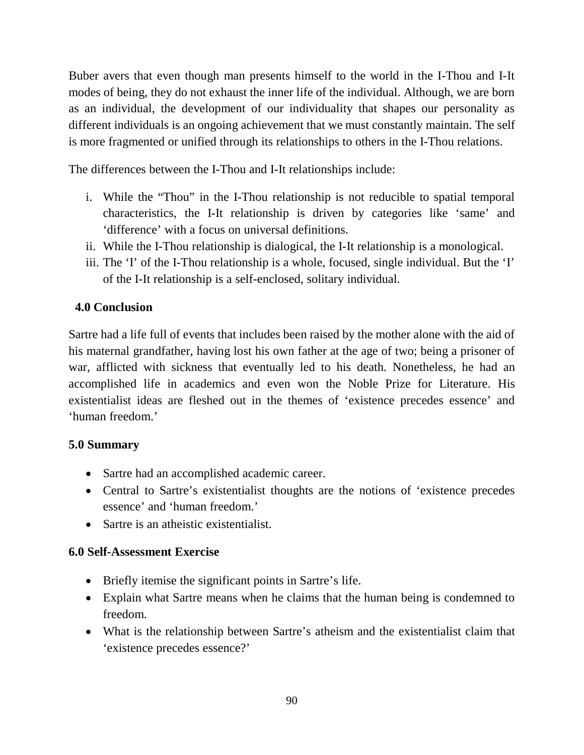Buber avers that even though man presents himself to the world in the I-Thou and I-It modes of being, they do not exhaust the inner life of the individual. Although, we are born as an individual, the development of our individuality that shapes our personality as different individuals is an ongoing achievement that we must constantly maintain. The self is more fragmented or unified through its relationships to others in the I-Thou relations.

The differences between the I-Thou and I-It relationships include:

- i. While the "Thou" in the I-Thou relationship is not reducible to spatial temporal characteristics, the I-It relationship is driven by categories like 'same' and 'difference' with a focus on universal definitions.
- ii. While the I-Thou relationship is dialogical, the I-It relationship is a monological.
- iii. The 'I' of the I-Thou relationship is a whole, focused, single individual. But the 'I' of the I-It relationship is a self-enclosed, solitary individual.

# **4.0 Conclusion**

Sartre had a life full of events that includes been raised by the mother alone with the aid of his maternal grandfather, having lost his own father at the age of two; being a prisoner of war, afflicted with sickness that eventually led to his death. Nonetheless, he had an accomplished life in academics and even won the Noble Prize for Literature. His existentialist ideas are fleshed out in the themes of 'existence precedes essence' and 'human freedom.'

## **5.0 Summary**

- Sartre had an accomplished academic career.
- Central to Sartre's existentialist thoughts are the notions of 'existence precedes essence' and 'human freedom.'
- Sartre is an atheistic existentialist.

#### **6.0 Self-Assessment Exercise**

- Briefly itemise the significant points in Sartre's life.
- Explain what Sartre means when he claims that the human being is condemned to freedom.
- What is the relationship between Sartre's atheism and the existentialist claim that 'existence precedes essence?'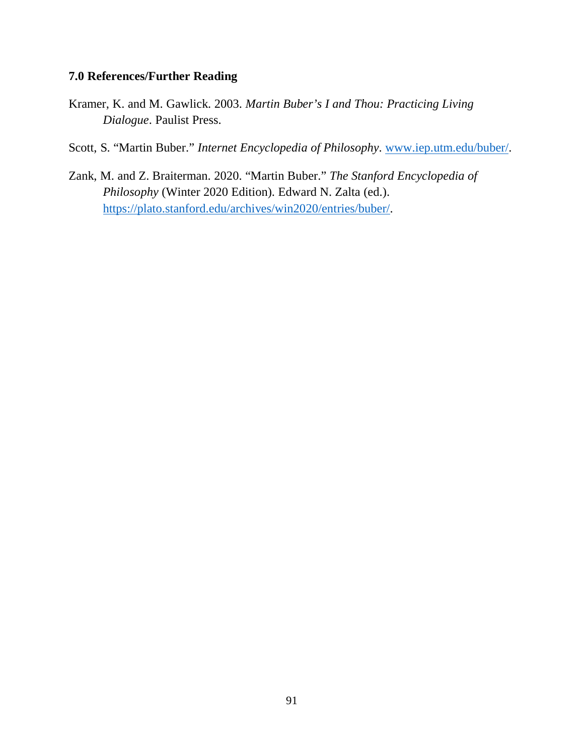#### **7.0 References/Further Reading**

- Kramer, K. and M. Gawlick. 2003. *Martin Buber's I and Thou: Practicing Living Dialogue*. Paulist Press.
- Scott, S. "Martin Buber." *Internet Encyclopedia of Philosophy*. www.iep.utm.edu/buber/.
- Zank, M. and Z. Braiterman. 2020. "Martin Buber." *The Stanford Encyclopedia of Philosophy* (Winter 2020 Edition). Edward N. Zalta (ed.). https://plato.stanford.edu/archives/win2020/entries/buber/.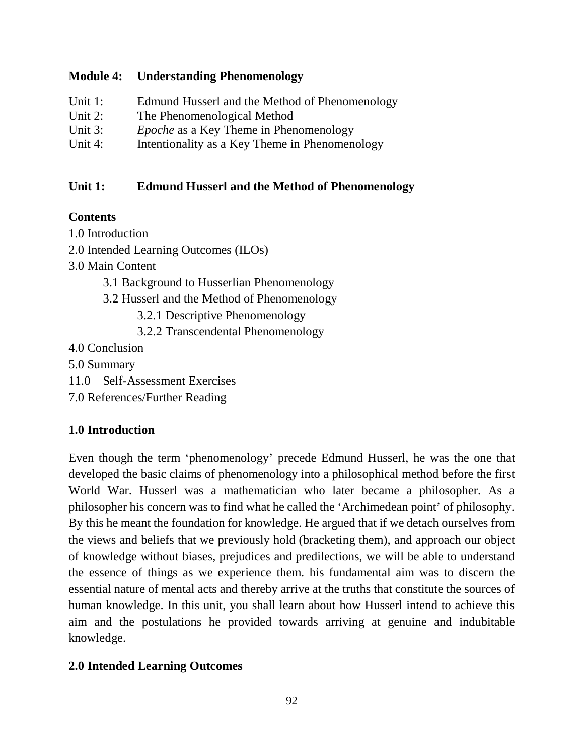#### **Module 4: Understanding Phenomenology**

| Unit $1$ : | Edmund Husserl and the Method of Phenomenology |
|------------|------------------------------------------------|
| Unit $2$ : | The Phenomenological Method                    |
| Unit 3:    | <i>Epoche</i> as a Key Theme in Phenomenology  |
| Unit 4:    | Intentionality as a Key Theme in Phenomenology |

## **Unit 1: Edmund Husserl and the Method of Phenomenology**

## **Contents**

1.0 Introduction

2.0 Intended Learning Outcomes (ILOs)

3.0 Main Content

- 3.1 Background to Husserlian Phenomenology
- 3.2 Husserl and the Method of Phenomenology

3.2.1 Descriptive Phenomenology

- 3.2.2 Transcendental Phenomenology
- 4.0 Conclusion
- 5.0 Summary
- 11.0 Self-Assessment Exercises

7.0 References/Further Reading

## **1.0 Introduction**

Even though the term 'phenomenology' precede Edmund Husserl, he was the one that developed the basic claims of phenomenology into a philosophical method before the first World War. Husserl was a mathematician who later became a philosopher. As a philosopher his concern was to find what he called the 'Archimedean point' of philosophy. By this he meant the foundation for knowledge. He argued that if we detach ourselves from the views and beliefs that we previously hold (bracketing them), and approach our object of knowledge without biases, prejudices and predilections, we will be able to understand the essence of things as we experience them. his fundamental aim was to discern the essential nature of mental acts and thereby arrive at the truths that constitute the sources of human knowledge. In this unit, you shall learn about how Husserl intend to achieve this aim and the postulations he provided towards arriving at genuine and indubitable knowledge.

## **2.0 Intended Learning Outcomes**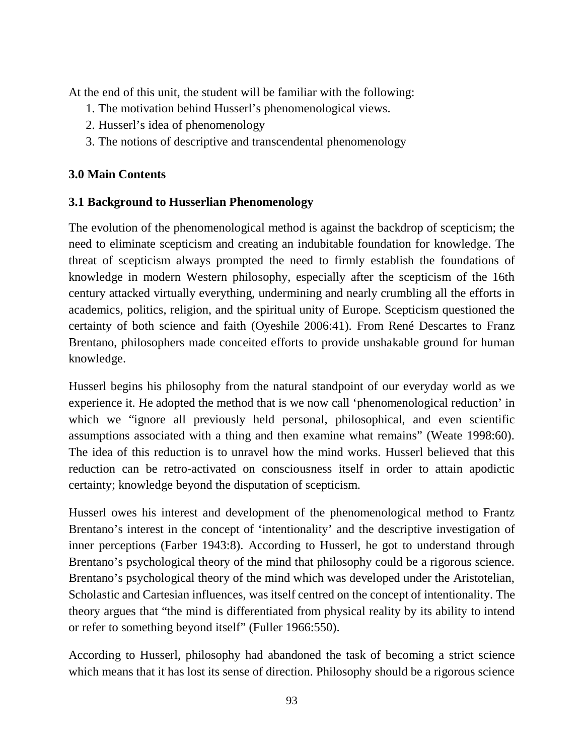At the end of this unit, the student will be familiar with the following:

- 1. The motivation behind Husserl's phenomenological views.
- 2. Husserl's idea of phenomenology
- 3. The notions of descriptive and transcendental phenomenology

# **3.0 Main Contents**

# **3.1 Background to Husserlian Phenomenology**

The evolution of the phenomenological method is against the backdrop of scepticism; the need to eliminate scepticism and creating an indubitable foundation for knowledge. The threat of scepticism always prompted the need to firmly establish the foundations of knowledge in modern Western philosophy, especially after the scepticism of the 16th century attacked virtually everything, undermining and nearly crumbling all the efforts in academics, politics, religion, and the spiritual unity of Europe. Scepticism questioned the certainty of both science and faith (Oyeshile 2006:41). From René Descartes to Franz Brentano, philosophers made conceited efforts to provide unshakable ground for human knowledge.

Husserl begins his philosophy from the natural standpoint of our everyday world as we experience it. He adopted the method that is we now call 'phenomenological reduction' in which we "ignore all previously held personal, philosophical, and even scientific assumptions associated with a thing and then examine what remains" (Weate 1998:60). The idea of this reduction is to unravel how the mind works. Husserl believed that this reduction can be retro-activated on consciousness itself in order to attain apodictic certainty; knowledge beyond the disputation of scepticism.

Husserl owes his interest and development of the phenomenological method to Frantz Brentano's interest in the concept of 'intentionality' and the descriptive investigation of inner perceptions (Farber 1943:8). According to Husserl, he got to understand through Brentano's psychological theory of the mind that philosophy could be a rigorous science. Brentano's psychological theory of the mind which was developed under the Aristotelian, Scholastic and Cartesian influences, was itself centred on the concept of intentionality. The theory argues that "the mind is differentiated from physical reality by its ability to intend or refer to something beyond itself" (Fuller 1966:550).

According to Husserl, philosophy had abandoned the task of becoming a strict science which means that it has lost its sense of direction. Philosophy should be a rigorous science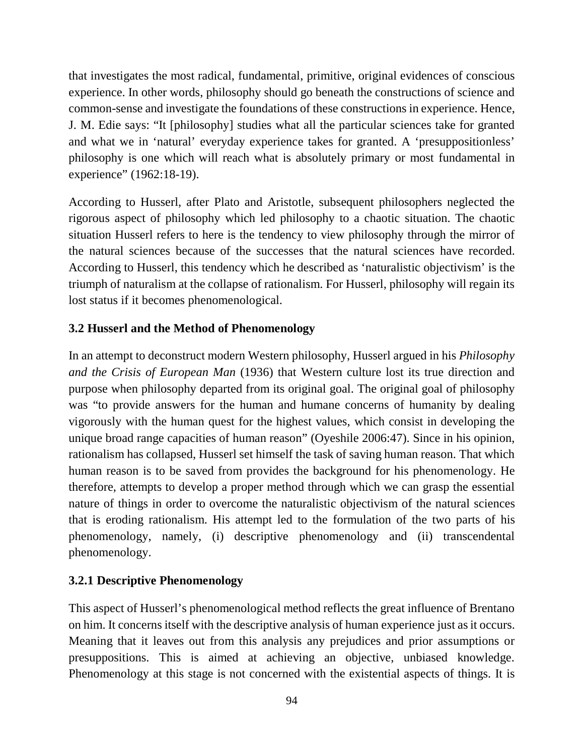that investigates the most radical, fundamental, primitive, original evidences of conscious experience. In other words, philosophy should go beneath the constructions of science and common-sense and investigate the foundations of these constructions in experience. Hence, J. M. Edie says: "It [philosophy] studies what all the particular sciences take for granted and what we in 'natural' everyday experience takes for granted. A 'presuppositionless' philosophy is one which will reach what is absolutely primary or most fundamental in experience" (1962:18-19).

According to Husserl, after Plato and Aristotle, subsequent philosophers neglected the rigorous aspect of philosophy which led philosophy to a chaotic situation. The chaotic situation Husserl refers to here is the tendency to view philosophy through the mirror of the natural sciences because of the successes that the natural sciences have recorded. According to Husserl, this tendency which he described as 'naturalistic objectivism' is the triumph of naturalism at the collapse of rationalism. For Husserl, philosophy will regain its lost status if it becomes phenomenological.

## **3.2 Husserl and the Method of Phenomenology**

In an attempt to deconstruct modern Western philosophy, Husserl argued in his *Philosophy and the Crisis of European Man* (1936) that Western culture lost its true direction and purpose when philosophy departed from its original goal. The original goal of philosophy was "to provide answers for the human and humane concerns of humanity by dealing vigorously with the human quest for the highest values, which consist in developing the unique broad range capacities of human reason" (Oyeshile 2006:47). Since in his opinion, rationalism has collapsed, Husserl set himself the task of saving human reason. That which human reason is to be saved from provides the background for his phenomenology. He therefore, attempts to develop a proper method through which we can grasp the essential nature of things in order to overcome the naturalistic objectivism of the natural sciences that is eroding rationalism. His attempt led to the formulation of the two parts of his phenomenology, namely, (i) descriptive phenomenology and (ii) transcendental phenomenology.

#### **3.2.1 Descriptive Phenomenology**

This aspect of Husserl's phenomenological method reflects the great influence of Brentano on him. It concerns itself with the descriptive analysis of human experience just as it occurs. Meaning that it leaves out from this analysis any prejudices and prior assumptions or presuppositions. This is aimed at achieving an objective, unbiased knowledge. Phenomenology at this stage is not concerned with the existential aspects of things. It is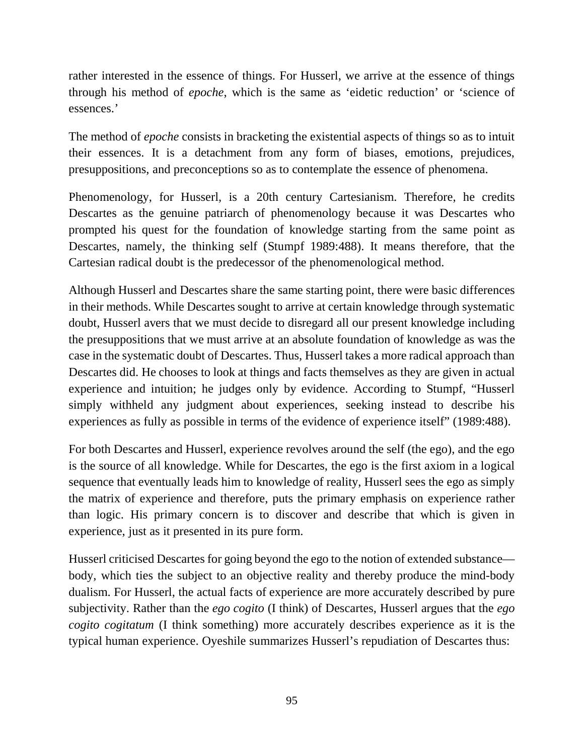rather interested in the essence of things. For Husserl, we arrive at the essence of things through his method of *epoche*, which is the same as 'eidetic reduction' or 'science of essences.'

The method of *epoche* consists in bracketing the existential aspects of things so as to intuit their essences. It is a detachment from any form of biases, emotions, prejudices, presuppositions, and preconceptions so as to contemplate the essence of phenomena.

Phenomenology, for Husserl, is a 20th century Cartesianism. Therefore, he credits Descartes as the genuine patriarch of phenomenology because it was Descartes who prompted his quest for the foundation of knowledge starting from the same point as Descartes, namely, the thinking self (Stumpf 1989:488). It means therefore, that the Cartesian radical doubt is the predecessor of the phenomenological method.

Although Husserl and Descartes share the same starting point, there were basic differences in their methods. While Descartes sought to arrive at certain knowledge through systematic doubt, Husserl avers that we must decide to disregard all our present knowledge including the presuppositions that we must arrive at an absolute foundation of knowledge as was the case in the systematic doubt of Descartes. Thus, Husserl takes a more radical approach than Descartes did. He chooses to look at things and facts themselves as they are given in actual experience and intuition; he judges only by evidence. According to Stumpf, "Husserl simply withheld any judgment about experiences, seeking instead to describe his experiences as fully as possible in terms of the evidence of experience itself" (1989:488).

For both Descartes and Husserl, experience revolves around the self (the ego), and the ego is the source of all knowledge. While for Descartes, the ego is the first axiom in a logical sequence that eventually leads him to knowledge of reality, Husserl sees the ego as simply the matrix of experience and therefore, puts the primary emphasis on experience rather than logic. His primary concern is to discover and describe that which is given in experience, just as it presented in its pure form.

Husserl criticised Descartes for going beyond the ego to the notion of extended substance body, which ties the subject to an objective reality and thereby produce the mind-body dualism. For Husserl, the actual facts of experience are more accurately described by pure subjectivity. Rather than the *ego cogito* (I think) of Descartes, Husserl argues that the *ego cogito cogitatum* (I think something) more accurately describes experience as it is the typical human experience. Oyeshile summarizes Husserl's repudiation of Descartes thus: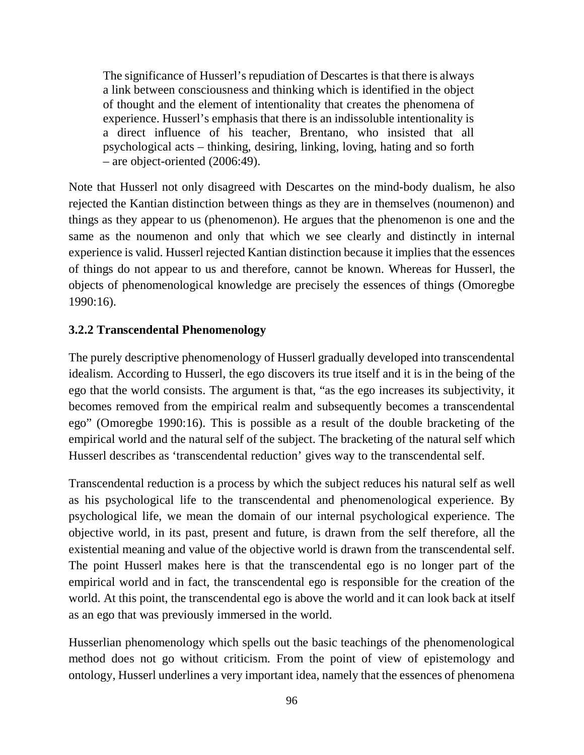The significance of Husserl's repudiation of Descartes is that there is always a link between consciousness and thinking which is identified in the object of thought and the element of intentionality that creates the phenomena of experience. Husserl's emphasis that there is an indissoluble intentionality is a direct influence of his teacher, Brentano, who insisted that all psychological acts – thinking, desiring, linking, loving, hating and so forth – are object-oriented (2006:49).

Note that Husserl not only disagreed with Descartes on the mind-body dualism, he also rejected the Kantian distinction between things as they are in themselves (noumenon) and things as they appear to us (phenomenon). He argues that the phenomenon is one and the same as the noumenon and only that which we see clearly and distinctly in internal experience is valid. Husserl rejected Kantian distinction because it implies that the essences of things do not appear to us and therefore, cannot be known. Whereas for Husserl, the objects of phenomenological knowledge are precisely the essences of things (Omoregbe 1990:16).

#### **3.2.2 Transcendental Phenomenology**

The purely descriptive phenomenology of Husserl gradually developed into transcendental idealism. According to Husserl, the ego discovers its true itself and it is in the being of the ego that the world consists. The argument is that, "as the ego increases its subjectivity, it becomes removed from the empirical realm and subsequently becomes a transcendental ego" (Omoregbe 1990:16). This is possible as a result of the double bracketing of the empirical world and the natural self of the subject. The bracketing of the natural self which Husserl describes as 'transcendental reduction' gives way to the transcendental self.

Transcendental reduction is a process by which the subject reduces his natural self as well as his psychological life to the transcendental and phenomenological experience. By psychological life, we mean the domain of our internal psychological experience. The objective world, in its past, present and future, is drawn from the self therefore, all the existential meaning and value of the objective world is drawn from the transcendental self. The point Husserl makes here is that the transcendental ego is no longer part of the empirical world and in fact, the transcendental ego is responsible for the creation of the world. At this point, the transcendental ego is above the world and it can look back at itself as an ego that was previously immersed in the world.

Husserlian phenomenology which spells out the basic teachings of the phenomenological method does not go without criticism. From the point of view of epistemology and ontology, Husserl underlines a very important idea, namely that the essences of phenomena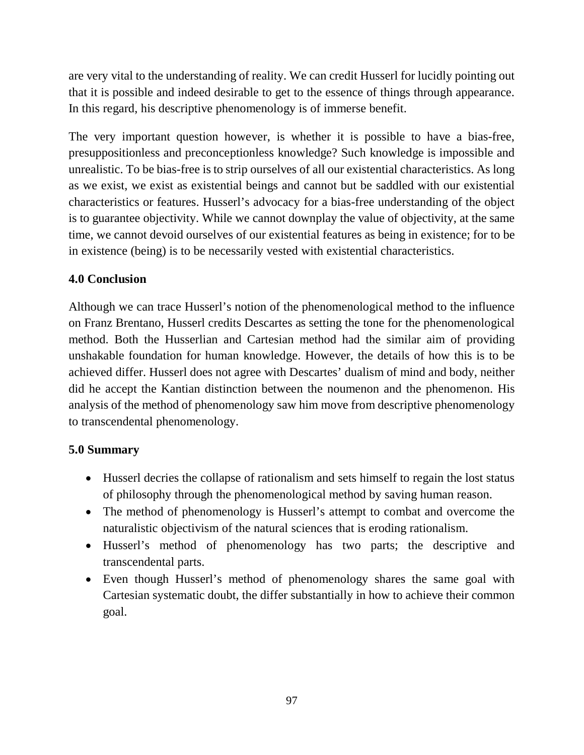are very vital to the understanding of reality. We can credit Husserl for lucidly pointing out that it is possible and indeed desirable to get to the essence of things through appearance. In this regard, his descriptive phenomenology is of immerse benefit.

The very important question however, is whether it is possible to have a bias-free, presuppositionless and preconceptionless knowledge? Such knowledge is impossible and unrealistic. To be bias-free is to strip ourselves of all our existential characteristics. As long as we exist, we exist as existential beings and cannot but be saddled with our existential characteristics or features. Husserl's advocacy for a bias-free understanding of the object is to guarantee objectivity. While we cannot downplay the value of objectivity, at the same time, we cannot devoid ourselves of our existential features as being in existence; for to be in existence (being) is to be necessarily vested with existential characteristics.

## **4.0 Conclusion**

Although we can trace Husserl's notion of the phenomenological method to the influence on Franz Brentano, Husserl credits Descartes as setting the tone for the phenomenological method. Both the Husserlian and Cartesian method had the similar aim of providing unshakable foundation for human knowledge. However, the details of how this is to be achieved differ. Husserl does not agree with Descartes' dualism of mind and body, neither did he accept the Kantian distinction between the noumenon and the phenomenon. His analysis of the method of phenomenology saw him move from descriptive phenomenology to transcendental phenomenology.

## **5.0 Summary**

- Husserl decries the collapse of rationalism and sets himself to regain the lost status of philosophy through the phenomenological method by saving human reason.
- The method of phenomenology is Husserl's attempt to combat and overcome the naturalistic objectivism of the natural sciences that is eroding rationalism.
- Husserl's method of phenomenology has two parts; the descriptive and transcendental parts.
- Even though Husserl's method of phenomenology shares the same goal with Cartesian systematic doubt, the differ substantially in how to achieve their common goal.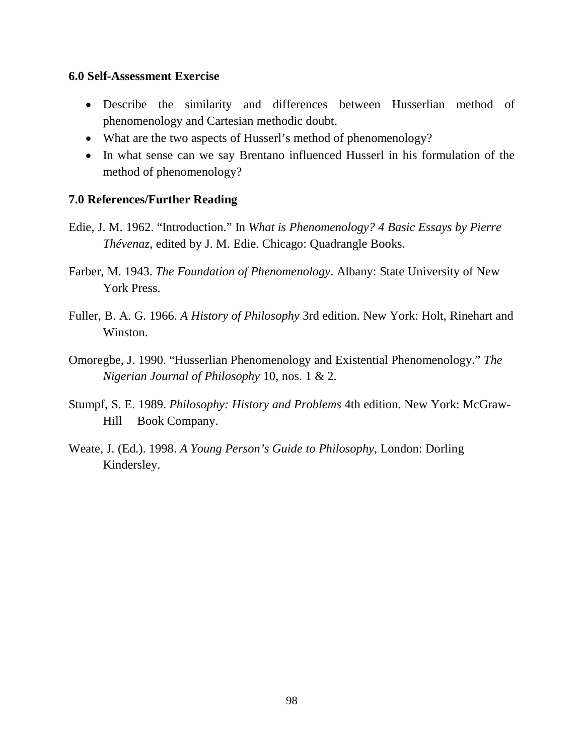#### **6.0 Self-Assessment Exercise**

- Describe the similarity and differences between Husserlian method of phenomenology and Cartesian methodic doubt.
- What are the two aspects of Husserl's method of phenomenology?
- In what sense can we say Brentano influenced Husserl in his formulation of the method of phenomenology?

#### **7.0 References/Further Reading**

Edie, J. M. 1962. "Introduction." In *What is Phenomenology? 4 Basic Essays by Pierre Thévenaz*, edited by J. M. Edie. Chicago: Quadrangle Books.

Farber, M. 1943. *The Foundation of Phenomenology*. Albany: State University of New York Press.

- Fuller, B. A. G. 1966. *A History of Philosophy* 3rd edition. New York: Holt, Rinehart and Winston.
- Omoregbe, J. 1990. "Husserlian Phenomenology and Existential Phenomenology." *The Nigerian Journal of Philosophy* 10, nos. 1 & 2.
- Stumpf, S. E. 1989. *Philosophy: History and Problems* 4th edition. New York: McGraw- Hill Book Company.
- Weate, J. (Ed.). 1998. *A Young Person's Guide to Philosophy*, London: Dorling Kindersley.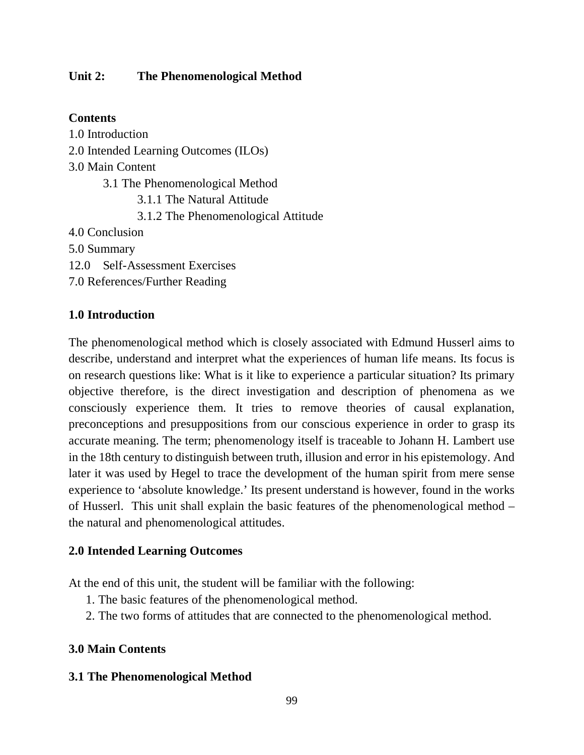#### **Unit 2: The Phenomenological Method**

#### **Contents**

1.0 Introduction 2.0 Intended Learning Outcomes (ILOs) 3.0 Main Content 3.1 The Phenomenological Method 3.1.1 The Natural Attitude 3.1.2 The Phenomenological Attitude 4.0 Conclusion 5.0 Summary 12.0 Self-Assessment Exercises 7.0 References/Further Reading

## **1.0 Introduction**

The phenomenological method which is closely associated with Edmund Husserl aims to describe, understand and interpret what the experiences of human life means. Its focus is on research questions like: What is it like to experience a particular situation? Its primary objective therefore, is the direct investigation and description of phenomena as we consciously experience them. It tries to remove theories of causal explanation, preconceptions and presuppositions from our conscious experience in order to grasp its accurate meaning. The term; phenomenology itself is traceable to Johann H. Lambert use in the 18th century to distinguish between truth, illusion and error in his epistemology. And later it was used by Hegel to trace the development of the human spirit from mere sense experience to 'absolute knowledge.' Its present understand is however, found in the works of Husserl. This unit shall explain the basic features of the phenomenological method – the natural and phenomenological attitudes.

## **2.0 Intended Learning Outcomes**

At the end of this unit, the student will be familiar with the following:

- 1. The basic features of the phenomenological method.
- 2. The two forms of attitudes that are connected to the phenomenological method.

## **3.0 Main Contents**

#### **3.1 The Phenomenological Method**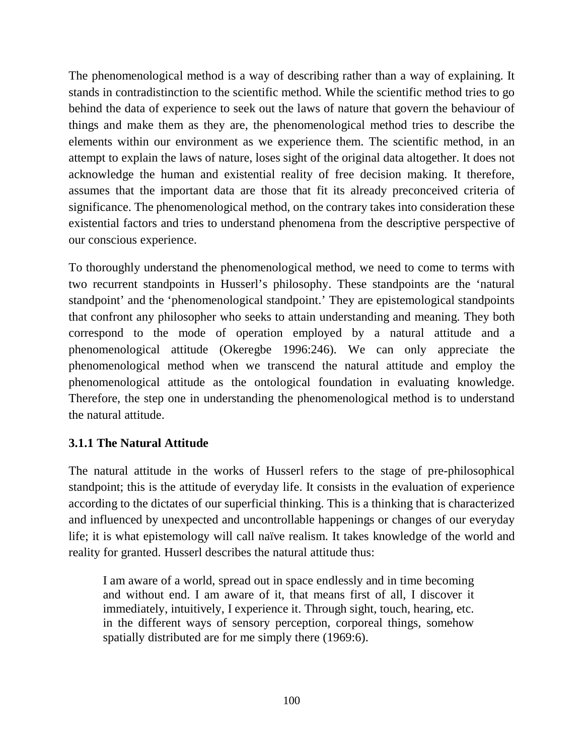The phenomenological method is a way of describing rather than a way of explaining. It stands in contradistinction to the scientific method. While the scientific method tries to go behind the data of experience to seek out the laws of nature that govern the behaviour of things and make them as they are, the phenomenological method tries to describe the elements within our environment as we experience them. The scientific method, in an attempt to explain the laws of nature, loses sight of the original data altogether. It does not acknowledge the human and existential reality of free decision making. It therefore, assumes that the important data are those that fit its already preconceived criteria of significance. The phenomenological method, on the contrary takes into consideration these existential factors and tries to understand phenomena from the descriptive perspective of our conscious experience.

To thoroughly understand the phenomenological method, we need to come to terms with two recurrent standpoints in Husserl's philosophy. These standpoints are the 'natural standpoint' and the 'phenomenological standpoint.' They are epistemological standpoints that confront any philosopher who seeks to attain understanding and meaning. They both correspond to the mode of operation employed by a natural attitude and a phenomenological attitude (Okeregbe 1996:246). We can only appreciate the phenomenological method when we transcend the natural attitude and employ the phenomenological attitude as the ontological foundation in evaluating knowledge. Therefore, the step one in understanding the phenomenological method is to understand the natural attitude.

## **3.1.1 The Natural Attitude**

The natural attitude in the works of Husserl refers to the stage of pre-philosophical standpoint; this is the attitude of everyday life. It consists in the evaluation of experience according to the dictates of our superficial thinking. This is a thinking that is characterized and influenced by unexpected and uncontrollable happenings or changes of our everyday life; it is what epistemology will call naïve realism. It takes knowledge of the world and reality for granted. Husserl describes the natural attitude thus:

I am aware of a world, spread out in space endlessly and in time becoming and without end. I am aware of it, that means first of all, I discover it immediately, intuitively, I experience it. Through sight, touch, hearing, etc. in the different ways of sensory perception, corporeal things, somehow spatially distributed are for me simply there (1969:6).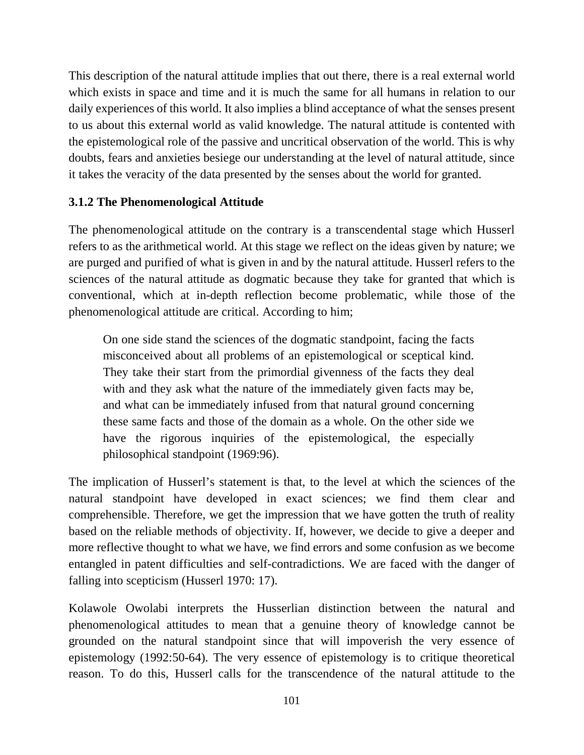This description of the natural attitude implies that out there, there is a real external world which exists in space and time and it is much the same for all humans in relation to our daily experiences of this world. It also implies a blind acceptance of what the senses present to us about this external world as valid knowledge. The natural attitude is contented with the epistemological role of the passive and uncritical observation of the world. This is why doubts, fears and anxieties besiege our understanding at the level of natural attitude, since it takes the veracity of the data presented by the senses about the world for granted.

## **3.1.2 The Phenomenological Attitude**

The phenomenological attitude on the contrary is a transcendental stage which Husserl refers to as the arithmetical world. At this stage we reflect on the ideas given by nature; we are purged and purified of what is given in and by the natural attitude. Husserl refers to the sciences of the natural attitude as dogmatic because they take for granted that which is conventional, which at in-depth reflection become problematic, while those of the phenomenological attitude are critical. According to him;

On one side stand the sciences of the dogmatic standpoint, facing the facts misconceived about all problems of an epistemological or sceptical kind. They take their start from the primordial givenness of the facts they deal with and they ask what the nature of the immediately given facts may be, and what can be immediately infused from that natural ground concerning these same facts and those of the domain as a whole. On the other side we have the rigorous inquiries of the epistemological, the especially philosophical standpoint (1969:96).

The implication of Husserl's statement is that, to the level at which the sciences of the natural standpoint have developed in exact sciences; we find them clear and comprehensible. Therefore, we get the impression that we have gotten the truth of reality based on the reliable methods of objectivity. If, however, we decide to give a deeper and more reflective thought to what we have, we find errors and some confusion as we become entangled in patent difficulties and self-contradictions. We are faced with the danger of falling into scepticism (Husserl 1970: 17).

Kolawole Owolabi interprets the Husserlian distinction between the natural and phenomenological attitudes to mean that a genuine theory of knowledge cannot be grounded on the natural standpoint since that will impoverish the very essence of epistemology (1992:50-64). The very essence of epistemology is to critique theoretical reason. To do this, Husserl calls for the transcendence of the natural attitude to the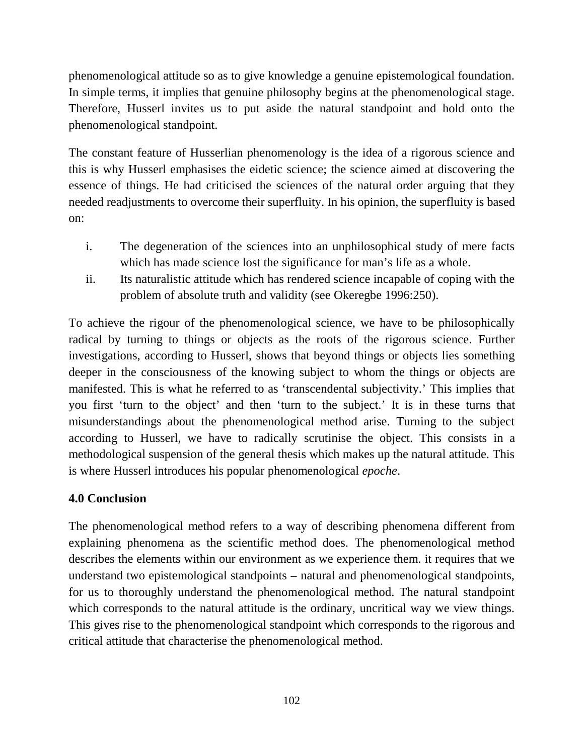phenomenological attitude so as to give knowledge a genuine epistemological foundation. In simple terms, it implies that genuine philosophy begins at the phenomenological stage. Therefore, Husserl invites us to put aside the natural standpoint and hold onto the phenomenological standpoint.

The constant feature of Husserlian phenomenology is the idea of a rigorous science and this is why Husserl emphasises the eidetic science; the science aimed at discovering the essence of things. He had criticised the sciences of the natural order arguing that they needed readjustments to overcome their superfluity. In his opinion, the superfluity is based on:

- i. The degeneration of the sciences into an unphilosophical study of mere facts which has made science lost the significance for man's life as a whole.
- ii. Its naturalistic attitude which has rendered science incapable of coping with the problem of absolute truth and validity (see Okeregbe 1996:250).

To achieve the rigour of the phenomenological science, we have to be philosophically radical by turning to things or objects as the roots of the rigorous science. Further investigations, according to Husserl, shows that beyond things or objects lies something deeper in the consciousness of the knowing subject to whom the things or objects are manifested. This is what he referred to as 'transcendental subjectivity.' This implies that you first 'turn to the object' and then 'turn to the subject.' It is in these turns that misunderstandings about the phenomenological method arise. Turning to the subject according to Husserl, we have to radically scrutinise the object. This consists in a methodological suspension of the general thesis which makes up the natural attitude. This is where Husserl introduces his popular phenomenological *epoche*.

## **4.0 Conclusion**

The phenomenological method refers to a way of describing phenomena different from explaining phenomena as the scientific method does. The phenomenological method describes the elements within our environment as we experience them. it requires that we understand two epistemological standpoints – natural and phenomenological standpoints, for us to thoroughly understand the phenomenological method. The natural standpoint which corresponds to the natural attitude is the ordinary, uncritical way we view things. This gives rise to the phenomenological standpoint which corresponds to the rigorous and critical attitude that characterise the phenomenological method.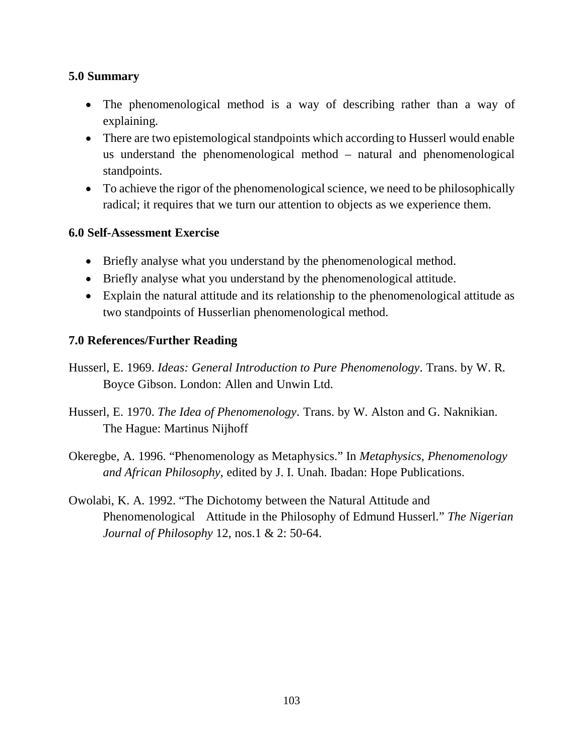#### **5.0 Summary**

- The phenomenological method is a way of describing rather than a way of explaining.
- There are two epistemological standpoints which according to Husserl would enable us understand the phenomenological method – natural and phenomenological standpoints.
- To achieve the rigor of the phenomenological science, we need to be philosophically radical; it requires that we turn our attention to objects as we experience them.

#### **6.0 Self-Assessment Exercise**

- Briefly analyse what you understand by the phenomenological method.
- Briefly analyse what you understand by the phenomenological attitude.
- Explain the natural attitude and its relationship to the phenomenological attitude as two standpoints of Husserlian phenomenological method.

#### **7.0 References/Further Reading**

Husserl, E. 1969. *Ideas: General Introduction to Pure Phenomenology*. Trans. by W. R. Boyce Gibson. London: Allen and Unwin Ltd.

- Husserl, E. 1970. *The Idea of Phenomenology*. Trans. by W. Alston and G. Naknikian. The Hague: Martinus Nijhoff
- Okeregbe, A. 1996. "Phenomenology as Metaphysics." In *Metaphysics, Phenomenology and African Philosophy*, edited by J. I. Unah. Ibadan: Hope Publications.
- Owolabi, K. A. 1992. "The Dichotomy between the Natural Attitude and Phenomenological Attitude in the Philosophy of Edmund Husserl." *The Nigerian Journal of Philosophy* 12, nos.1 & 2: 50-64.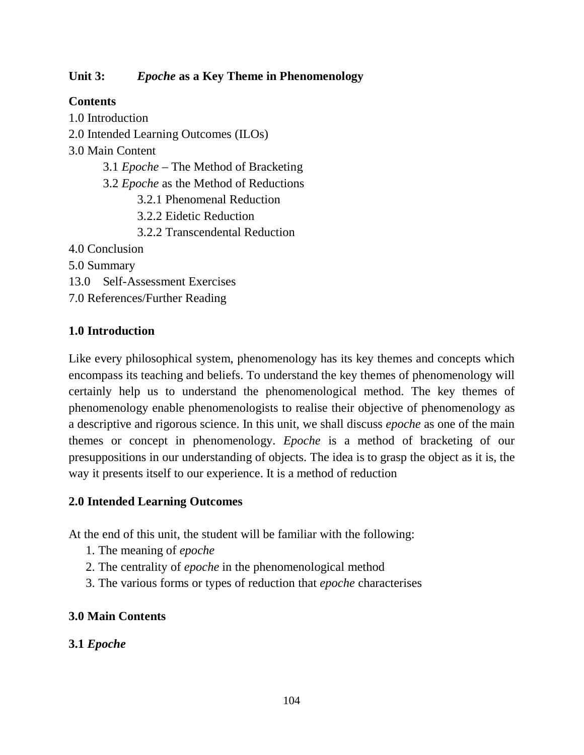## **Unit 3:** *Epoche* **as a Key Theme in Phenomenology**

# **Contents**

1.0 Introduction 2.0 Intended Learning Outcomes (ILOs) 3.0 Main Content 3.1 *Epoche* – The Method of Bracketing 3.2 *Epoche* as the Method of Reductions 3.2.1 Phenomenal Reduction 3.2.2 Eidetic Reduction 3.2.2 Transcendental Reduction 4.0 Conclusion 5.0 Summary 13.0 Self-Assessment Exercises 7.0 References/Further Reading

# **1.0 Introduction**

Like every philosophical system, phenomenology has its key themes and concepts which encompass its teaching and beliefs. To understand the key themes of phenomenology will certainly help us to understand the phenomenological method. The key themes of phenomenology enable phenomenologists to realise their objective of phenomenology as a descriptive and rigorous science. In this unit, we shall discuss *epoche* as one of the main themes or concept in phenomenology. *Epoche* is a method of bracketing of our presuppositions in our understanding of objects. The idea is to grasp the object as it is, the way it presents itself to our experience. It is a method of reduction

## **2.0 Intended Learning Outcomes**

At the end of this unit, the student will be familiar with the following:

- 1. The meaning of *epoche*
- 2. The centrality of *epoche* in the phenomenological method
- 3. The various forms or types of reduction that *epoche* characterises

# **3.0 Main Contents**

# **3.1** *Epoche*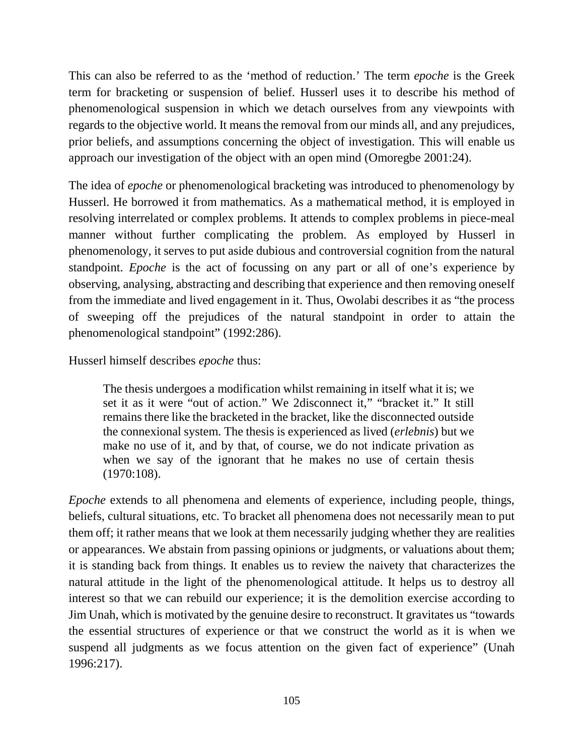This can also be referred to as the 'method of reduction.' The term *epoche* is the Greek term for bracketing or suspension of belief. Husserl uses it to describe his method of phenomenological suspension in which we detach ourselves from any viewpoints with regards to the objective world. It means the removal from our minds all, and any prejudices, prior beliefs, and assumptions concerning the object of investigation. This will enable us approach our investigation of the object with an open mind (Omoregbe 2001:24).

The idea of *epoche* or phenomenological bracketing was introduced to phenomenology by Husserl. He borrowed it from mathematics. As a mathematical method, it is employed in resolving interrelated or complex problems. It attends to complex problems in piece-meal manner without further complicating the problem. As employed by Husserl in phenomenology, it serves to put aside dubious and controversial cognition from the natural standpoint. *Epoche* is the act of focussing on any part or all of one's experience by observing, analysing, abstracting and describing that experience and then removing oneself from the immediate and lived engagement in it. Thus, Owolabi describes it as "the process of sweeping off the prejudices of the natural standpoint in order to attain the phenomenological standpoint" (1992:286).

Husserl himself describes *epoche* thus:

The thesis undergoes a modification whilst remaining in itself what it is; we set it as it were "out of action." We 2disconnect it," "bracket it." It still remains there like the bracketed in the bracket, like the disconnected outside the connexional system. The thesis is experienced as lived (*erlebnis*) but we make no use of it, and by that, of course, we do not indicate privation as when we say of the ignorant that he makes no use of certain thesis (1970:108).

*Epoche* extends to all phenomena and elements of experience, including people, things, beliefs, cultural situations, etc. To bracket all phenomena does not necessarily mean to put them off; it rather means that we look at them necessarily judging whether they are realities or appearances. We abstain from passing opinions or judgments, or valuations about them; it is standing back from things. It enables us to review the naivety that characterizes the natural attitude in the light of the phenomenological attitude. It helps us to destroy all interest so that we can rebuild our experience; it is the demolition exercise according to Jim Unah, which is motivated by the genuine desire to reconstruct. It gravitates us "towards the essential structures of experience or that we construct the world as it is when we suspend all judgments as we focus attention on the given fact of experience" (Unah 1996:217).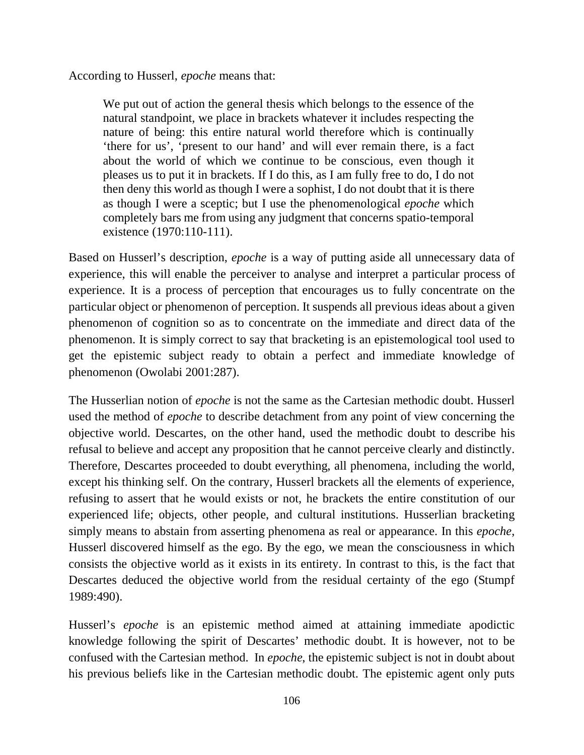According to Husserl, *epoche* means that:

We put out of action the general thesis which belongs to the essence of the natural standpoint, we place in brackets whatever it includes respecting the nature of being: this entire natural world therefore which is continually 'there for us', 'present to our hand' and will ever remain there, is a fact about the world of which we continue to be conscious, even though it pleases us to put it in brackets. If I do this, as I am fully free to do, I do not then deny this world as though I were a sophist, I do not doubt that it is there as though I were a sceptic; but I use the phenomenological *epoche* which completely bars me from using any judgment that concerns spatio-temporal existence (1970:110-111).

Based on Husserl's description, *epoche* is a way of putting aside all unnecessary data of experience, this will enable the perceiver to analyse and interpret a particular process of experience. It is a process of perception that encourages us to fully concentrate on the particular object or phenomenon of perception. It suspends all previous ideas about a given phenomenon of cognition so as to concentrate on the immediate and direct data of the phenomenon. It is simply correct to say that bracketing is an epistemological tool used to get the epistemic subject ready to obtain a perfect and immediate knowledge of phenomenon (Owolabi 2001:287).

The Husserlian notion of *epoche* is not the same as the Cartesian methodic doubt. Husserl used the method of *epoche* to describe detachment from any point of view concerning the objective world. Descartes, on the other hand, used the methodic doubt to describe his refusal to believe and accept any proposition that he cannot perceive clearly and distinctly. Therefore, Descartes proceeded to doubt everything, all phenomena, including the world, except his thinking self. On the contrary, Husserl brackets all the elements of experience, refusing to assert that he would exists or not, he brackets the entire constitution of our experienced life; objects, other people, and cultural institutions. Husserlian bracketing simply means to abstain from asserting phenomena as real or appearance. In this *epoche*, Husserl discovered himself as the ego. By the ego, we mean the consciousness in which consists the objective world as it exists in its entirety. In contrast to this, is the fact that Descartes deduced the objective world from the residual certainty of the ego (Stumpf 1989:490).

Husserl's *epoche* is an epistemic method aimed at attaining immediate apodictic knowledge following the spirit of Descartes' methodic doubt. It is however, not to be confused with the Cartesian method. In *epoche*, the epistemic subject is not in doubt about his previous beliefs like in the Cartesian methodic doubt. The epistemic agent only puts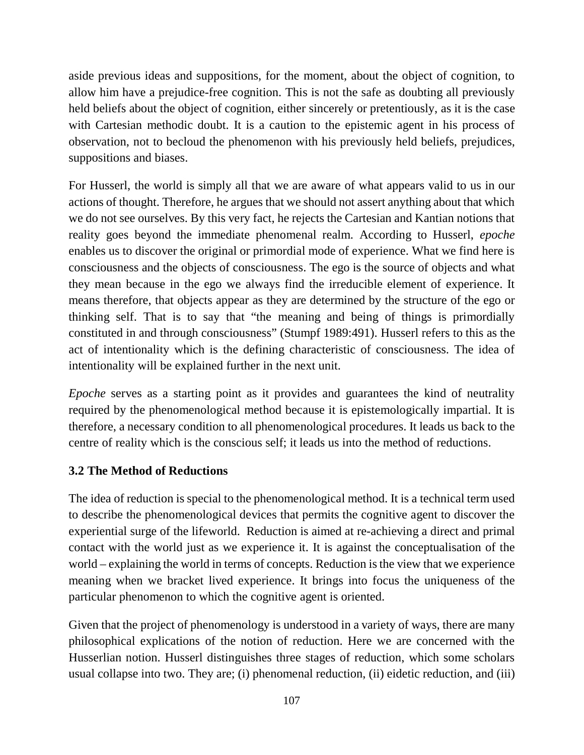aside previous ideas and suppositions, for the moment, about the object of cognition, to allow him have a prejudice-free cognition. This is not the safe as doubting all previously held beliefs about the object of cognition, either sincerely or pretentiously, as it is the case with Cartesian methodic doubt. It is a caution to the epistemic agent in his process of observation, not to becloud the phenomenon with his previously held beliefs, prejudices, suppositions and biases.

For Husserl, the world is simply all that we are aware of what appears valid to us in our actions of thought. Therefore, he argues that we should not assert anything about that which we do not see ourselves. By this very fact, he rejects the Cartesian and Kantian notions that reality goes beyond the immediate phenomenal realm. According to Husserl, *epoche*  enables us to discover the original or primordial mode of experience. What we find here is consciousness and the objects of consciousness. The ego is the source of objects and what they mean because in the ego we always find the irreducible element of experience. It means therefore, that objects appear as they are determined by the structure of the ego or thinking self. That is to say that "the meaning and being of things is primordially constituted in and through consciousness" (Stumpf 1989:491). Husserl refers to this as the act of intentionality which is the defining characteristic of consciousness. The idea of intentionality will be explained further in the next unit.

*Epoche* serves as a starting point as it provides and guarantees the kind of neutrality required by the phenomenological method because it is epistemologically impartial. It is therefore, a necessary condition to all phenomenological procedures. It leads us back to the centre of reality which is the conscious self; it leads us into the method of reductions.

## **3.2 The Method of Reductions**

The idea of reduction is special to the phenomenological method. It is a technical term used to describe the phenomenological devices that permits the cognitive agent to discover the experiential surge of the lifeworld. Reduction is aimed at re-achieving a direct and primal contact with the world just as we experience it. It is against the conceptualisation of the world – explaining the world in terms of concepts. Reduction is the view that we experience meaning when we bracket lived experience. It brings into focus the uniqueness of the particular phenomenon to which the cognitive agent is oriented.

Given that the project of phenomenology is understood in a variety of ways, there are many philosophical explications of the notion of reduction. Here we are concerned with the Husserlian notion. Husserl distinguishes three stages of reduction, which some scholars usual collapse into two. They are; (i) phenomenal reduction, (ii) eidetic reduction, and (iii)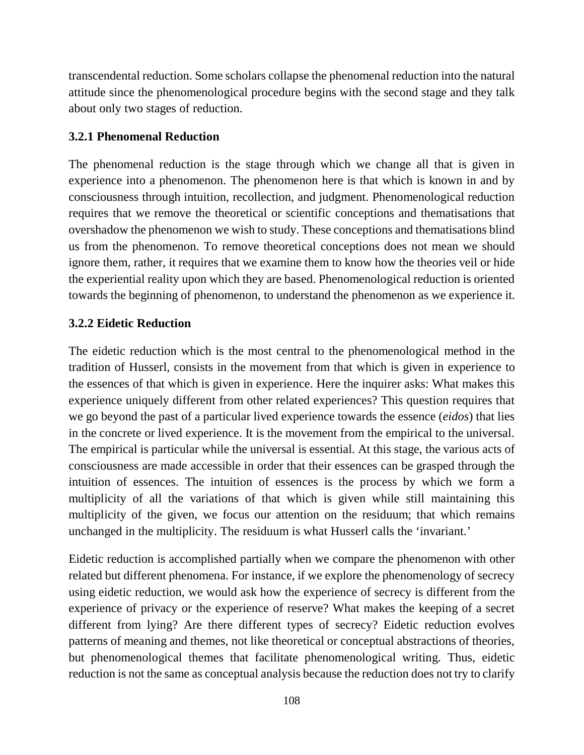transcendental reduction. Some scholars collapse the phenomenal reduction into the natural attitude since the phenomenological procedure begins with the second stage and they talk about only two stages of reduction.

### **3.2.1 Phenomenal Reduction**

The phenomenal reduction is the stage through which we change all that is given in experience into a phenomenon. The phenomenon here is that which is known in and by consciousness through intuition, recollection, and judgment. Phenomenological reduction requires that we remove the theoretical or scientific conceptions and thematisations that overshadow the phenomenon we wish to study. These conceptions and thematisations blind us from the phenomenon. To remove theoretical conceptions does not mean we should ignore them, rather, it requires that we examine them to know how the theories veil or hide the experiential reality upon which they are based. Phenomenological reduction is oriented towards the beginning of phenomenon, to understand the phenomenon as we experience it.

#### **3.2.2 Eidetic Reduction**

The eidetic reduction which is the most central to the phenomenological method in the tradition of Husserl, consists in the movement from that which is given in experience to the essences of that which is given in experience. Here the inquirer asks: What makes this experience uniquely different from other related experiences? This question requires that we go beyond the past of a particular lived experience towards the essence (*eidos*) that lies in the concrete or lived experience. It is the movement from the empirical to the universal. The empirical is particular while the universal is essential. At this stage, the various acts of consciousness are made accessible in order that their essences can be grasped through the intuition of essences. The intuition of essences is the process by which we form a multiplicity of all the variations of that which is given while still maintaining this multiplicity of the given, we focus our attention on the residuum; that which remains unchanged in the multiplicity. The residuum is what Husserl calls the 'invariant.'

Eidetic reduction is accomplished partially when we compare the phenomenon with other related but different phenomena. For instance, if we explore the phenomenology of secrecy using eidetic reduction, we would ask how the experience of secrecy is different from the experience of privacy or the experience of reserve? What makes the keeping of a secret different from lying? Are there different types of secrecy? Eidetic reduction evolves patterns of meaning and themes, not like theoretical or conceptual abstractions of theories, but phenomenological themes that facilitate phenomenological writing. Thus, eidetic reduction is not the same as conceptual analysis because the reduction does not try to clarify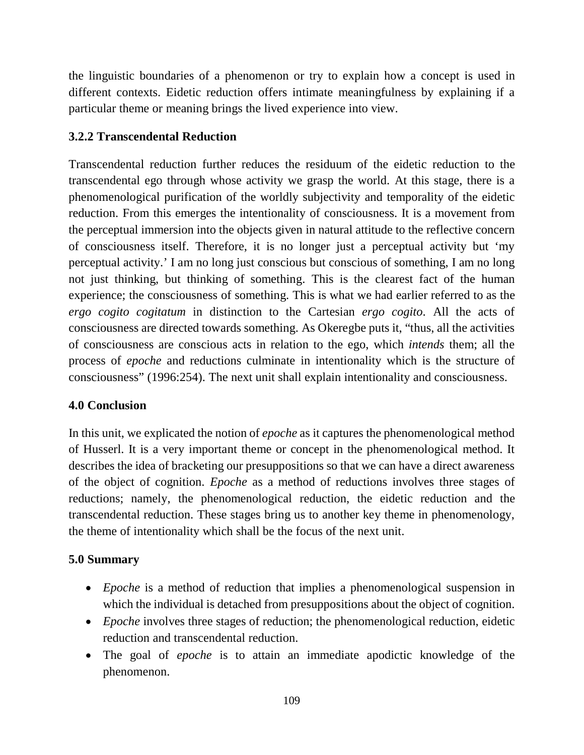the linguistic boundaries of a phenomenon or try to explain how a concept is used in different contexts. Eidetic reduction offers intimate meaningfulness by explaining if a particular theme or meaning brings the lived experience into view.

### **3.2.2 Transcendental Reduction**

Transcendental reduction further reduces the residuum of the eidetic reduction to the transcendental ego through whose activity we grasp the world. At this stage, there is a phenomenological purification of the worldly subjectivity and temporality of the eidetic reduction. From this emerges the intentionality of consciousness. It is a movement from the perceptual immersion into the objects given in natural attitude to the reflective concern of consciousness itself. Therefore, it is no longer just a perceptual activity but 'my perceptual activity.' I am no long just conscious but conscious of something, I am no long not just thinking, but thinking of something. This is the clearest fact of the human experience; the consciousness of something. This is what we had earlier referred to as the *ergo cogito cogitatum* in distinction to the Cartesian *ergo cogito*. All the acts of consciousness are directed towards something. As Okeregbe puts it, "thus, all the activities of consciousness are conscious acts in relation to the ego, which *intends* them; all the process of *epoche* and reductions culminate in intentionality which is the structure of consciousness" (1996:254). The next unit shall explain intentionality and consciousness.

## **4.0 Conclusion**

In this unit, we explicated the notion of *epoche* as it captures the phenomenological method of Husserl. It is a very important theme or concept in the phenomenological method. It describes the idea of bracketing our presuppositions so that we can have a direct awareness of the object of cognition. *Epoche* as a method of reductions involves three stages of reductions; namely, the phenomenological reduction, the eidetic reduction and the transcendental reduction. These stages bring us to another key theme in phenomenology, the theme of intentionality which shall be the focus of the next unit.

### **5.0 Summary**

- *Epoche* is a method of reduction that implies a phenomenological suspension in which the individual is detached from presuppositions about the object of cognition.
- *Epoche* involves three stages of reduction; the phenomenological reduction, eidetic reduction and transcendental reduction.
- The goal of *epoche* is to attain an immediate apodictic knowledge of the phenomenon.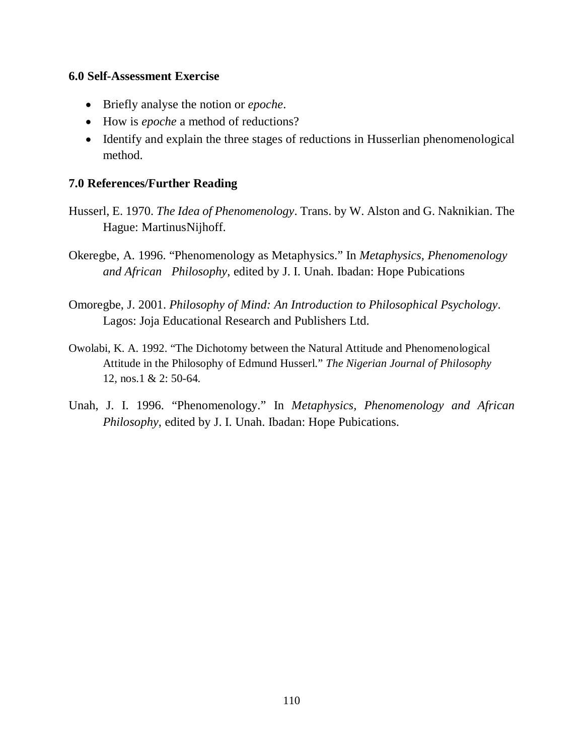#### **6.0 Self-Assessment Exercise**

- Briefly analyse the notion or *epoche*.
- How is *epoche* a method of reductions?
- Identify and explain the three stages of reductions in Husserlian phenomenological method.

#### **7.0 References/Further Reading**

- Husserl, E. 1970. *The Idea of Phenomenology*. Trans. by W. Alston and G. Naknikian. The Hague: MartinusNijhoff.
- Okeregbe, A. 1996. "Phenomenology as Metaphysics." In *Metaphysics, Phenomenology and African Philosophy*, edited by J. I. Unah. Ibadan: Hope Pubications
- Omoregbe, J. 2001. *Philosophy of Mind: An Introduction to Philosophical Psychology*. Lagos: Joja Educational Research and Publishers Ltd.
- Owolabi, K. A. 1992. "The Dichotomy between the Natural Attitude and Phenomenological Attitude in the Philosophy of Edmund Husserl." *The Nigerian Journal of Philosophy* 12, nos.1 & 2: 50-64.
- Unah, J. I. 1996. "Phenomenology." In *Metaphysics, Phenomenology and African Philosophy*, edited by J. I. Unah. Ibadan: Hope Pubications.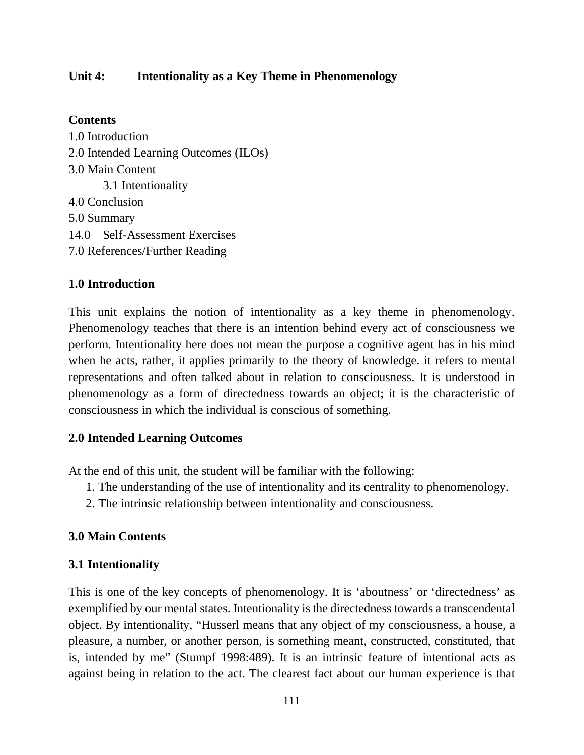#### **Unit 4: Intentionality as a Key Theme in Phenomenology**

#### **Contents**

1.0 Introduction 2.0 Intended Learning Outcomes (ILOs) 3.0 Main Content 3.1 Intentionality 4.0 Conclusion 5.0 Summary 14.0 Self-Assessment Exercises 7.0 References/Further Reading

### **1.0 Introduction**

This unit explains the notion of intentionality as a key theme in phenomenology. Phenomenology teaches that there is an intention behind every act of consciousness we perform. Intentionality here does not mean the purpose a cognitive agent has in his mind when he acts, rather, it applies primarily to the theory of knowledge. it refers to mental representations and often talked about in relation to consciousness. It is understood in phenomenology as a form of directedness towards an object; it is the characteristic of consciousness in which the individual is conscious of something.

#### **2.0 Intended Learning Outcomes**

At the end of this unit, the student will be familiar with the following:

- 1. The understanding of the use of intentionality and its centrality to phenomenology.
- 2. The intrinsic relationship between intentionality and consciousness.

#### **3.0 Main Contents**

#### **3.1 Intentionality**

This is one of the key concepts of phenomenology. It is 'aboutness' or 'directedness' as exemplified by our mental states. Intentionality is the directedness towards a transcendental object. By intentionality, "Husserl means that any object of my consciousness, a house, a pleasure, a number, or another person, is something meant, constructed, constituted, that is, intended by me" (Stumpf 1998:489). It is an intrinsic feature of intentional acts as against being in relation to the act. The clearest fact about our human experience is that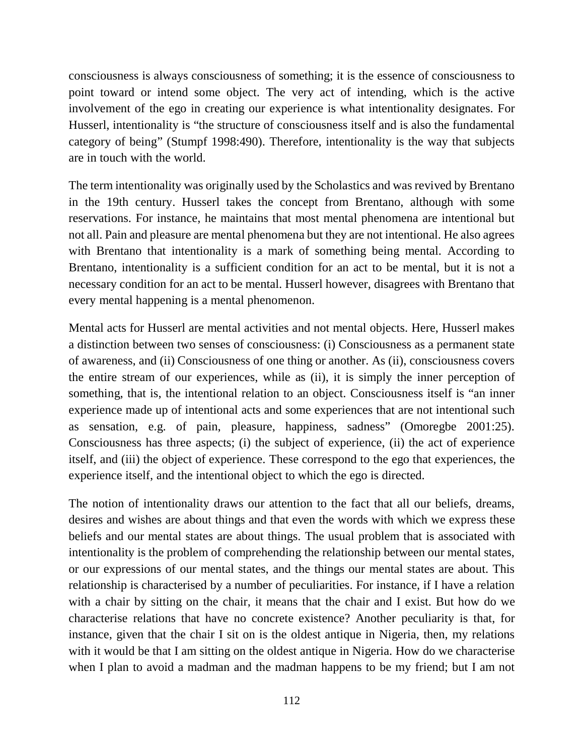consciousness is always consciousness of something; it is the essence of consciousness to point toward or intend some object. The very act of intending, which is the active involvement of the ego in creating our experience is what intentionality designates. For Husserl, intentionality is "the structure of consciousness itself and is also the fundamental category of being" (Stumpf 1998:490). Therefore, intentionality is the way that subjects are in touch with the world.

The term intentionality was originally used by the Scholastics and was revived by Brentano in the 19th century. Husserl takes the concept from Brentano, although with some reservations. For instance, he maintains that most mental phenomena are intentional but not all. Pain and pleasure are mental phenomena but they are not intentional. He also agrees with Brentano that intentionality is a mark of something being mental. According to Brentano, intentionality is a sufficient condition for an act to be mental, but it is not a necessary condition for an act to be mental. Husserl however, disagrees with Brentano that every mental happening is a mental phenomenon.

Mental acts for Husserl are mental activities and not mental objects. Here, Husserl makes a distinction between two senses of consciousness: (i) Consciousness as a permanent state of awareness, and (ii) Consciousness of one thing or another. As (ii), consciousness covers the entire stream of our experiences, while as (ii), it is simply the inner perception of something, that is, the intentional relation to an object. Consciousness itself is "an inner experience made up of intentional acts and some experiences that are not intentional such as sensation, e.g. of pain, pleasure, happiness, sadness" (Omoregbe 2001:25). Consciousness has three aspects; (i) the subject of experience, (ii) the act of experience itself, and (iii) the object of experience. These correspond to the ego that experiences, the experience itself, and the intentional object to which the ego is directed.

The notion of intentionality draws our attention to the fact that all our beliefs, dreams, desires and wishes are about things and that even the words with which we express these beliefs and our mental states are about things. The usual problem that is associated with intentionality is the problem of comprehending the relationship between our mental states, or our expressions of our mental states, and the things our mental states are about. This relationship is characterised by a number of peculiarities. For instance, if I have a relation with a chair by sitting on the chair, it means that the chair and I exist. But how do we characterise relations that have no concrete existence? Another peculiarity is that, for instance, given that the chair I sit on is the oldest antique in Nigeria, then, my relations with it would be that I am sitting on the oldest antique in Nigeria. How do we characterise when I plan to avoid a madman and the madman happens to be my friend; but I am not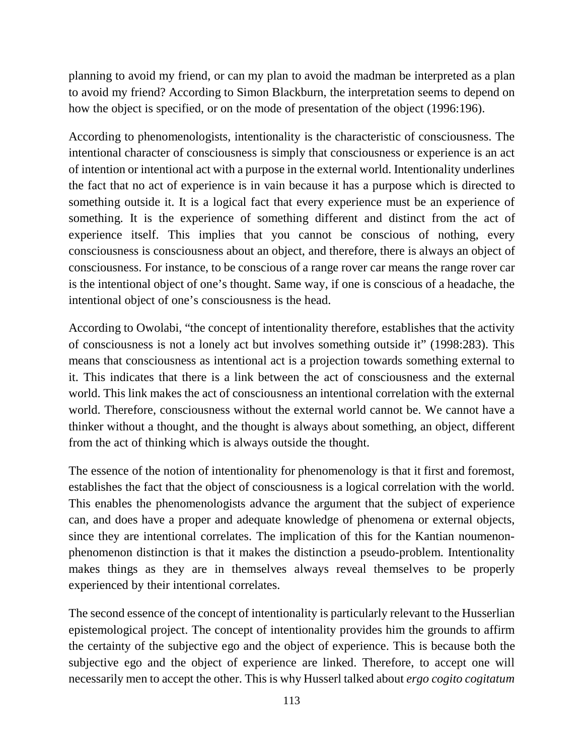planning to avoid my friend, or can my plan to avoid the madman be interpreted as a plan to avoid my friend? According to Simon Blackburn, the interpretation seems to depend on how the object is specified, or on the mode of presentation of the object (1996:196).

According to phenomenologists, intentionality is the characteristic of consciousness. The intentional character of consciousness is simply that consciousness or experience is an act of intention or intentional act with a purpose in the external world. Intentionality underlines the fact that no act of experience is in vain because it has a purpose which is directed to something outside it. It is a logical fact that every experience must be an experience of something. It is the experience of something different and distinct from the act of experience itself. This implies that you cannot be conscious of nothing, every consciousness is consciousness about an object, and therefore, there is always an object of consciousness. For instance, to be conscious of a range rover car means the range rover car is the intentional object of one's thought. Same way, if one is conscious of a headache, the intentional object of one's consciousness is the head.

According to Owolabi, "the concept of intentionality therefore, establishes that the activity of consciousness is not a lonely act but involves something outside it" (1998:283). This means that consciousness as intentional act is a projection towards something external to it. This indicates that there is a link between the act of consciousness and the external world. This link makes the act of consciousness an intentional correlation with the external world. Therefore, consciousness without the external world cannot be. We cannot have a thinker without a thought, and the thought is always about something, an object, different from the act of thinking which is always outside the thought.

The essence of the notion of intentionality for phenomenology is that it first and foremost, establishes the fact that the object of consciousness is a logical correlation with the world. This enables the phenomenologists advance the argument that the subject of experience can, and does have a proper and adequate knowledge of phenomena or external objects, since they are intentional correlates. The implication of this for the Kantian noumenonphenomenon distinction is that it makes the distinction a pseudo-problem. Intentionality makes things as they are in themselves always reveal themselves to be properly experienced by their intentional correlates.

The second essence of the concept of intentionality is particularly relevant to the Husserlian epistemological project. The concept of intentionality provides him the grounds to affirm the certainty of the subjective ego and the object of experience. This is because both the subjective ego and the object of experience are linked. Therefore, to accept one will necessarily men to accept the other. This is why Husserl talked about *ergo cogito cogitatum*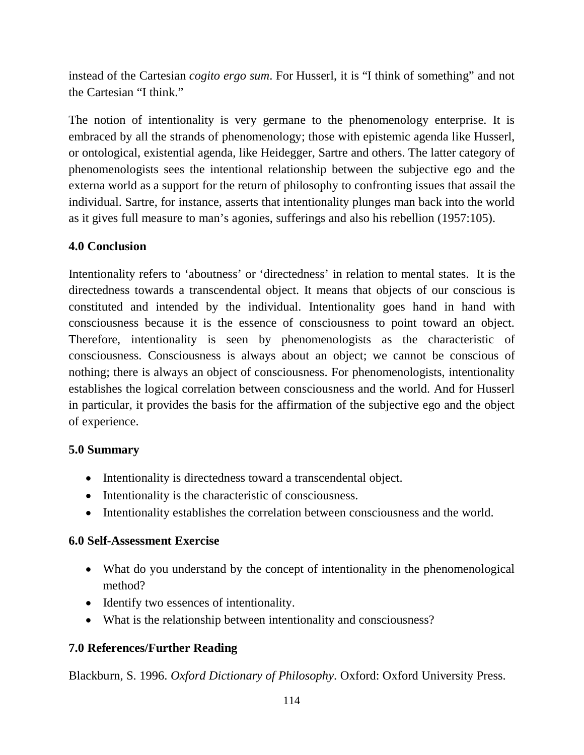instead of the Cartesian *cogito ergo sum*. For Husserl, it is "I think of something" and not the Cartesian "I think."

The notion of intentionality is very germane to the phenomenology enterprise. It is embraced by all the strands of phenomenology; those with epistemic agenda like Husserl, or ontological, existential agenda, like Heidegger, Sartre and others. The latter category of phenomenologists sees the intentional relationship between the subjective ego and the externa world as a support for the return of philosophy to confronting issues that assail the individual. Sartre, for instance, asserts that intentionality plunges man back into the world as it gives full measure to man's agonies, sufferings and also his rebellion (1957:105).

### **4.0 Conclusion**

Intentionality refers to 'aboutness' or 'directedness' in relation to mental states. It is the directedness towards a transcendental object. It means that objects of our conscious is constituted and intended by the individual. Intentionality goes hand in hand with consciousness because it is the essence of consciousness to point toward an object. Therefore, intentionality is seen by phenomenologists as the characteristic of consciousness. Consciousness is always about an object; we cannot be conscious of nothing; there is always an object of consciousness. For phenomenologists, intentionality establishes the logical correlation between consciousness and the world. And for Husserl in particular, it provides the basis for the affirmation of the subjective ego and the object of experience.

## **5.0 Summary**

- Intentionality is directedness toward a transcendental object.
- Intentionality is the characteristic of consciousness.
- Intentionality establishes the correlation between consciousness and the world.

### **6.0 Self-Assessment Exercise**

- What do you understand by the concept of intentionality in the phenomenological method?
- Identify two essences of intentionality.
- What is the relationship between intentionality and consciousness?

## **7.0 References/Further Reading**

Blackburn, S. 1996. *Oxford Dictionary of Philosophy*. Oxford: Oxford University Press.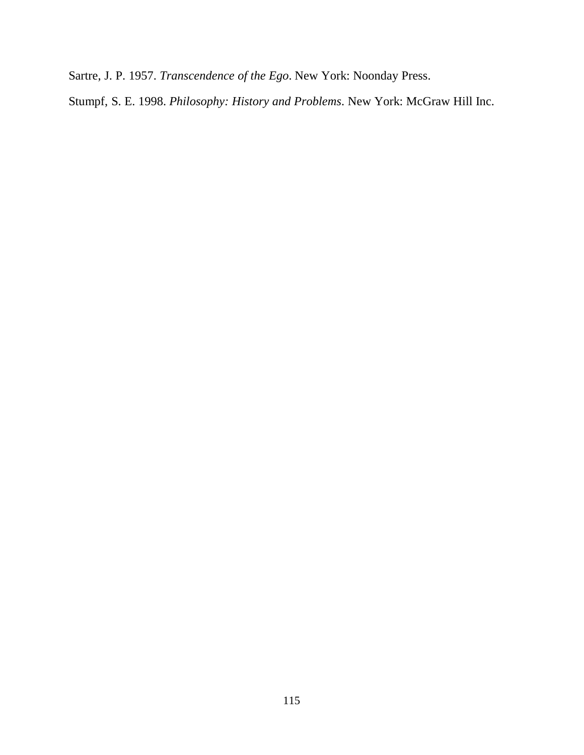Sartre, J. P. 1957. *Transcendence of the Ego*. New York: Noonday Press.

Stumpf, S. E. 1998. *Philosophy: History and Problems*. New York: McGraw Hill Inc.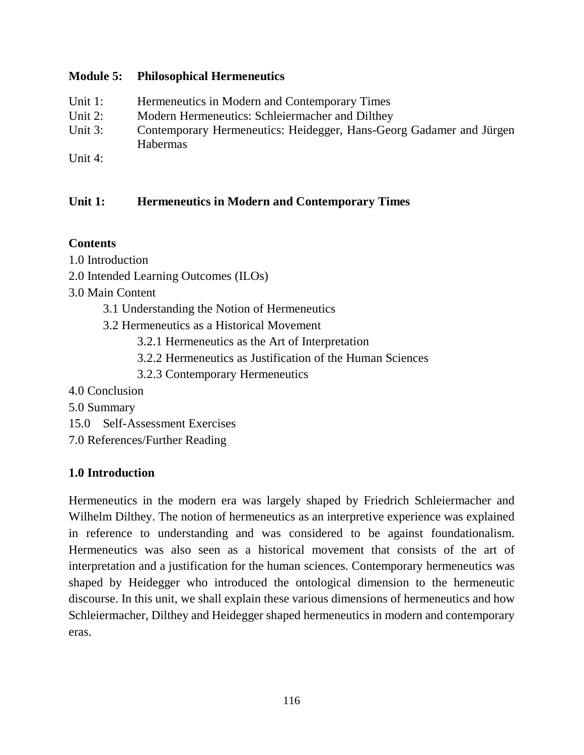### **Module 5: Philosophical Hermeneutics**

- Unit 1: Hermeneutics in Modern and Contemporary Times
- Unit 2: Modern Hermeneutics: Schleiermacher and Dilthey
- Unit 3: Contemporary Hermeneutics: Heidegger, Hans-Georg Gadamer and Jürgen Habermas
- Unit 4:

# **Unit 1: Hermeneutics in Modern and Contemporary Times**

## **Contents**

1.0 Introduction

- 2.0 Intended Learning Outcomes (ILOs)
- 3.0 Main Content
	- 3.1 Understanding the Notion of Hermeneutics
	- 3.2 Hermeneutics as a Historical Movement
		- 3.2.1 Hermeneutics as the Art of Interpretation
		- 3.2.2 Hermeneutics as Justification of the Human Sciences
		- 3.2.3 Contemporary Hermeneutics
- 4.0 Conclusion
- 5.0 Summary
- 15.0 Self-Assessment Exercises
- 7.0 References/Further Reading

# **1.0 Introduction**

Hermeneutics in the modern era was largely shaped by Friedrich Schleiermacher and Wilhelm Dilthey. The notion of hermeneutics as an interpretive experience was explained in reference to understanding and was considered to be against foundationalism. Hermeneutics was also seen as a historical movement that consists of the art of interpretation and a justification for the human sciences. Contemporary hermeneutics was shaped by Heidegger who introduced the ontological dimension to the hermeneutic discourse. In this unit, we shall explain these various dimensions of hermeneutics and how Schleiermacher, Dilthey and Heidegger shaped hermeneutics in modern and contemporary eras.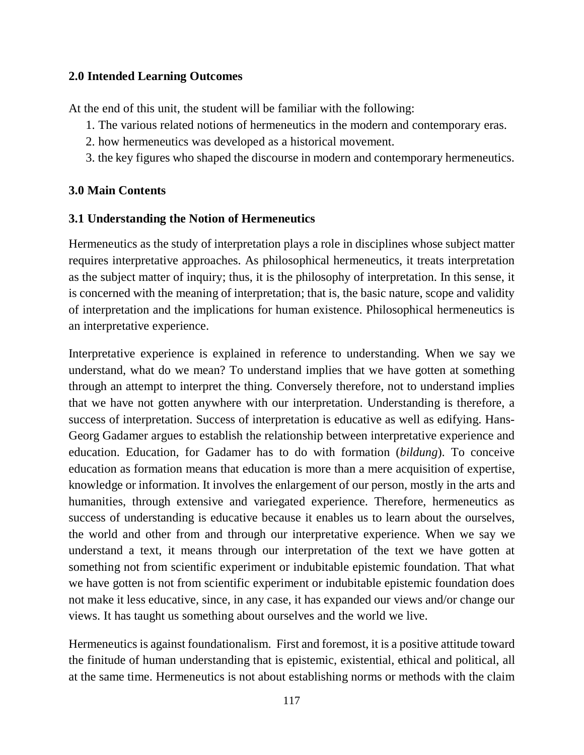### **2.0 Intended Learning Outcomes**

At the end of this unit, the student will be familiar with the following:

- 1. The various related notions of hermeneutics in the modern and contemporary eras.
- 2. how hermeneutics was developed as a historical movement.
- 3. the key figures who shaped the discourse in modern and contemporary hermeneutics.

### **3.0 Main Contents**

#### **3.1 Understanding the Notion of Hermeneutics**

Hermeneutics as the study of interpretation plays a role in disciplines whose subject matter requires interpretative approaches. As philosophical hermeneutics, it treats interpretation as the subject matter of inquiry; thus, it is the philosophy of interpretation. In this sense, it is concerned with the meaning of interpretation; that is, the basic nature, scope and validity of interpretation and the implications for human existence. Philosophical hermeneutics is an interpretative experience.

Interpretative experience is explained in reference to understanding. When we say we understand, what do we mean? To understand implies that we have gotten at something through an attempt to interpret the thing. Conversely therefore, not to understand implies that we have not gotten anywhere with our interpretation. Understanding is therefore, a success of interpretation. Success of interpretation is educative as well as edifying. Hans-Georg Gadamer argues to establish the relationship between interpretative experience and education. Education, for Gadamer has to do with formation (*bildung*). To conceive education as formation means that education is more than a mere acquisition of expertise, knowledge or information. It involves the enlargement of our person, mostly in the arts and humanities, through extensive and variegated experience. Therefore, hermeneutics as success of understanding is educative because it enables us to learn about the ourselves, the world and other from and through our interpretative experience. When we say we understand a text, it means through our interpretation of the text we have gotten at something not from scientific experiment or indubitable epistemic foundation. That what we have gotten is not from scientific experiment or indubitable epistemic foundation does not make it less educative, since, in any case, it has expanded our views and/or change our views. It has taught us something about ourselves and the world we live.

Hermeneutics is against foundationalism. First and foremost, it is a positive attitude toward the finitude of human understanding that is epistemic, existential, ethical and political, all at the same time. Hermeneutics is not about establishing norms or methods with the claim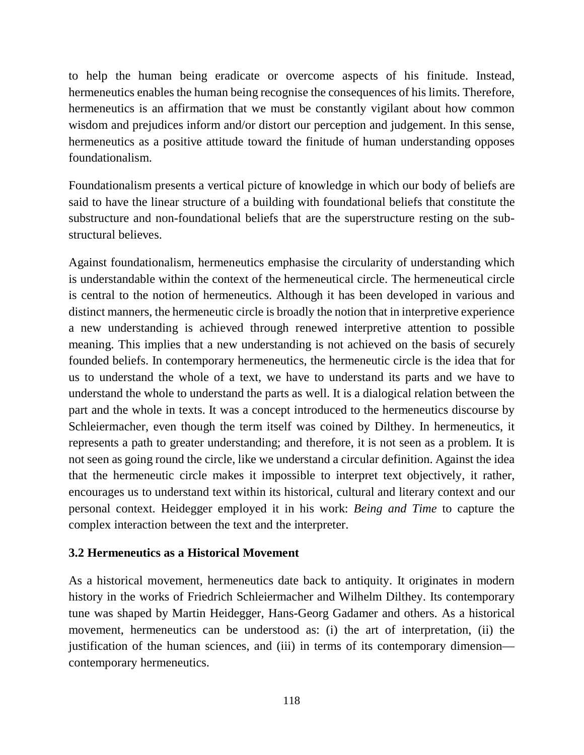to help the human being eradicate or overcome aspects of his finitude. Instead, hermeneutics enables the human being recognise the consequences of his limits. Therefore, hermeneutics is an affirmation that we must be constantly vigilant about how common wisdom and prejudices inform and/or distort our perception and judgement. In this sense, hermeneutics as a positive attitude toward the finitude of human understanding opposes foundationalism.

Foundationalism presents a vertical picture of knowledge in which our body of beliefs are said to have the linear structure of a building with foundational beliefs that constitute the substructure and non-foundational beliefs that are the superstructure resting on the substructural believes.

Against foundationalism, hermeneutics emphasise the circularity of understanding which is understandable within the context of the hermeneutical circle. The hermeneutical circle is central to the notion of hermeneutics. Although it has been developed in various and distinct manners, the hermeneutic circle is broadly the notion that in interpretive experience a new understanding is achieved through renewed interpretive attention to possible meaning. This implies that a new understanding is not achieved on the basis of securely founded beliefs. In contemporary hermeneutics, the hermeneutic circle is the idea that for us to understand the whole of a text, we have to understand its parts and we have to understand the whole to understand the parts as well. It is a dialogical relation between the part and the whole in texts. It was a concept introduced to the hermeneutics discourse by Schleiermacher, even though the term itself was coined by Dilthey. In hermeneutics, it represents a path to greater understanding; and therefore, it is not seen as a problem. It is not seen as going round the circle, like we understand a circular definition. Against the idea that the hermeneutic circle makes it impossible to interpret text objectively, it rather, encourages us to understand text within its historical, cultural and literary context and our personal context. Heidegger employed it in his work: *Being and Time* to capture the complex interaction between the text and the interpreter.

### **3.2 Hermeneutics as a Historical Movement**

As a historical movement, hermeneutics date back to antiquity. It originates in modern history in the works of Friedrich Schleiermacher and Wilhelm Dilthey. Its contemporary tune was shaped by Martin Heidegger, Hans-Georg Gadamer and others. As a historical movement, hermeneutics can be understood as: (i) the art of interpretation, (ii) the justification of the human sciences, and (iii) in terms of its contemporary dimension contemporary hermeneutics.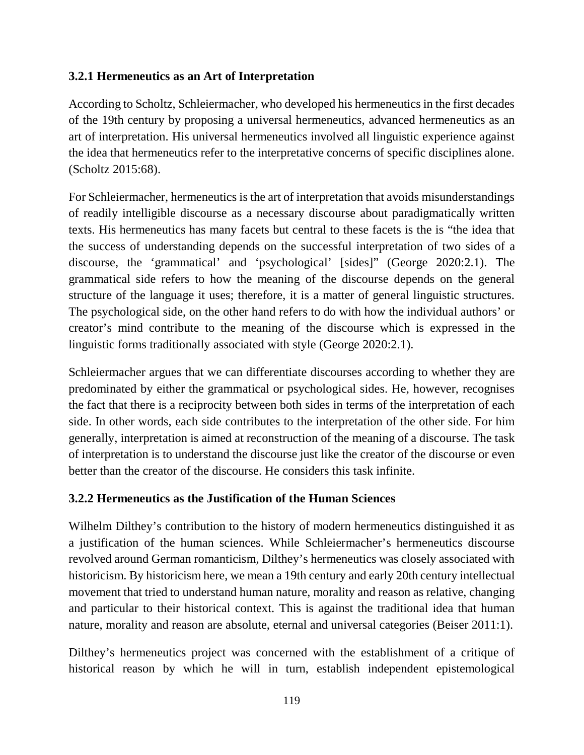### **3.2.1 Hermeneutics as an Art of Interpretation**

According to Scholtz, Schleiermacher, who developed his hermeneutics in the first decades of the 19th century by proposing a universal hermeneutics, advanced hermeneutics as an art of interpretation. His universal hermeneutics involved all linguistic experience against the idea that hermeneutics refer to the interpretative concerns of specific disciplines alone. (Scholtz 2015:68).

For Schleiermacher, hermeneutics is the art of interpretation that avoids misunderstandings of readily intelligible discourse as a necessary discourse about paradigmatically written texts. His hermeneutics has many facets but central to these facets is the is "the idea that the success of understanding depends on the successful interpretation of two sides of a discourse, the 'grammatical' and 'psychological' [sides]" (George 2020:2.1). The grammatical side refers to how the meaning of the discourse depends on the general structure of the language it uses; therefore, it is a matter of general linguistic structures. The psychological side, on the other hand refers to do with how the individual authors' or creator's mind contribute to the meaning of the discourse which is expressed in the linguistic forms traditionally associated with style (George 2020:2.1).

Schleiermacher argues that we can differentiate discourses according to whether they are predominated by either the grammatical or psychological sides. He, however, recognises the fact that there is a reciprocity between both sides in terms of the interpretation of each side. In other words, each side contributes to the interpretation of the other side. For him generally, interpretation is aimed at reconstruction of the meaning of a discourse. The task of interpretation is to understand the discourse just like the creator of the discourse or even better than the creator of the discourse. He considers this task infinite.

### **3.2.2 Hermeneutics as the Justification of the Human Sciences**

Wilhelm Dilthey's contribution to the history of modern hermeneutics distinguished it as a justification of the human sciences. While Schleiermacher's hermeneutics discourse revolved around German romanticism, Dilthey's hermeneutics was closely associated with historicism. By historicism here, we mean a 19th century and early 20th century intellectual movement that tried to understand human nature, morality and reason as relative, changing and particular to their historical context. This is against the traditional idea that human nature, morality and reason are absolute, eternal and universal categories (Beiser 2011:1).

Dilthey's hermeneutics project was concerned with the establishment of a critique of historical reason by which he will in turn, establish independent epistemological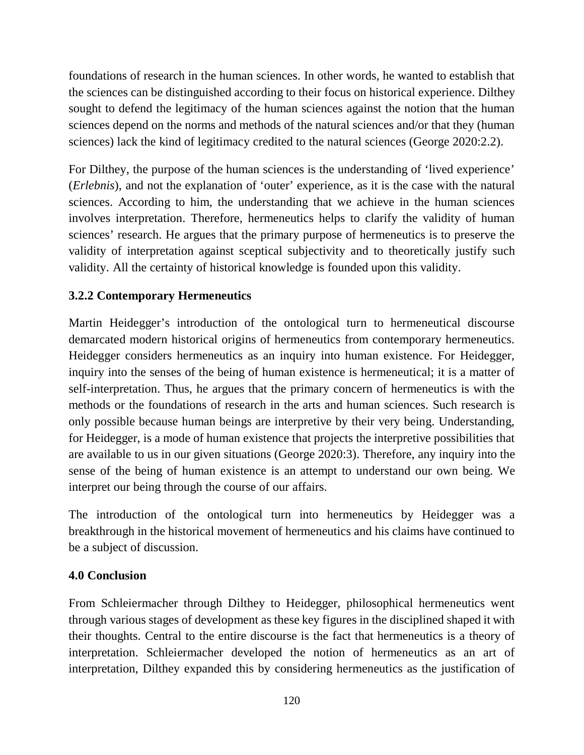foundations of research in the human sciences. In other words, he wanted to establish that the sciences can be distinguished according to their focus on historical experience. Dilthey sought to defend the legitimacy of the human sciences against the notion that the human sciences depend on the norms and methods of the natural sciences and/or that they (human sciences) lack the kind of legitimacy credited to the natural sciences (George 2020:2.2).

For Dilthey, the purpose of the human sciences is the understanding of 'lived experience' (*Erlebnis*), and not the explanation of 'outer' experience, as it is the case with the natural sciences. According to him, the understanding that we achieve in the human sciences involves interpretation. Therefore, hermeneutics helps to clarify the validity of human sciences' research. He argues that the primary purpose of hermeneutics is to preserve the validity of interpretation against sceptical subjectivity and to theoretically justify such validity. All the certainty of historical knowledge is founded upon this validity.

# **3.2.2 Contemporary Hermeneutics**

Martin Heidegger's introduction of the ontological turn to hermeneutical discourse demarcated modern historical origins of hermeneutics from contemporary hermeneutics. Heidegger considers hermeneutics as an inquiry into human existence. For Heidegger, inquiry into the senses of the being of human existence is hermeneutical; it is a matter of self-interpretation. Thus, he argues that the primary concern of hermeneutics is with the methods or the foundations of research in the arts and human sciences. Such research is only possible because human beings are interpretive by their very being. Understanding, for Heidegger, is a mode of human existence that projects the interpretive possibilities that are available to us in our given situations (George 2020:3). Therefore, any inquiry into the sense of the being of human existence is an attempt to understand our own being. We interpret our being through the course of our affairs.

The introduction of the ontological turn into hermeneutics by Heidegger was a breakthrough in the historical movement of hermeneutics and his claims have continued to be a subject of discussion.

## **4.0 Conclusion**

From Schleiermacher through Dilthey to Heidegger, philosophical hermeneutics went through various stages of development as these key figures in the disciplined shaped it with their thoughts. Central to the entire discourse is the fact that hermeneutics is a theory of interpretation. Schleiermacher developed the notion of hermeneutics as an art of interpretation, Dilthey expanded this by considering hermeneutics as the justification of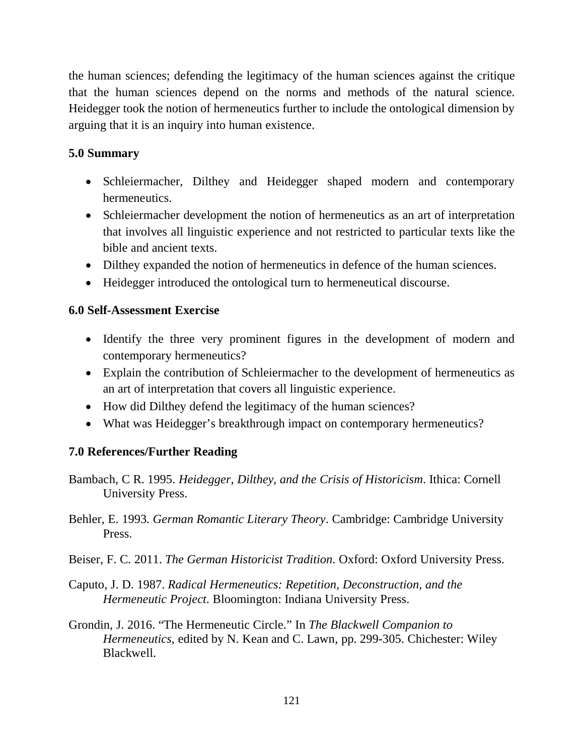the human sciences; defending the legitimacy of the human sciences against the critique that the human sciences depend on the norms and methods of the natural science. Heidegger took the notion of hermeneutics further to include the ontological dimension by arguing that it is an inquiry into human existence.

### **5.0 Summary**

- Schleiermacher, Dilthey and Heidegger shaped modern and contemporary hermeneutics.
- Schleiermacher development the notion of hermeneutics as an art of interpretation that involves all linguistic experience and not restricted to particular texts like the bible and ancient texts.
- Dilthey expanded the notion of hermeneutics in defence of the human sciences.
- Heidegger introduced the ontological turn to hermeneutical discourse.

### **6.0 Self-Assessment Exercise**

- Identify the three very prominent figures in the development of modern and contemporary hermeneutics?
- Explain the contribution of Schleiermacher to the development of hermeneutics as an art of interpretation that covers all linguistic experience.
- How did Dilthey defend the legitimacy of the human sciences?
- What was Heidegger's breakthrough impact on contemporary hermeneutics?

## **7.0 References/Further Reading**

- Bambach, C R. 1995. *Heidegger, Dilthey, and the Crisis of Historicism*. Ithica: Cornell University Press.
- Behler, E. 1993. *German Romantic Literary Theory*. Cambridge: Cambridge University Press.
- Beiser, F. C. 2011. *The German Historicist Tradition*. Oxford: Oxford University Press.
- Caputo, J. D. 1987. *Radical Hermeneutics: Repetition, Deconstruction, and the Hermeneutic Project*. Bloomington: Indiana University Press.
- Grondin, J. 2016. "The Hermeneutic Circle." In *The Blackwell Companion to Hermeneutics*, edited by N. Kean and C. Lawn, pp. 299-305. Chichester: Wiley Blackwell.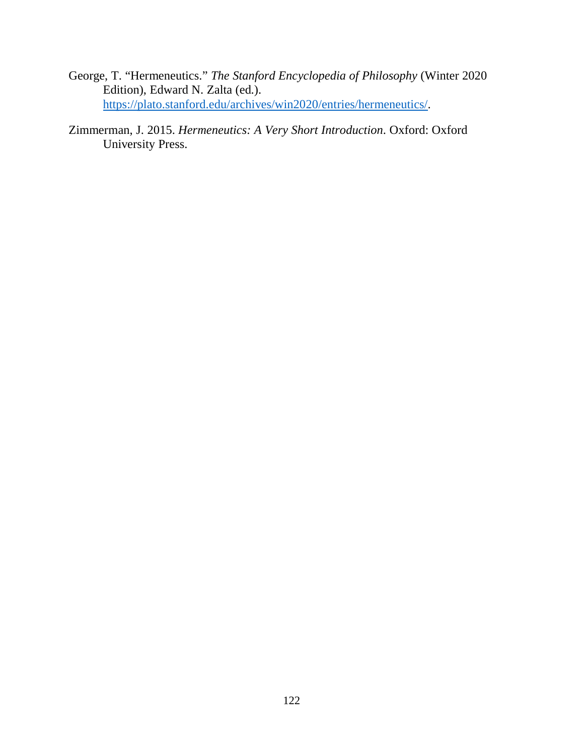- George, T. "Hermeneutics." *The Stanford Encyclopedia of Philosophy* (Winter 2020 Edition), Edward N. Zalta (ed.). https://plato.stanford.edu/archives/win2020/entries/hermeneutics/.
- Zimmerman, J. 2015. *Hermeneutics: A Very Short Introduction*. Oxford: Oxford University Press.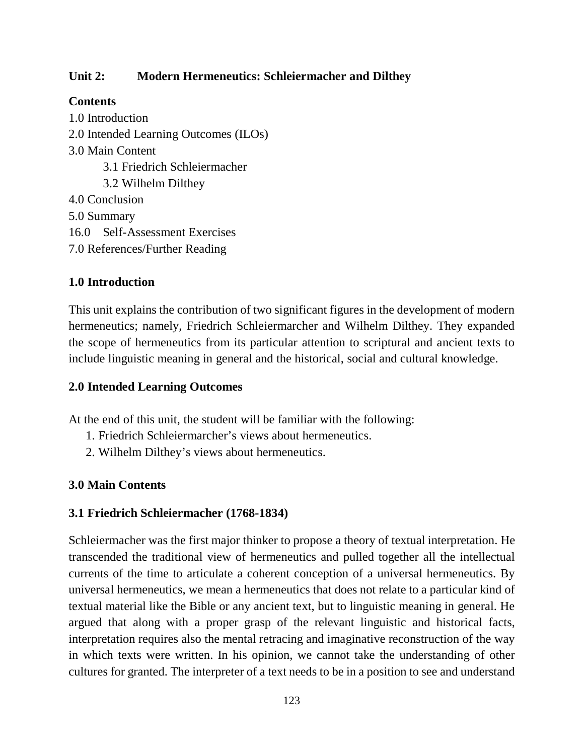### **Unit 2: Modern Hermeneutics: Schleiermacher and Dilthey**

### **Contents**

1.0 Introduction 2.0 Intended Learning Outcomes (ILOs) 3.0 Main Content 3.1 Friedrich Schleiermacher 3.2 Wilhelm Dilthey 4.0 Conclusion 5.0 Summary 16.0 Self-Assessment Exercises 7.0 References/Further Reading

## **1.0 Introduction**

This unit explains the contribution of two significant figures in the development of modern hermeneutics; namely, Friedrich Schleiermarcher and Wilhelm Dilthey. They expanded the scope of hermeneutics from its particular attention to scriptural and ancient texts to include linguistic meaning in general and the historical, social and cultural knowledge.

### **2.0 Intended Learning Outcomes**

At the end of this unit, the student will be familiar with the following:

- 1. Friedrich Schleiermarcher's views about hermeneutics.
- 2. Wilhelm Dilthey's views about hermeneutics.

### **3.0 Main Contents**

### **3.1 Friedrich Schleiermacher (1768-1834)**

Schleiermacher was the first major thinker to propose a theory of textual interpretation. He transcended the traditional view of hermeneutics and pulled together all the intellectual currents of the time to articulate a coherent conception of a universal hermeneutics. By universal hermeneutics, we mean a hermeneutics that does not relate to a particular kind of textual material like the Bible or any ancient text, but to linguistic meaning in general. He argued that along with a proper grasp of the relevant linguistic and historical facts, interpretation requires also the mental retracing and imaginative reconstruction of the way in which texts were written. In his opinion, we cannot take the understanding of other cultures for granted. The interpreter of a text needs to be in a position to see and understand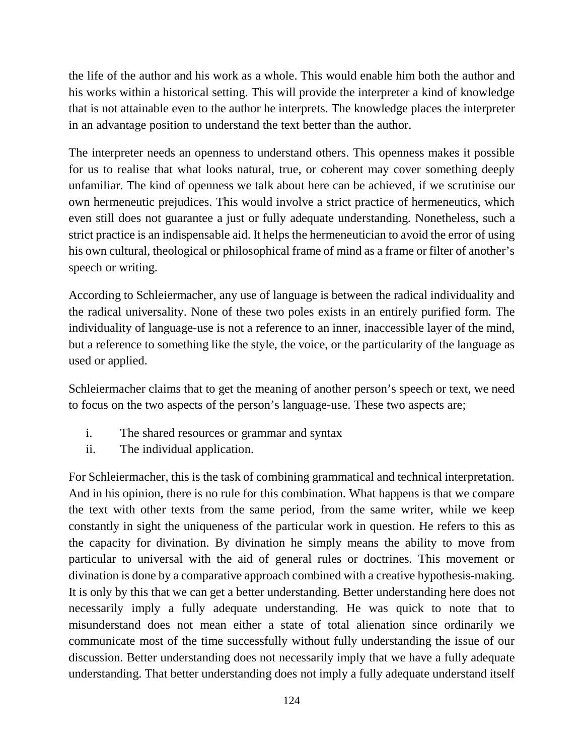the life of the author and his work as a whole. This would enable him both the author and his works within a historical setting. This will provide the interpreter a kind of knowledge that is not attainable even to the author he interprets. The knowledge places the interpreter in an advantage position to understand the text better than the author.

The interpreter needs an openness to understand others. This openness makes it possible for us to realise that what looks natural, true, or coherent may cover something deeply unfamiliar. The kind of openness we talk about here can be achieved, if we scrutinise our own hermeneutic prejudices. This would involve a strict practice of hermeneutics, which even still does not guarantee a just or fully adequate understanding. Nonetheless, such a strict practice is an indispensable aid. It helps the hermeneutician to avoid the error of using his own cultural, theological or philosophical frame of mind as a frame or filter of another's speech or writing.

According to Schleiermacher, any use of language is between the radical individuality and the radical universality. None of these two poles exists in an entirely purified form. The individuality of language-use is not a reference to an inner, inaccessible layer of the mind, but a reference to something like the style, the voice, or the particularity of the language as used or applied.

Schleiermacher claims that to get the meaning of another person's speech or text, we need to focus on the two aspects of the person's language-use. These two aspects are;

- i. The shared resources or grammar and syntax
- ii. The individual application.

For Schleiermacher, this is the task of combining grammatical and technical interpretation. And in his opinion, there is no rule for this combination. What happens is that we compare the text with other texts from the same period, from the same writer, while we keep constantly in sight the uniqueness of the particular work in question. He refers to this as the capacity for divination. By divination he simply means the ability to move from particular to universal with the aid of general rules or doctrines. This movement or divination is done by a comparative approach combined with a creative hypothesis-making. It is only by this that we can get a better understanding. Better understanding here does not necessarily imply a fully adequate understanding. He was quick to note that to misunderstand does not mean either a state of total alienation since ordinarily we communicate most of the time successfully without fully understanding the issue of our discussion. Better understanding does not necessarily imply that we have a fully adequate understanding. That better understanding does not imply a fully adequate understand itself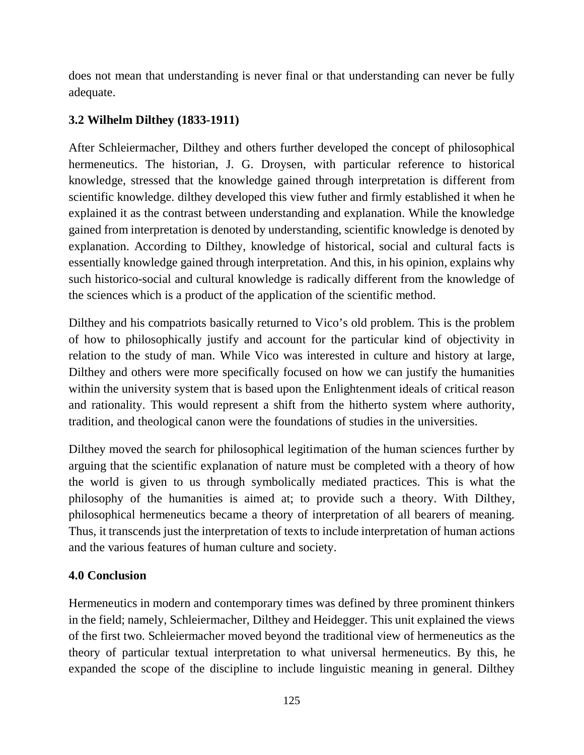does not mean that understanding is never final or that understanding can never be fully adequate.

# **3.2 Wilhelm Dilthey (1833-1911)**

After Schleiermacher, Dilthey and others further developed the concept of philosophical hermeneutics. The historian, J. G. Droysen, with particular reference to historical knowledge, stressed that the knowledge gained through interpretation is different from scientific knowledge. dilthey developed this view futher and firmly established it when he explained it as the contrast between understanding and explanation. While the knowledge gained from interpretation is denoted by understanding, scientific knowledge is denoted by explanation. According to Dilthey, knowledge of historical, social and cultural facts is essentially knowledge gained through interpretation. And this, in his opinion, explains why such historico-social and cultural knowledge is radically different from the knowledge of the sciences which is a product of the application of the scientific method.

Dilthey and his compatriots basically returned to Vico's old problem. This is the problem of how to philosophically justify and account for the particular kind of objectivity in relation to the study of man. While Vico was interested in culture and history at large, Dilthey and others were more specifically focused on how we can justify the humanities within the university system that is based upon the Enlightenment ideals of critical reason and rationality. This would represent a shift from the hitherto system where authority, tradition, and theological canon were the foundations of studies in the universities.

Dilthey moved the search for philosophical legitimation of the human sciences further by arguing that the scientific explanation of nature must be completed with a theory of how the world is given to us through symbolically mediated practices. This is what the philosophy of the humanities is aimed at; to provide such a theory. With Dilthey, philosophical hermeneutics became a theory of interpretation of all bearers of meaning. Thus, it transcends just the interpretation of texts to include interpretation of human actions and the various features of human culture and society.

## **4.0 Conclusion**

Hermeneutics in modern and contemporary times was defined by three prominent thinkers in the field; namely, Schleiermacher, Dilthey and Heidegger. This unit explained the views of the first two. Schleiermacher moved beyond the traditional view of hermeneutics as the theory of particular textual interpretation to what universal hermeneutics. By this, he expanded the scope of the discipline to include linguistic meaning in general. Dilthey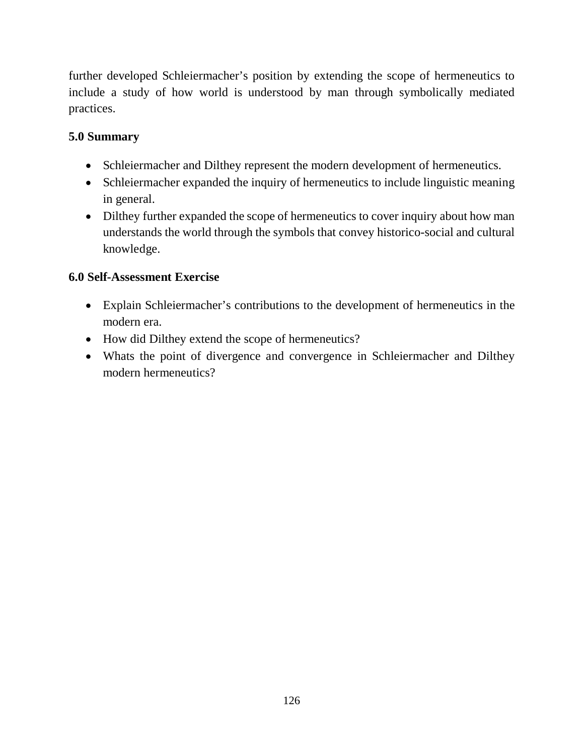further developed Schleiermacher's position by extending the scope of hermeneutics to include a study of how world is understood by man through symbolically mediated practices.

# **5.0 Summary**

- Schleiermacher and Dilthey represent the modern development of hermeneutics.
- Schleiermacher expanded the inquiry of hermeneutics to include linguistic meaning in general.
- Dilthey further expanded the scope of hermeneutics to cover inquiry about how man understands the world through the symbols that convey historico-social and cultural knowledge.

# **6.0 Self-Assessment Exercise**

- Explain Schleiermacher's contributions to the development of hermeneutics in the modern era.
- How did Dilthey extend the scope of hermeneutics?
- Whats the point of divergence and convergence in Schleiermacher and Dilthey modern hermeneutics?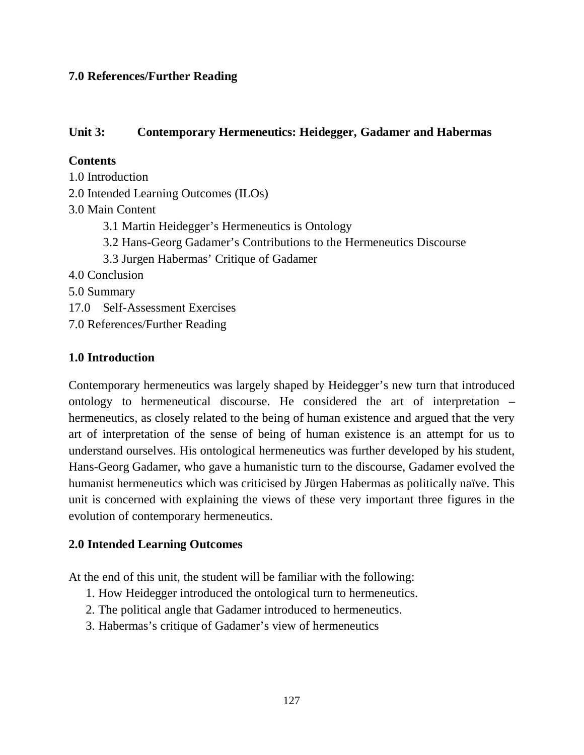### **7.0 References/Further Reading**

### **Unit 3: Contemporary Hermeneutics: Heidegger, Gadamer and Habermas**

### **Contents**

1.0 Introduction 2.0 Intended Learning Outcomes (ILOs) 3.0 Main Content 3.1 Martin Heidegger's Hermeneutics is Ontology 3.2 Hans-Georg Gadamer's Contributions to the Hermeneutics Discourse 3.3 Jurgen Habermas' Critique of Gadamer 4.0 Conclusion 5.0 Summary 17.0 Self-Assessment Exercises 7.0 References/Further Reading

### **1.0 Introduction**

Contemporary hermeneutics was largely shaped by Heidegger's new turn that introduced ontology to hermeneutical discourse. He considered the art of interpretation – hermeneutics, as closely related to the being of human existence and argued that the very art of interpretation of the sense of being of human existence is an attempt for us to understand ourselves. His ontological hermeneutics was further developed by his student, Hans-Georg Gadamer, who gave a humanistic turn to the discourse, Gadamer evolved the humanist hermeneutics which was criticised by Jürgen Habermas as politically naïve. This unit is concerned with explaining the views of these very important three figures in the evolution of contemporary hermeneutics.

### **2.0 Intended Learning Outcomes**

At the end of this unit, the student will be familiar with the following:

- 1. How Heidegger introduced the ontological turn to hermeneutics.
- 2. The political angle that Gadamer introduced to hermeneutics.
- 3. Habermas's critique of Gadamer's view of hermeneutics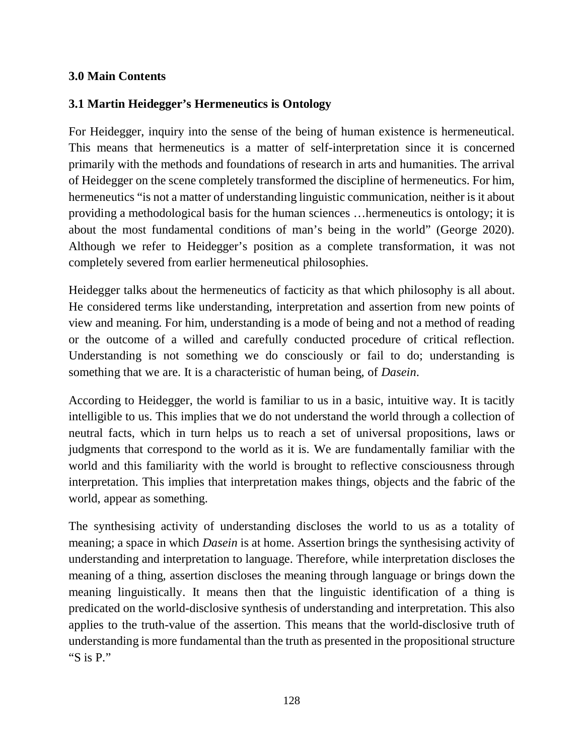### **3.0 Main Contents**

## **3.1 Martin Heidegger's Hermeneutics is Ontology**

For Heidegger, inquiry into the sense of the being of human existence is hermeneutical. This means that hermeneutics is a matter of self-interpretation since it is concerned primarily with the methods and foundations of research in arts and humanities. The arrival of Heidegger on the scene completely transformed the discipline of hermeneutics. For him, hermeneutics "is not a matter of understanding linguistic communication, neither is it about providing a methodological basis for the human sciences …hermeneutics is ontology; it is about the most fundamental conditions of man's being in the world" (George 2020). Although we refer to Heidegger's position as a complete transformation, it was not completely severed from earlier hermeneutical philosophies.

Heidegger talks about the hermeneutics of facticity as that which philosophy is all about. He considered terms like understanding, interpretation and assertion from new points of view and meaning. For him, understanding is a mode of being and not a method of reading or the outcome of a willed and carefully conducted procedure of critical reflection. Understanding is not something we do consciously or fail to do; understanding is something that we are. It is a characteristic of human being, of *Dasein*.

According to Heidegger, the world is familiar to us in a basic, intuitive way. It is tacitly intelligible to us. This implies that we do not understand the world through a collection of neutral facts, which in turn helps us to reach a set of universal propositions, laws or judgments that correspond to the world as it is. We are fundamentally familiar with the world and this familiarity with the world is brought to reflective consciousness through interpretation. This implies that interpretation makes things, objects and the fabric of the world, appear as something.

The synthesising activity of understanding discloses the world to us as a totality of meaning; a space in which *Dasein* is at home. Assertion brings the synthesising activity of understanding and interpretation to language. Therefore, while interpretation discloses the meaning of a thing, assertion discloses the meaning through language or brings down the meaning linguistically. It means then that the linguistic identification of a thing is predicated on the world-disclosive synthesis of understanding and interpretation. This also applies to the truth-value of the assertion. This means that the world-disclosive truth of understanding is more fundamental than the truth as presented in the propositional structure "S is P."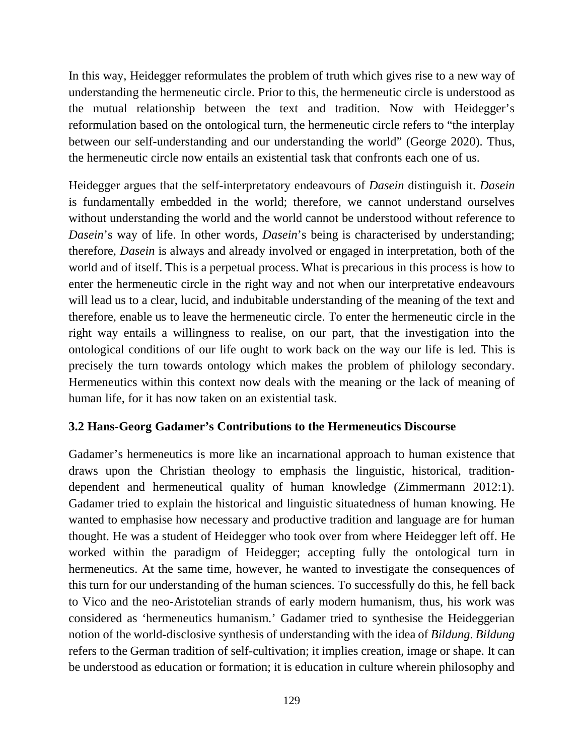In this way, Heidegger reformulates the problem of truth which gives rise to a new way of understanding the hermeneutic circle. Prior to this, the hermeneutic circle is understood as the mutual relationship between the text and tradition. Now with Heidegger's reformulation based on the ontological turn, the hermeneutic circle refers to "the interplay between our self-understanding and our understanding the world" (George 2020). Thus, the hermeneutic circle now entails an existential task that confronts each one of us.

Heidegger argues that the self-interpretatory endeavours of *Dasein* distinguish it. *Dasein* is fundamentally embedded in the world; therefore, we cannot understand ourselves without understanding the world and the world cannot be understood without reference to *Dasein*'s way of life. In other words, *Dasein*'s being is characterised by understanding; therefore, *Dasein* is always and already involved or engaged in interpretation, both of the world and of itself. This is a perpetual process. What is precarious in this process is how to enter the hermeneutic circle in the right way and not when our interpretative endeavours will lead us to a clear, lucid, and indubitable understanding of the meaning of the text and therefore, enable us to leave the hermeneutic circle. To enter the hermeneutic circle in the right way entails a willingness to realise, on our part, that the investigation into the ontological conditions of our life ought to work back on the way our life is led. This is precisely the turn towards ontology which makes the problem of philology secondary. Hermeneutics within this context now deals with the meaning or the lack of meaning of human life, for it has now taken on an existential task.

### **3.2 Hans-Georg Gadamer's Contributions to the Hermeneutics Discourse**

Gadamer's hermeneutics is more like an incarnational approach to human existence that draws upon the Christian theology to emphasis the linguistic, historical, traditiondependent and hermeneutical quality of human knowledge (Zimmermann 2012:1). Gadamer tried to explain the historical and linguistic situatedness of human knowing. He wanted to emphasise how necessary and productive tradition and language are for human thought. He was a student of Heidegger who took over from where Heidegger left off. He worked within the paradigm of Heidegger; accepting fully the ontological turn in hermeneutics. At the same time, however, he wanted to investigate the consequences of this turn for our understanding of the human sciences. To successfully do this, he fell back to Vico and the neo-Aristotelian strands of early modern humanism, thus, his work was considered as 'hermeneutics humanism.' Gadamer tried to synthesise the Heideggerian notion of the world-disclosive synthesis of understanding with the idea of *Bildung*. *Bildung* refers to the German tradition of self-cultivation; it implies creation, image or shape. It can be understood as education or formation; it is education in culture wherein philosophy and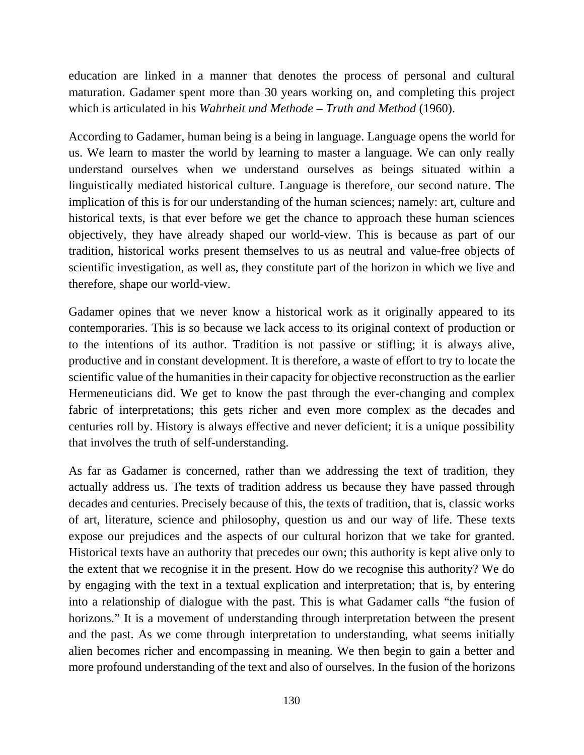education are linked in a manner that denotes the process of personal and cultural maturation. Gadamer spent more than 30 years working on, and completing this project which is articulated in his *Wahrheit und Methode* – *Truth and Method* (1960).

According to Gadamer, human being is a being in language. Language opens the world for us. We learn to master the world by learning to master a language. We can only really understand ourselves when we understand ourselves as beings situated within a linguistically mediated historical culture. Language is therefore, our second nature. The implication of this is for our understanding of the human sciences; namely: art, culture and historical texts, is that ever before we get the chance to approach these human sciences objectively, they have already shaped our world-view. This is because as part of our tradition, historical works present themselves to us as neutral and value-free objects of scientific investigation, as well as, they constitute part of the horizon in which we live and therefore, shape our world-view.

Gadamer opines that we never know a historical work as it originally appeared to its contemporaries. This is so because we lack access to its original context of production or to the intentions of its author. Tradition is not passive or stifling; it is always alive, productive and in constant development. It is therefore, a waste of effort to try to locate the scientific value of the humanities in their capacity for objective reconstruction as the earlier Hermeneuticians did. We get to know the past through the ever-changing and complex fabric of interpretations; this gets richer and even more complex as the decades and centuries roll by. History is always effective and never deficient; it is a unique possibility that involves the truth of self-understanding.

As far as Gadamer is concerned, rather than we addressing the text of tradition, they actually address us. The texts of tradition address us because they have passed through decades and centuries. Precisely because of this, the texts of tradition, that is, classic works of art, literature, science and philosophy, question us and our way of life. These texts expose our prejudices and the aspects of our cultural horizon that we take for granted. Historical texts have an authority that precedes our own; this authority is kept alive only to the extent that we recognise it in the present. How do we recognise this authority? We do by engaging with the text in a textual explication and interpretation; that is, by entering into a relationship of dialogue with the past. This is what Gadamer calls "the fusion of horizons." It is a movement of understanding through interpretation between the present and the past. As we come through interpretation to understanding, what seems initially alien becomes richer and encompassing in meaning. We then begin to gain a better and more profound understanding of the text and also of ourselves. In the fusion of the horizons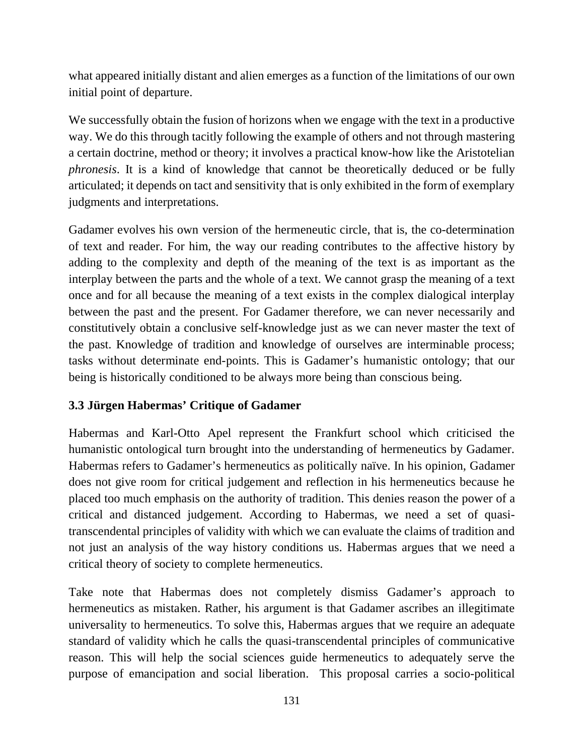what appeared initially distant and alien emerges as a function of the limitations of our own initial point of departure.

We successfully obtain the fusion of horizons when we engage with the text in a productive way. We do this through tacitly following the example of others and not through mastering a certain doctrine, method or theory; it involves a practical know-how like the Aristotelian *phronesis*. It is a kind of knowledge that cannot be theoretically deduced or be fully articulated; it depends on tact and sensitivity that is only exhibited in the form of exemplary judgments and interpretations.

Gadamer evolves his own version of the hermeneutic circle, that is, the co-determination of text and reader. For him, the way our reading contributes to the affective history by adding to the complexity and depth of the meaning of the text is as important as the interplay between the parts and the whole of a text. We cannot grasp the meaning of a text once and for all because the meaning of a text exists in the complex dialogical interplay between the past and the present. For Gadamer therefore, we can never necessarily and constitutively obtain a conclusive self-knowledge just as we can never master the text of the past. Knowledge of tradition and knowledge of ourselves are interminable process; tasks without determinate end-points. This is Gadamer's humanistic ontology; that our being is historically conditioned to be always more being than conscious being.

## **3.3 Jürgen Habermas' Critique of Gadamer**

Habermas and Karl-Otto Apel represent the Frankfurt school which criticised the humanistic ontological turn brought into the understanding of hermeneutics by Gadamer. Habermas refers to Gadamer's hermeneutics as politically naïve. In his opinion, Gadamer does not give room for critical judgement and reflection in his hermeneutics because he placed too much emphasis on the authority of tradition. This denies reason the power of a critical and distanced judgement. According to Habermas, we need a set of quasitranscendental principles of validity with which we can evaluate the claims of tradition and not just an analysis of the way history conditions us. Habermas argues that we need a critical theory of society to complete hermeneutics.

Take note that Habermas does not completely dismiss Gadamer's approach to hermeneutics as mistaken. Rather, his argument is that Gadamer ascribes an illegitimate universality to hermeneutics. To solve this, Habermas argues that we require an adequate standard of validity which he calls the quasi-transcendental principles of communicative reason. This will help the social sciences guide hermeneutics to adequately serve the purpose of emancipation and social liberation. This proposal carries a socio-political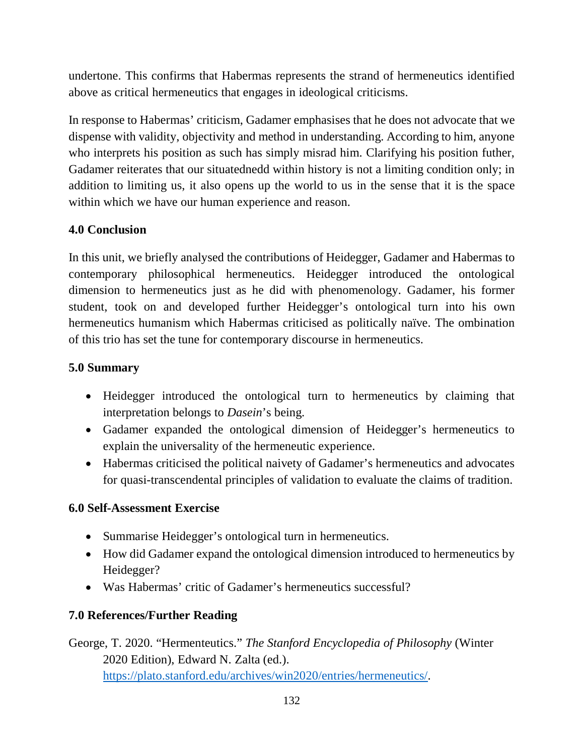undertone. This confirms that Habermas represents the strand of hermeneutics identified above as critical hermeneutics that engages in ideological criticisms.

In response to Habermas' criticism, Gadamer emphasises that he does not advocate that we dispense with validity, objectivity and method in understanding. According to him, anyone who interprets his position as such has simply misrad him. Clarifying his position futher, Gadamer reiterates that our situatednedd within history is not a limiting condition only; in addition to limiting us, it also opens up the world to us in the sense that it is the space within which we have our human experience and reason.

# **4.0 Conclusion**

In this unit, we briefly analysed the contributions of Heidegger, Gadamer and Habermas to contemporary philosophical hermeneutics. Heidegger introduced the ontological dimension to hermeneutics just as he did with phenomenology. Gadamer, his former student, took on and developed further Heidegger's ontological turn into his own hermeneutics humanism which Habermas criticised as politically naïve. The ombination of this trio has set the tune for contemporary discourse in hermeneutics.

# **5.0 Summary**

- Heidegger introduced the ontological turn to hermeneutics by claiming that interpretation belongs to *Dasein*'s being.
- Gadamer expanded the ontological dimension of Heidegger's hermeneutics to explain the universality of the hermeneutic experience.
- Habermas criticised the political naivety of Gadamer's hermeneutics and advocates for quasi-transcendental principles of validation to evaluate the claims of tradition.

## **6.0 Self-Assessment Exercise**

- Summarise Heidegger's ontological turn in hermeneutics.
- How did Gadamer expand the ontological dimension introduced to hermeneutics by Heidegger?
- Was Habermas' critic of Gadamer's hermeneutics successful?

# **7.0 References/Further Reading**

George, T. 2020. "Hermenteutics." *The Stanford Encyclopedia of Philosophy* (Winter 2020 Edition), Edward N. Zalta (ed.). https://plato.stanford.edu/archives/win2020/entries/hermeneutics/.